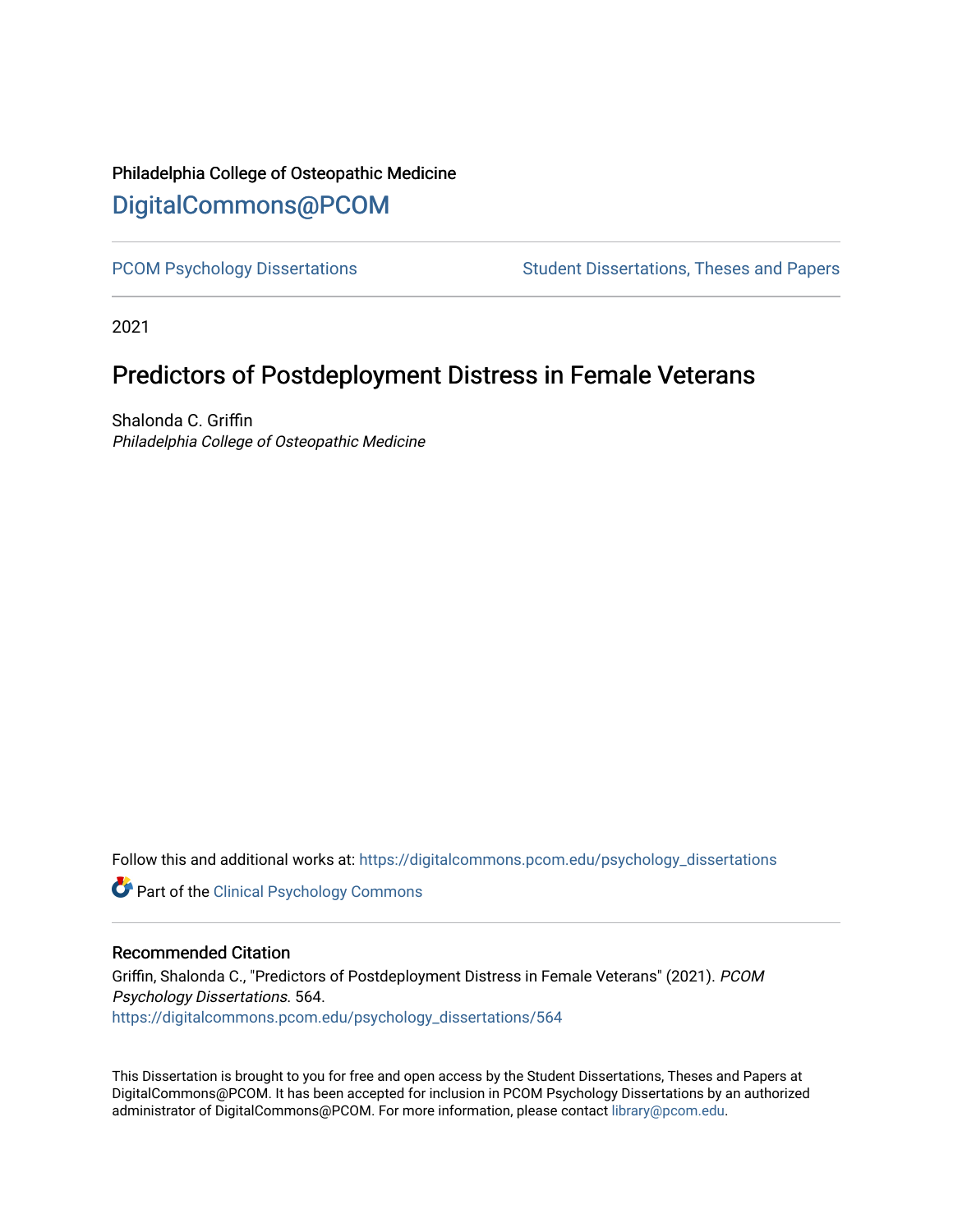# Philadelphia College of Osteopathic Medicine [DigitalCommons@PCOM](https://digitalcommons.pcom.edu/)

[PCOM Psychology Dissertations](https://digitalcommons.pcom.edu/psychology_dissertations) Student Dissertations, Theses and Papers

2021

# Predictors of Postdeployment Distress in Female Veterans

Shalonda C. Griffin Philadelphia College of Osteopathic Medicine

Follow this and additional works at: [https://digitalcommons.pcom.edu/psychology\\_dissertations](https://digitalcommons.pcom.edu/psychology_dissertations?utm_source=digitalcommons.pcom.edu%2Fpsychology_dissertations%2F564&utm_medium=PDF&utm_campaign=PDFCoverPages)

**Part of the Clinical Psychology Commons** 

# Recommended Citation

Griffin, Shalonda C., "Predictors of Postdeployment Distress in Female Veterans" (2021). PCOM Psychology Dissertations. 564. [https://digitalcommons.pcom.edu/psychology\\_dissertations/564](https://digitalcommons.pcom.edu/psychology_dissertations/564?utm_source=digitalcommons.pcom.edu%2Fpsychology_dissertations%2F564&utm_medium=PDF&utm_campaign=PDFCoverPages) 

This Dissertation is brought to you for free and open access by the Student Dissertations, Theses and Papers at DigitalCommons@PCOM. It has been accepted for inclusion in PCOM Psychology Dissertations by an authorized administrator of DigitalCommons@PCOM. For more information, please contact [library@pcom.edu.](mailto:library@pcom.edu)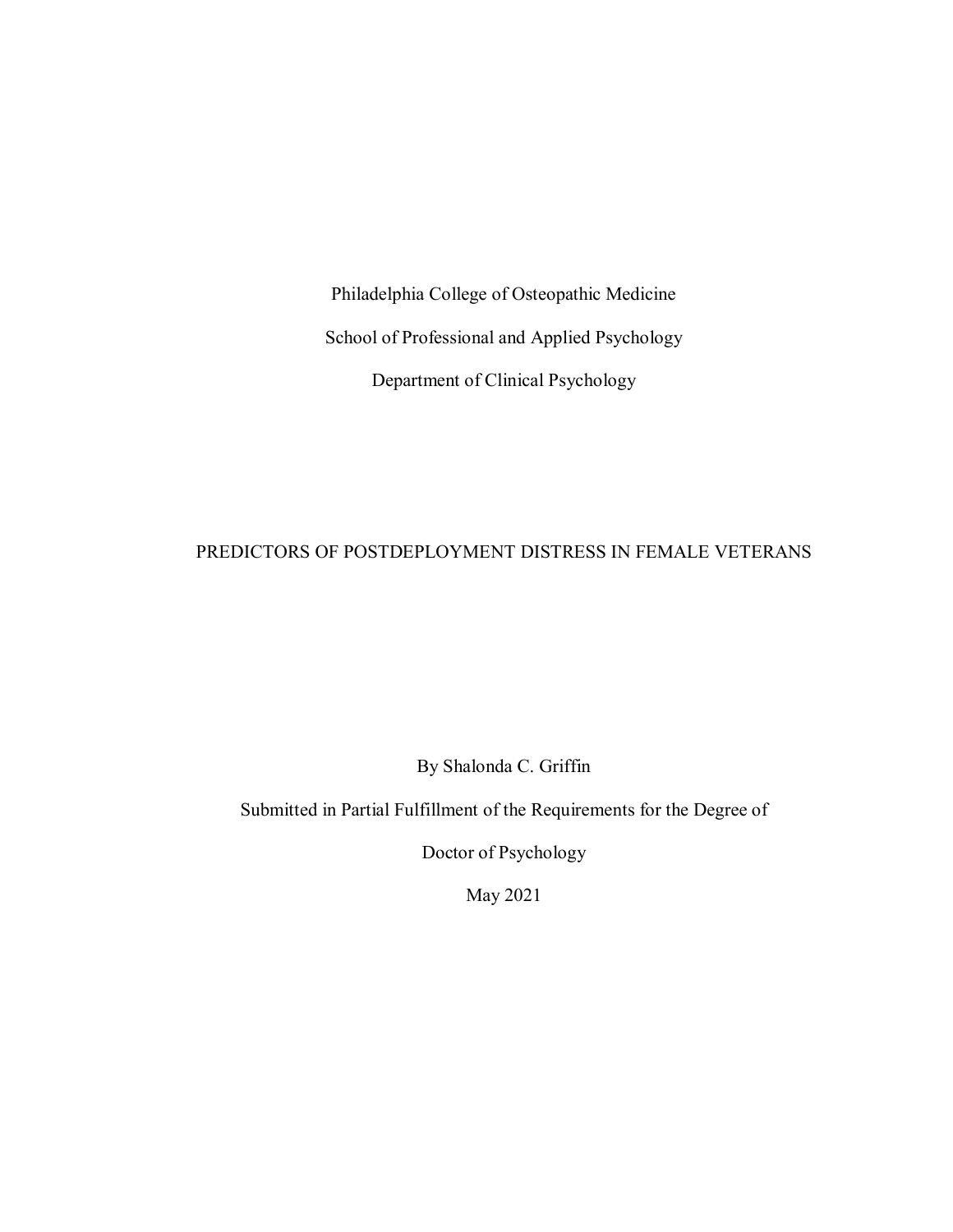Philadelphia College of Osteopathic Medicine School of Professional and Applied Psychology Department of Clinical Psychology

# PREDICTORS OF POSTDEPLOYMENT DISTRESS IN FEMALE VETERANS

By Shalonda C. Griffin

Submitted in Partial Fulfillment of the Requirements for the Degree of

Doctor of Psychology

May 2021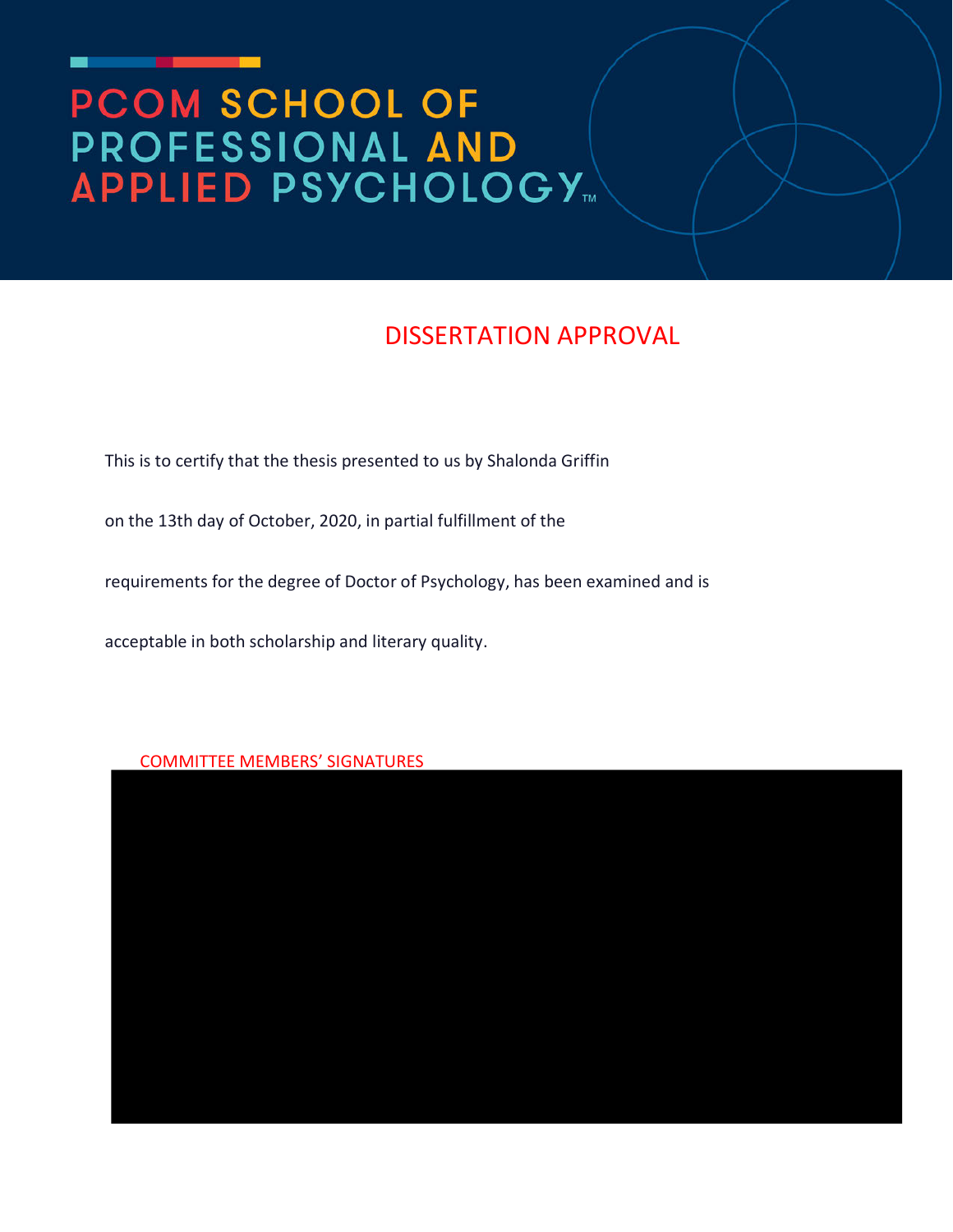# **PCOM SCHOOL OF<br>PROFESSIONAL AND<br>APPLIED PSYCHOLOGY...**

# DISSERTATION APPROVAL

This is to certify that the thesis presented to us by Shalonda Griffin

on the 13th day of October, 2020, in partial fulfillment of the

requirements for the degree of Doctor of Psychology, has been examined and is

acceptable in both scholarship and literary quality.

# COMMITTEE MEMBERS' SIGNATURES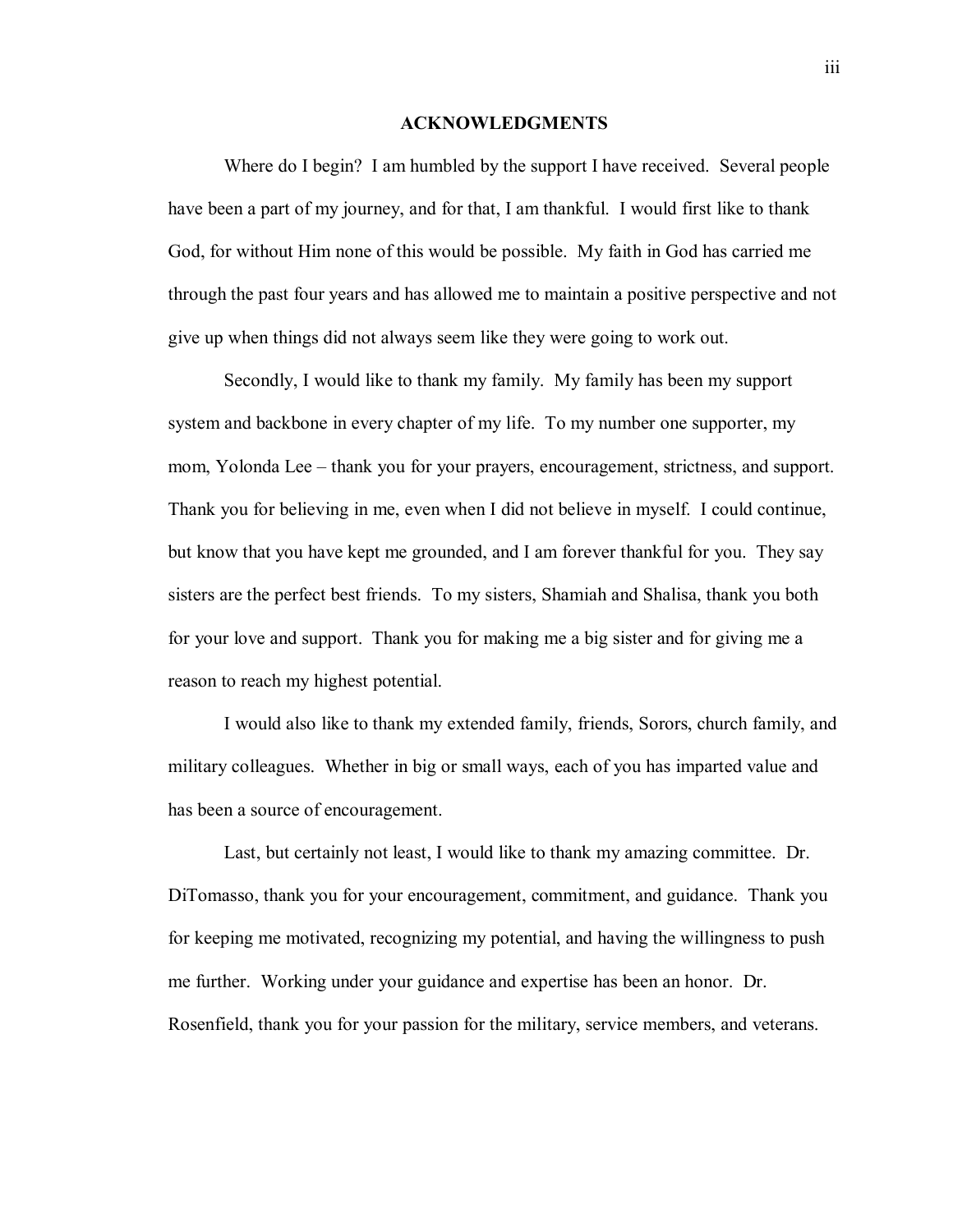## **ACKNOWLEDGMENTS**

Where do I begin? I am humbled by the support I have received. Several people have been a part of my journey, and for that, I am thankful. I would first like to thank God, for without Him none of this would be possible. My faith in God has carried me through the past four years and has allowed me to maintain a positive perspective and not give up when things did not always seem like they were going to work out.

Secondly, I would like to thank my family. My family has been my support system and backbone in every chapter of my life. To my number one supporter, my mom, Yolonda Lee – thank you for your prayers, encouragement, strictness, and support. Thank you for believing in me, even when I did not believe in myself. I could continue, but know that you have kept me grounded, and I am forever thankful for you. They say sisters are the perfect best friends. To my sisters, Shamiah and Shalisa, thank you both for your love and support. Thank you for making me a big sister and for giving me a reason to reach my highest potential.

I would also like to thank my extended family, friends, Sorors, church family, and military colleagues. Whether in big or small ways, each of you has imparted value and has been a source of encouragement.

Last, but certainly not least, I would like to thank my amazing committee. Dr. DiTomasso, thank you for your encouragement, commitment, and guidance. Thank you for keeping me motivated, recognizing my potential, and having the willingness to push me further. Working under your guidance and expertise has been an honor. Dr. Rosenfield, thank you for your passion for the military, service members, and veterans.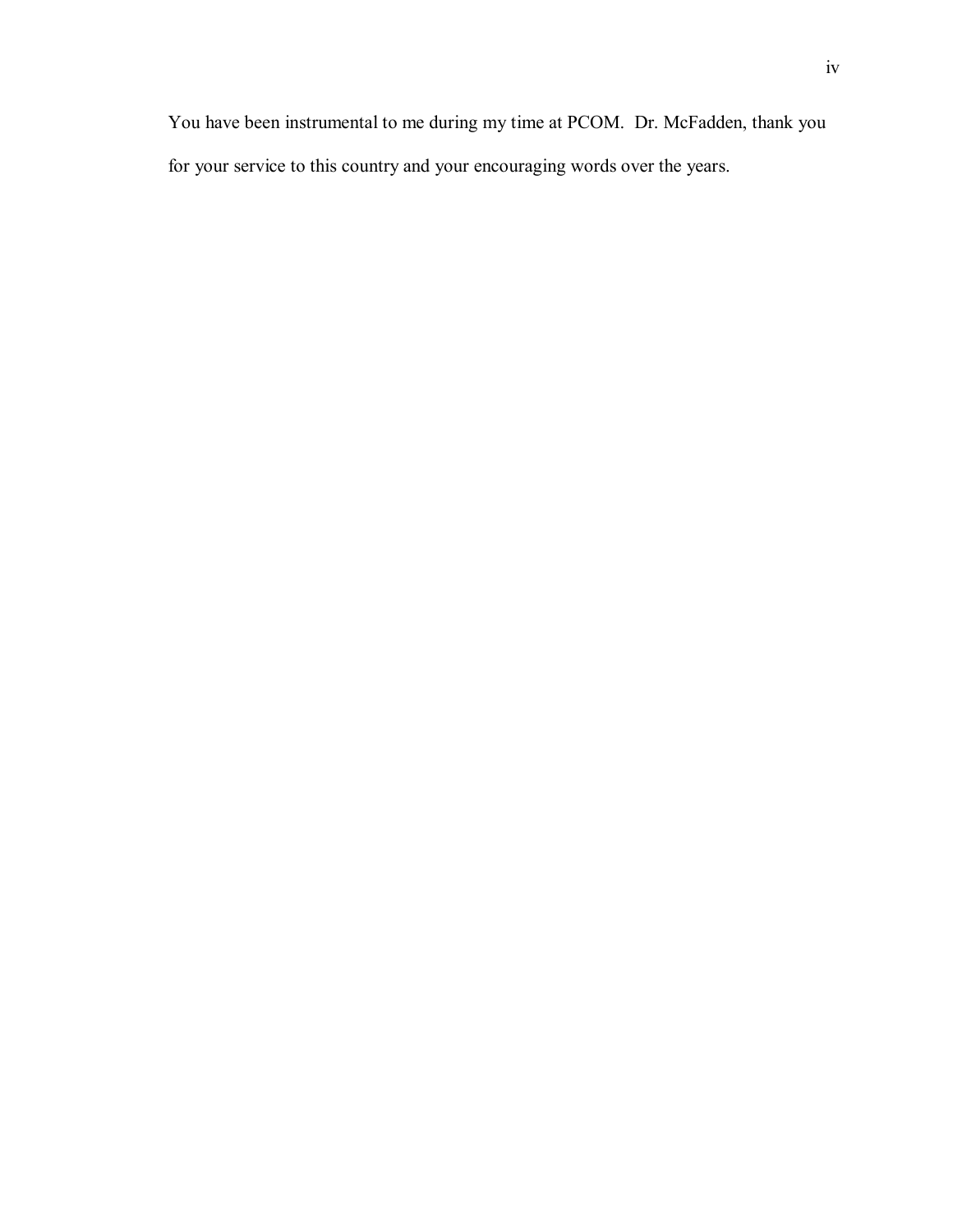You have been instrumental to me during my time at PCOM. Dr. McFadden, thank you for your service to this country and your encouraging words over the years.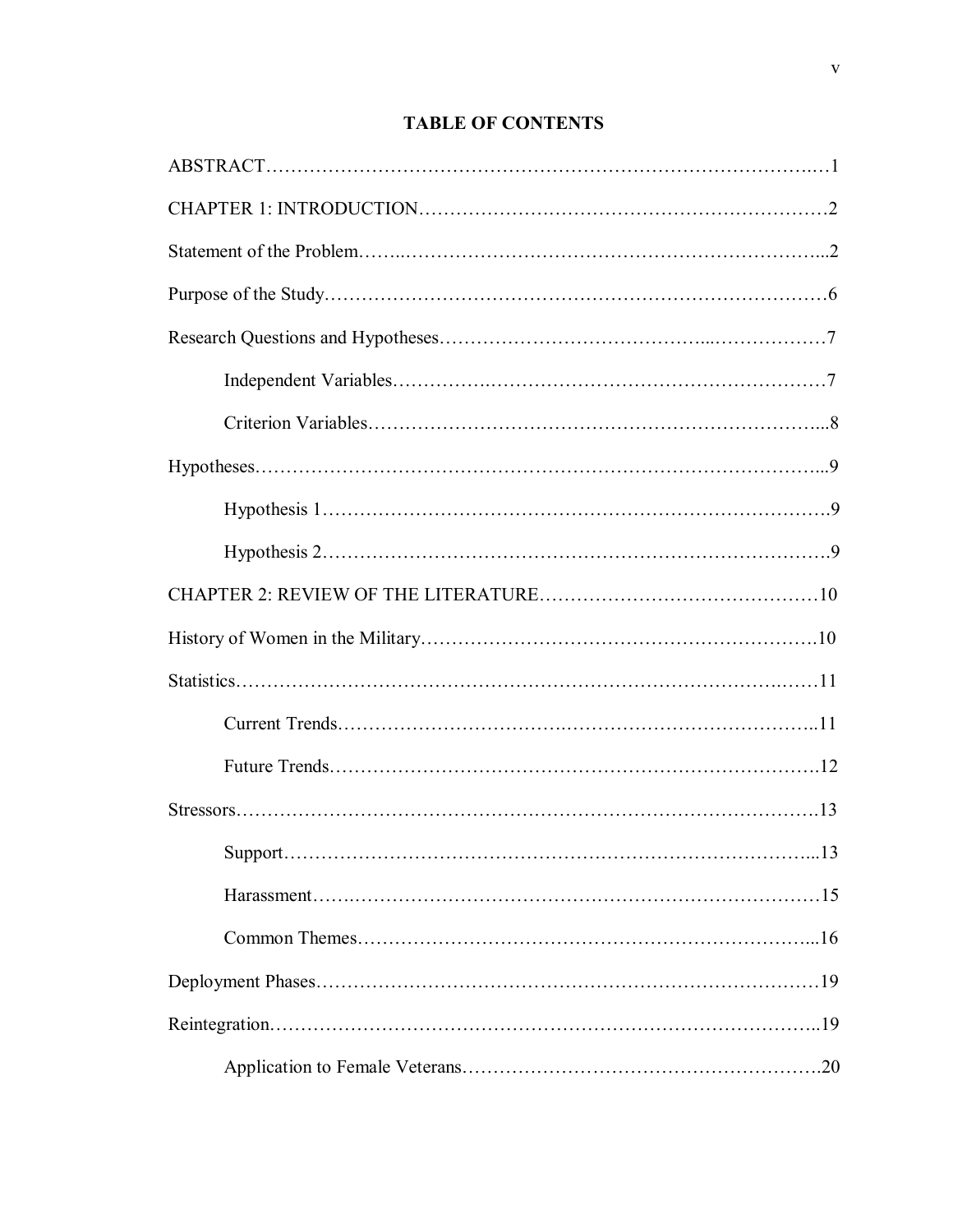# **TABLE OF CONTENTS**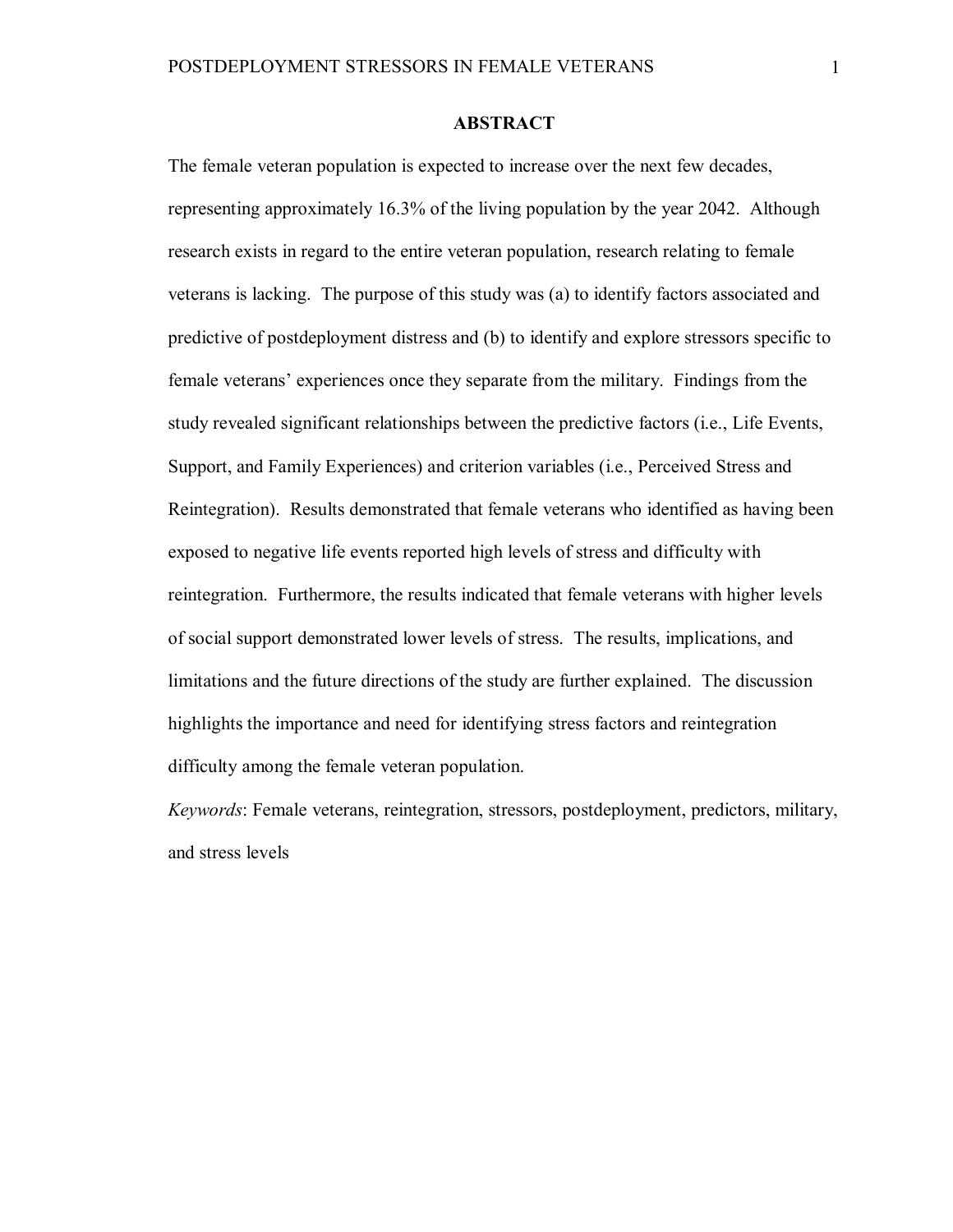# **ABSTRACT**

The female veteran population is expected to increase over the next few decades, representing approximately 16.3% of the living population by the year 2042. Although research exists in regard to the entire veteran population, research relating to female veterans is lacking. The purpose of this study was (a) to identify factors associated and predictive of postdeployment distress and (b) to identify and explore stressors specific to female veterans' experiences once they separate from the military. Findings from the study revealed significant relationships between the predictive factors (i.e., Life Events, Support, and Family Experiences) and criterion variables (i.e., Perceived Stress and Reintegration). Results demonstrated that female veterans who identified as having been exposed to negative life events reported high levels of stress and difficulty with reintegration. Furthermore, the results indicated that female veterans with higher levels of social support demonstrated lower levels of stress. The results, implications, and limitations and the future directions of the study are further explained. The discussion highlights the importance and need for identifying stress factors and reintegration difficulty among the female veteran population.

*Keywords*: Female veterans, reintegration, stressors, postdeployment, predictors, military, and stress levels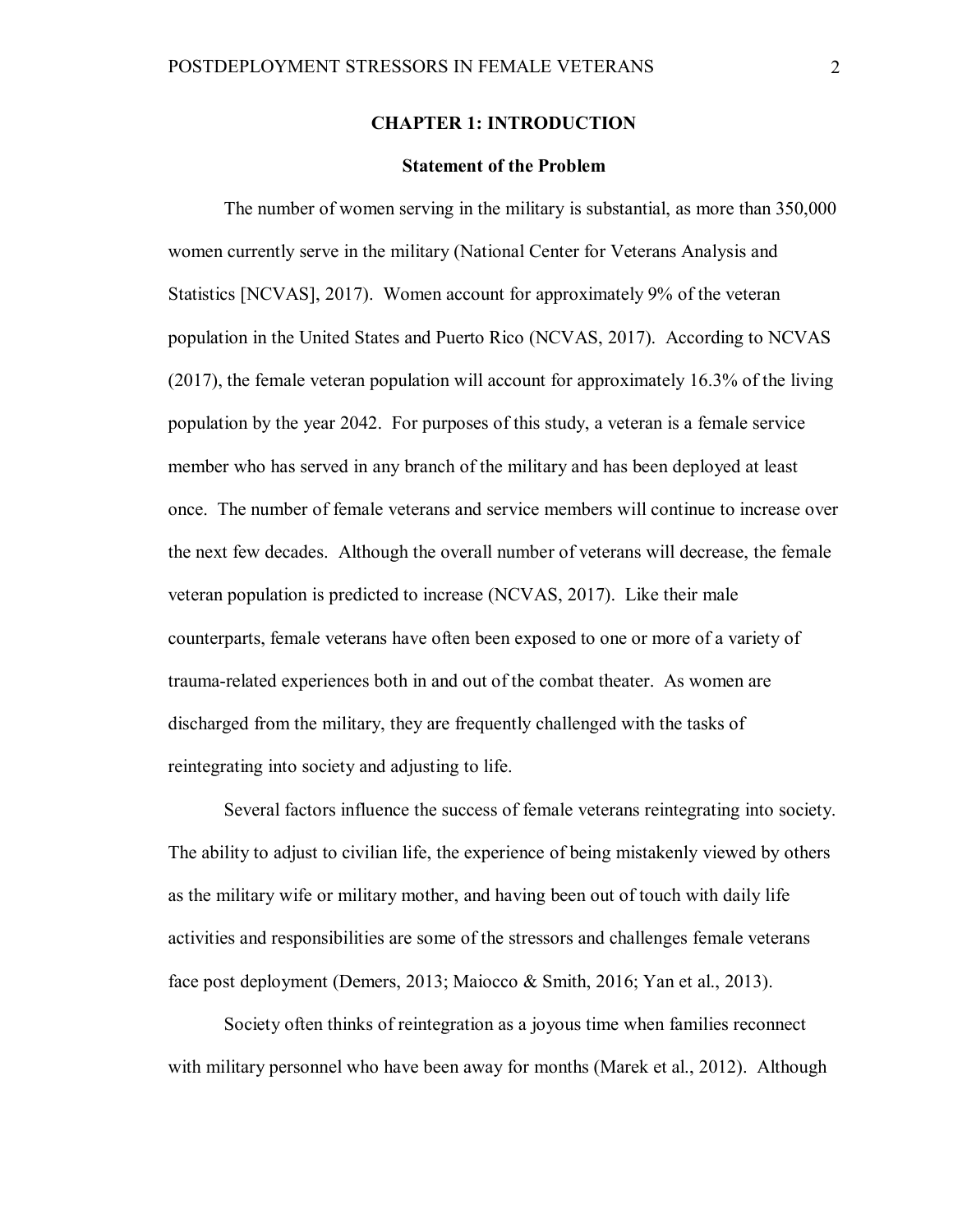# **CHAPTER 1: INTRODUCTION**

# **Statement of the Problem**

The number of women serving in the military is substantial, as more than 350,000 women currently serve in the military (National Center for Veterans Analysis and Statistics [NCVAS], 2017). Women account for approximately 9% of the veteran population in the United States and Puerto Rico (NCVAS, 2017). According to NCVAS (2017), the female veteran population will account for approximately 16.3% of the living population by the year 2042. For purposes of this study, a veteran is a female service member who has served in any branch of the military and has been deployed at least once. The number of female veterans and service members will continue to increase over the next few decades. Although the overall number of veterans will decrease, the female veteran population is predicted to increase (NCVAS, 2017). Like their male counterparts, female veterans have often been exposed to one or more of a variety of trauma-related experiences both in and out of the combat theater. As women are discharged from the military, they are frequently challenged with the tasks of reintegrating into society and adjusting to life.

Several factors influence the success of female veterans reintegrating into society. The ability to adjust to civilian life, the experience of being mistakenly viewed by others as the military wife or military mother, and having been out of touch with daily life activities and responsibilities are some of the stressors and challenges female veterans face post deployment (Demers, 2013; Maiocco & Smith, 2016; Yan et al., 2013).

Society often thinks of reintegration as a joyous time when families reconnect with military personnel who have been away for months (Marek et al., 2012). Although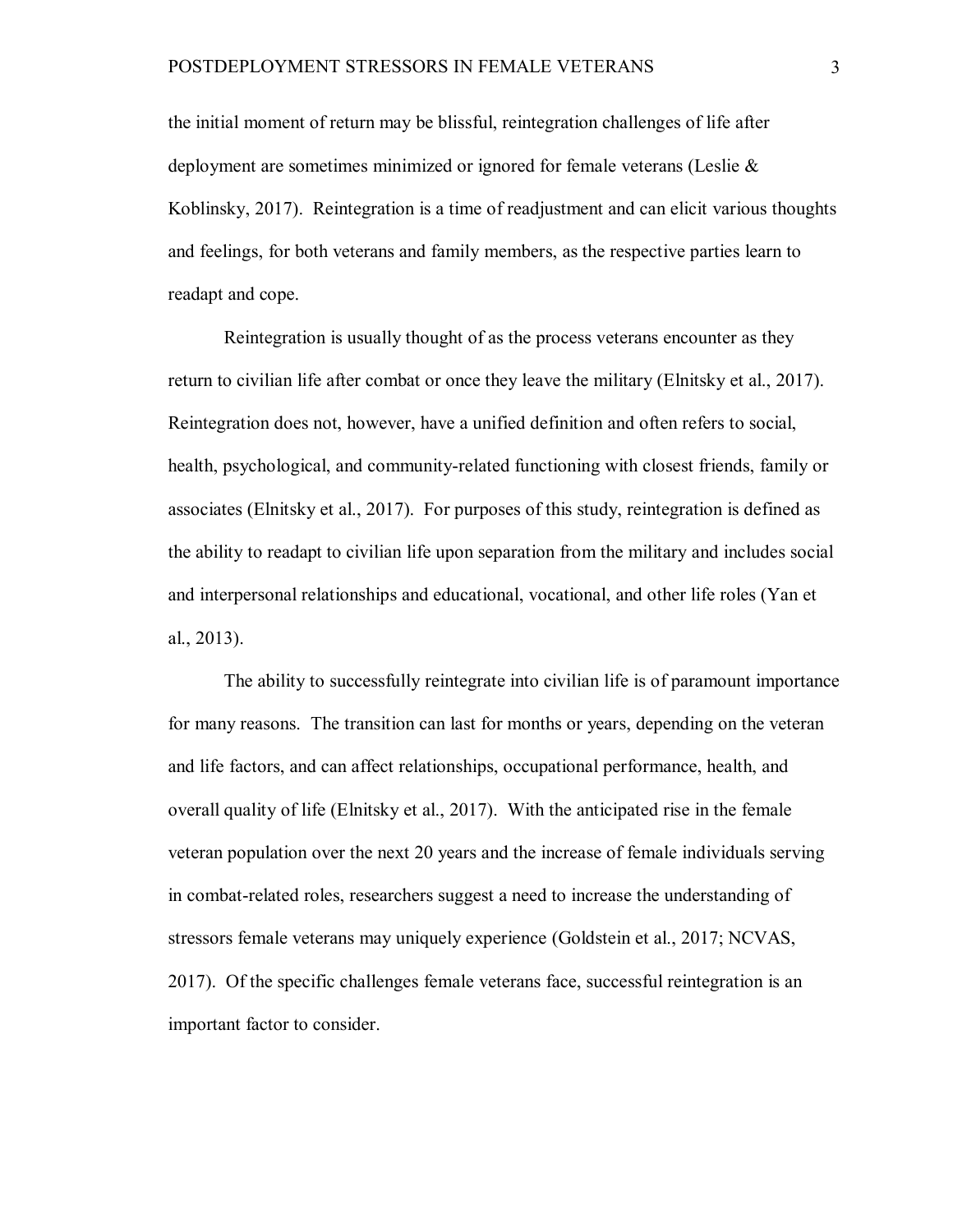the initial moment of return may be blissful, reintegration challenges of life after deployment are sometimes minimized or ignored for female veterans (Leslie & Koblinsky, 2017). Reintegration is a time of readjustment and can elicit various thoughts and feelings, for both veterans and family members, as the respective parties learn to readapt and cope.

Reintegration is usually thought of as the process veterans encounter as they return to civilian life after combat or once they leave the military (Elnitsky et al., 2017). Reintegration does not, however, have a unified definition and often refers to social, health, psychological, and community-related functioning with closest friends, family or associates (Elnitsky et al., 2017). For purposes of this study, reintegration is defined as the ability to readapt to civilian life upon separation from the military and includes social and interpersonal relationships and educational, vocational, and other life roles (Yan et al., 2013).

The ability to successfully reintegrate into civilian life is of paramount importance for many reasons. The transition can last for months or years, depending on the veteran and life factors, and can affect relationships, occupational performance, health, and overall quality of life (Elnitsky et al., 2017). With the anticipated rise in the female veteran population over the next 20 years and the increase of female individuals serving in combat-related roles, researchers suggest a need to increase the understanding of stressors female veterans may uniquely experience (Goldstein et al., 2017; NCVAS, 2017). Of the specific challenges female veterans face, successful reintegration is an important factor to consider.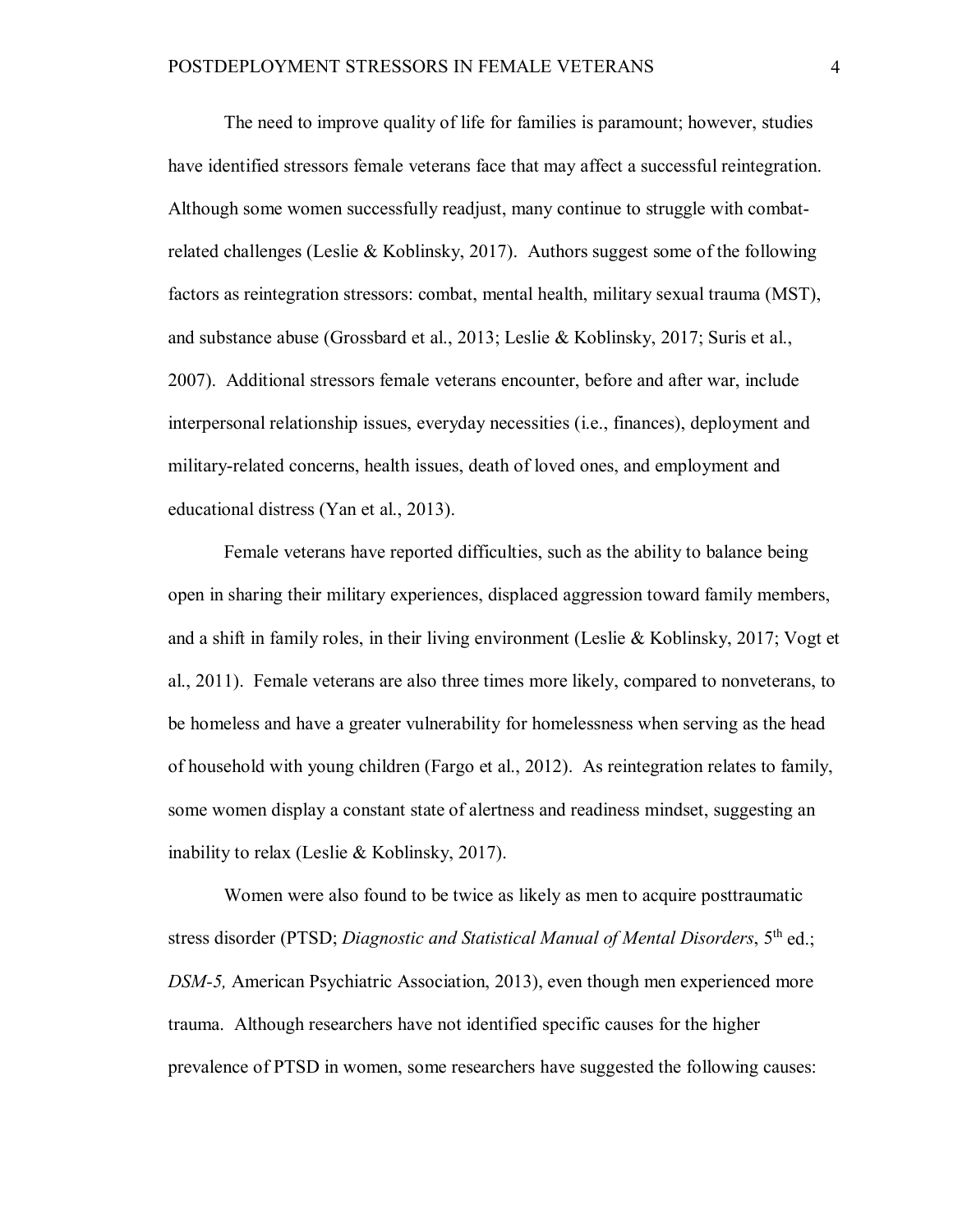The need to improve quality of life for families is paramount; however, studies have identified stressors female veterans face that may affect a successful reintegration. Although some women successfully readjust, many continue to struggle with combatrelated challenges (Leslie & Koblinsky, 2017). Authors suggest some of the following factors as reintegration stressors: combat, mental health, military sexual trauma (MST), and substance abuse (Grossbard et al., 2013; Leslie & Koblinsky, 2017; Suris et al., 2007). Additional stressors female veterans encounter, before and after war, include interpersonal relationship issues, everyday necessities (i.e., finances), deployment and military-related concerns, health issues, death of loved ones, and employment and educational distress (Yan et al., 2013).

Female veterans have reported difficulties, such as the ability to balance being open in sharing their military experiences, displaced aggression toward family members, and a shift in family roles, in their living environment (Leslie & Koblinsky, 2017; Vogt et al., 2011). Female veterans are also three times more likely, compared to nonveterans, to be homeless and have a greater vulnerability for homelessness when serving as the head of household with young children (Fargo et al., 2012). As reintegration relates to family, some women display a constant state of alertness and readiness mindset, suggesting an inability to relax (Leslie & Koblinsky, 2017).

Women were also found to be twice as likely as men to acquire posttraumatic stress disorder (PTSD; *Diagnostic and Statistical Manual of Mental Disorders*, 5th ed.; *DSM-5,* American Psychiatric Association, 2013), even though men experienced more trauma. Although researchers have not identified specific causes for the higher prevalence of PTSD in women, some researchers have suggested the following causes: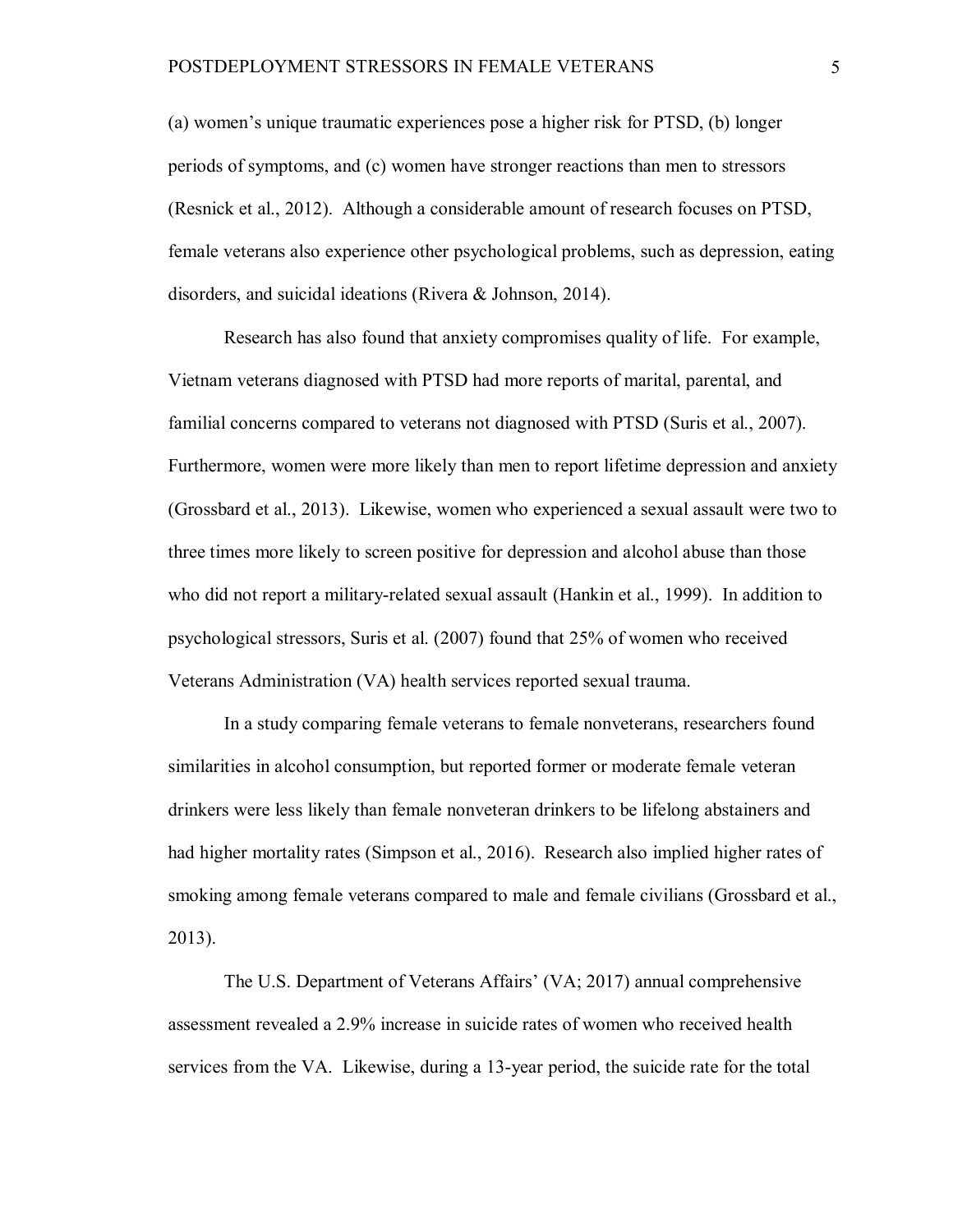(a) women's unique traumatic experiences pose a higher risk for PTSD, (b) longer periods of symptoms, and (c) women have stronger reactions than men to stressors (Resnick et al., 2012). Although a considerable amount of research focuses on PTSD, female veterans also experience other psychological problems, such as depression, eating disorders, and suicidal ideations (Rivera & Johnson, 2014).

Research has also found that anxiety compromises quality of life. For example, Vietnam veterans diagnosed with PTSD had more reports of marital, parental, and familial concerns compared to veterans not diagnosed with PTSD (Suris et al., 2007). Furthermore, women were more likely than men to report lifetime depression and anxiety (Grossbard et al., 2013). Likewise, women who experienced a sexual assault were two to three times more likely to screen positive for depression and alcohol abuse than those who did not report a military-related sexual assault (Hankin et al., 1999). In addition to psychological stressors, Suris et al. (2007) found that 25% of women who received Veterans Administration (VA) health services reported sexual trauma.

In a study comparing female veterans to female nonveterans, researchers found similarities in alcohol consumption, but reported former or moderate female veteran drinkers were less likely than female nonveteran drinkers to be lifelong abstainers and had higher mortality rates (Simpson et al., 2016). Research also implied higher rates of smoking among female veterans compared to male and female civilians (Grossbard et al., 2013).

The U.S. Department of Veterans Affairs' (VA; 2017) annual comprehensive assessment revealed a 2.9% increase in suicide rates of women who received health services from the VA. Likewise, during a 13-year period, the suicide rate for the total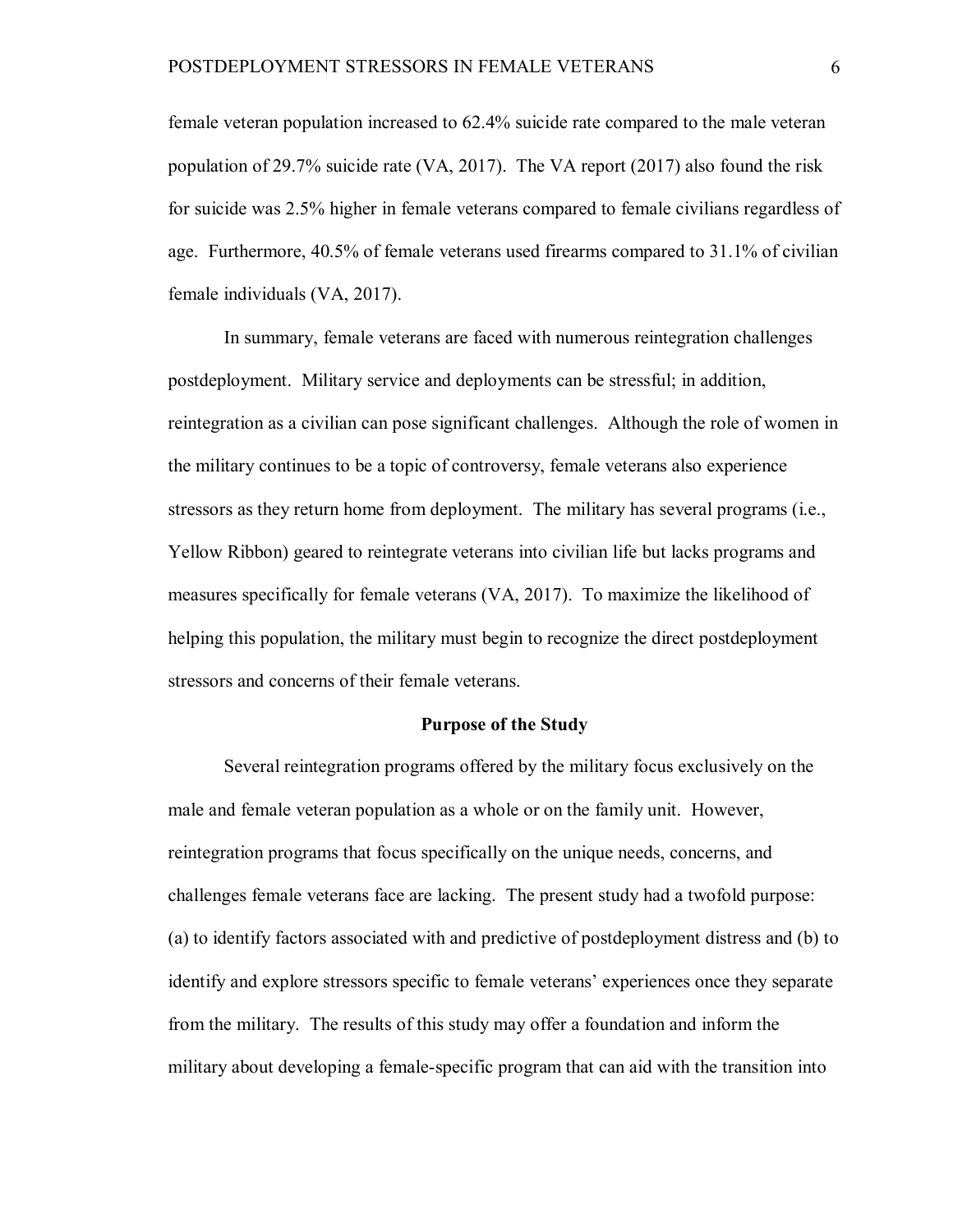female veteran population increased to 62.4% suicide rate compared to the male veteran population of 29.7% suicide rate (VA, 2017). The VA report (2017) also found the risk for suicide was 2.5% higher in female veterans compared to female civilians regardless of age. Furthermore, 40.5% of female veterans used firearms compared to 31.1% of civilian female individuals (VA, 2017).

In summary, female veterans are faced with numerous reintegration challenges postdeployment. Military service and deployments can be stressful; in addition, reintegration as a civilian can pose significant challenges. Although the role of women in the military continues to be a topic of controversy, female veterans also experience stressors as they return home from deployment. The military has several programs (i.e., Yellow Ribbon) geared to reintegrate veterans into civilian life but lacks programs and measures specifically for female veterans (VA, 2017). To maximize the likelihood of helping this population, the military must begin to recognize the direct postdeployment stressors and concerns of their female veterans.

# **Purpose of the Study**

Several reintegration programs offered by the military focus exclusively on the male and female veteran population as a whole or on the family unit. However, reintegration programs that focus specifically on the unique needs, concerns, and challenges female veterans face are lacking. The present study had a twofold purpose: (a) to identify factors associated with and predictive of postdeployment distress and (b) to identify and explore stressors specific to female veterans' experiences once they separate from the military. The results of this study may offer a foundation and inform the military about developing a female-specific program that can aid with the transition into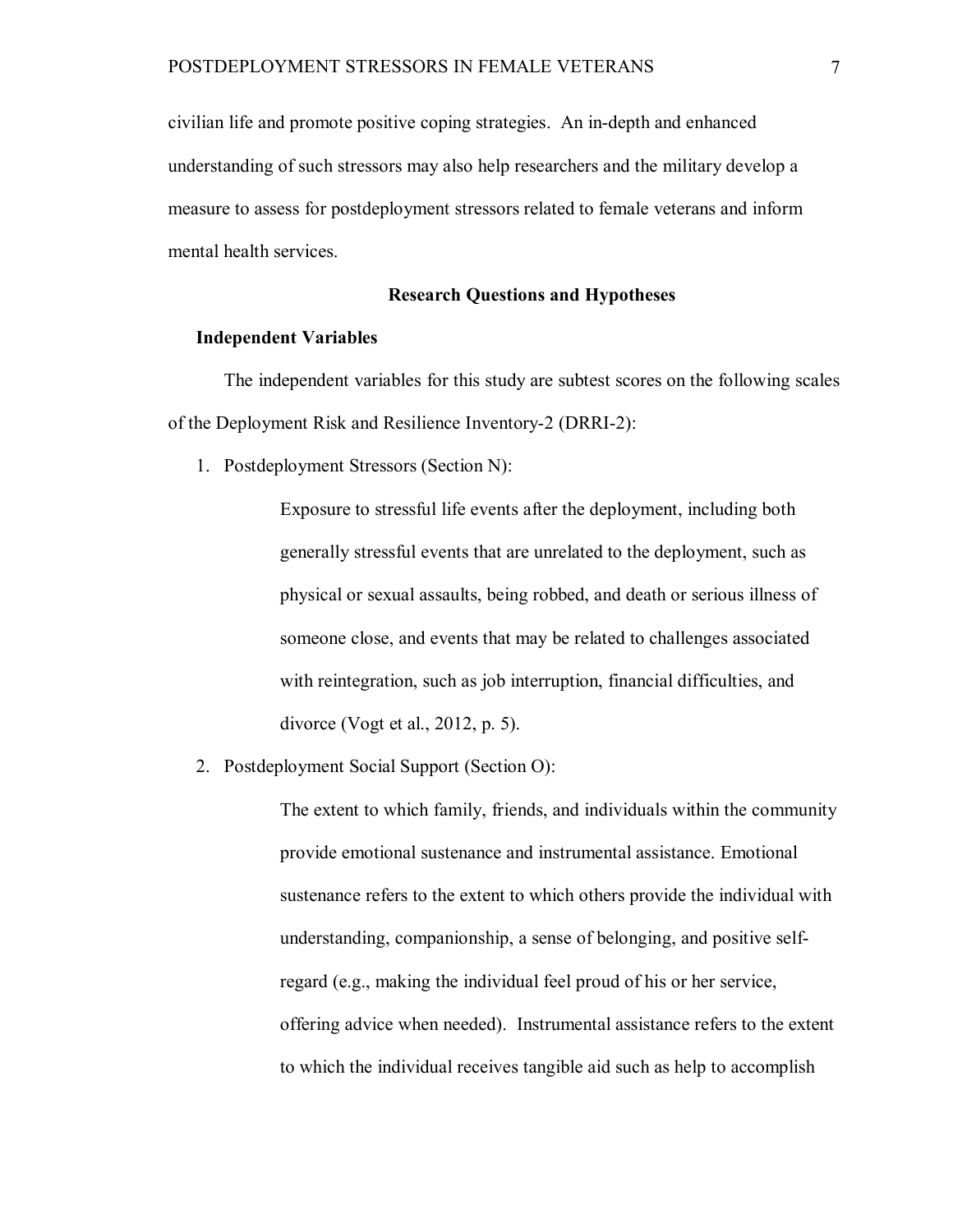civilian life and promote positive coping strategies. An in-depth and enhanced understanding of such stressors may also help researchers and the military develop a measure to assess for postdeployment stressors related to female veterans and inform mental health services.

# **Research Questions and Hypotheses**

# **Independent Variables**

The independent variables for this study are subtest scores on the following scales of the Deployment Risk and Resilience Inventory-2 (DRRI-2):

1. Postdeployment Stressors (Section N):

Exposure to stressful life events after the deployment, including both generally stressful events that are unrelated to the deployment, such as physical or sexual assaults, being robbed, and death or serious illness of someone close, and events that may be related to challenges associated with reintegration, such as job interruption, financial difficulties, and divorce (Vogt et al., 2012, p. 5).

2. Postdeployment Social Support (Section O):

The extent to which family, friends, and individuals within the community provide emotional sustenance and instrumental assistance. Emotional sustenance refers to the extent to which others provide the individual with understanding, companionship, a sense of belonging, and positive selfregard (e.g., making the individual feel proud of his or her service, offering advice when needed). Instrumental assistance refers to the extent to which the individual receives tangible aid such as help to accomplish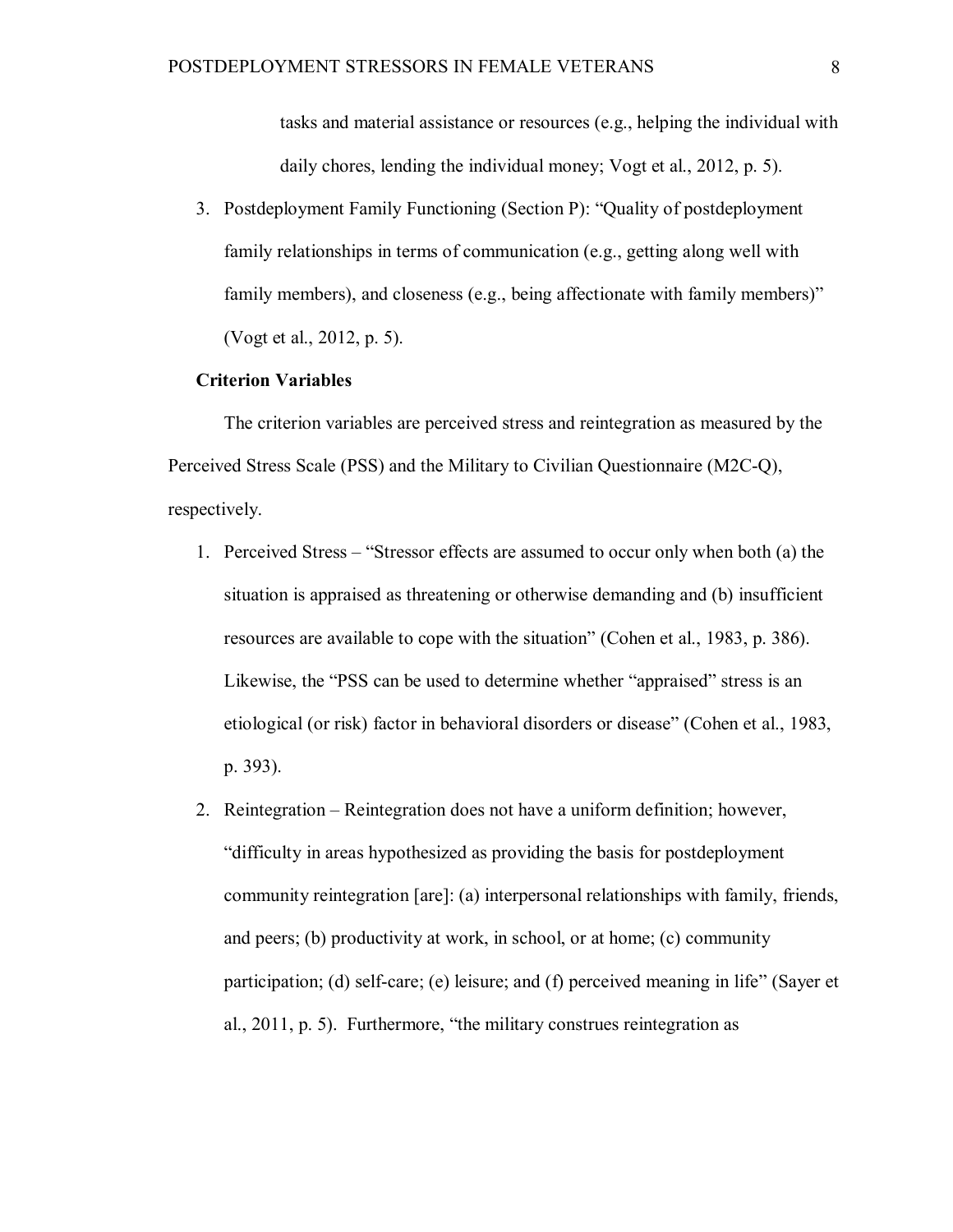tasks and material assistance or resources (e.g., helping the individual with daily chores, lending the individual money; Vogt et al., 2012, p. 5).

3. Postdeployment Family Functioning (Section P): "Quality of postdeployment family relationships in terms of communication (e.g., getting along well with family members), and closeness (e.g., being affectionate with family members)" (Vogt et al., 2012, p. 5).

# **Criterion Variables**

The criterion variables are perceived stress and reintegration as measured by the Perceived Stress Scale (PSS) and the Military to Civilian Questionnaire (M2C-Q), respectively.

- 1. Perceived Stress "Stressor effects are assumed to occur only when both (a) the situation is appraised as threatening or otherwise demanding and (b) insufficient resources are available to cope with the situation" (Cohen et al., 1983, p. 386). Likewise, the "PSS can be used to determine whether "appraised" stress is an etiological (or risk) factor in behavioral disorders or disease" (Cohen et al., 1983, p. 393).
- 2. Reintegration Reintegration does not have a uniform definition; however, "difficulty in areas hypothesized as providing the basis for postdeployment community reintegration [are]: (a) interpersonal relationships with family, friends, and peers; (b) productivity at work, in school, or at home; (c) community participation; (d) self-care; (e) leisure; and (f) perceived meaning in life" (Sayer et al., 2011, p. 5). Furthermore, "the military construes reintegration as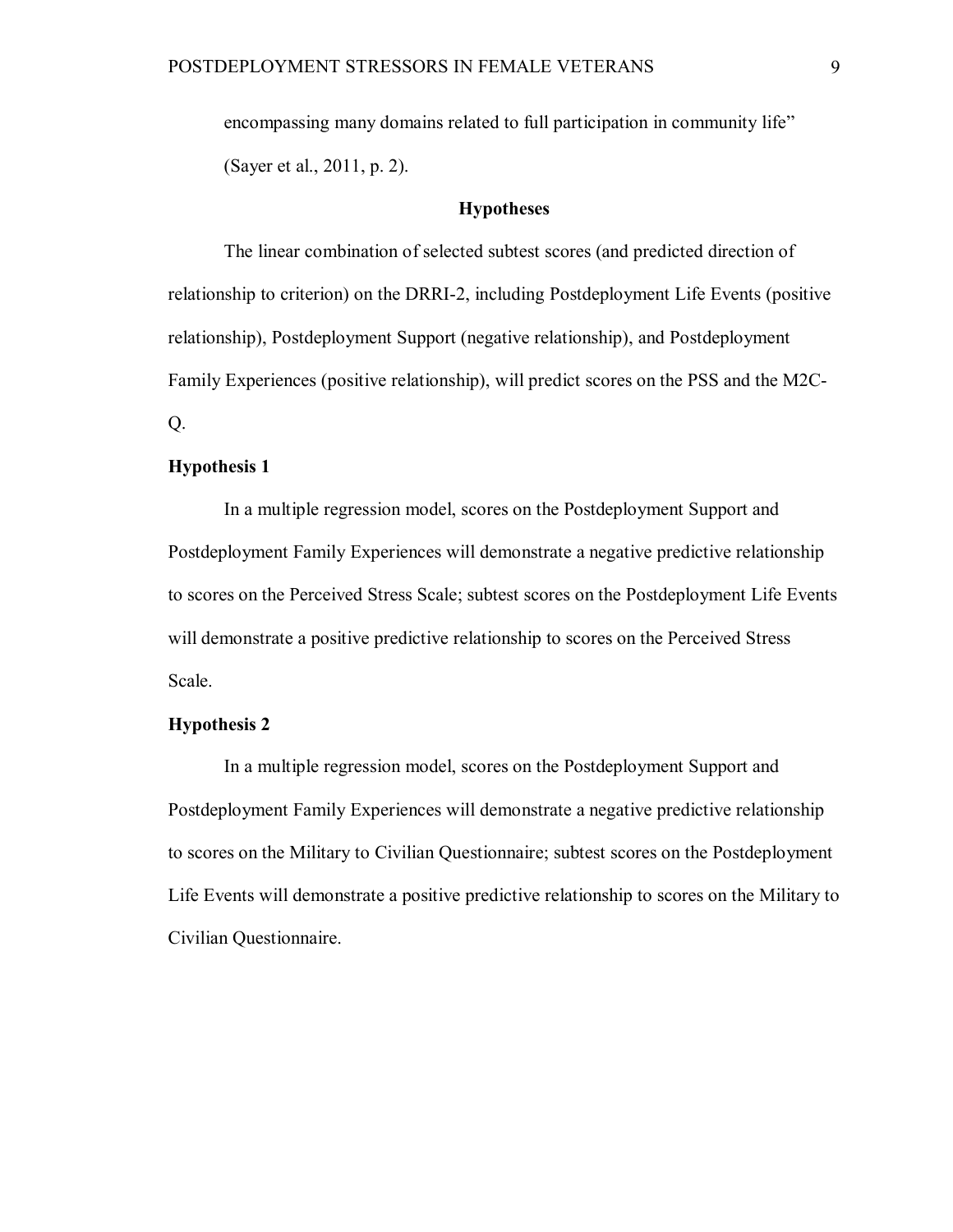encompassing many domains related to full participation in community life" (Sayer et al., 2011, p. 2).

# **Hypotheses**

The linear combination of selected subtest scores (and predicted direction of relationship to criterion) on the DRRI-2, including Postdeployment Life Events (positive relationship), Postdeployment Support (negative relationship), and Postdeployment Family Experiences (positive relationship), will predict scores on the PSS and the M2C-Q.

# **Hypothesis 1**

In a multiple regression model, scores on the Postdeployment Support and Postdeployment Family Experiences will demonstrate a negative predictive relationship to scores on the Perceived Stress Scale; subtest scores on the Postdeployment Life Events will demonstrate a positive predictive relationship to scores on the Perceived Stress Scale.

# **Hypothesis 2**

In a multiple regression model, scores on the Postdeployment Support and Postdeployment Family Experiences will demonstrate a negative predictive relationship to scores on the Military to Civilian Questionnaire; subtest scores on the Postdeployment Life Events will demonstrate a positive predictive relationship to scores on the Military to Civilian Questionnaire.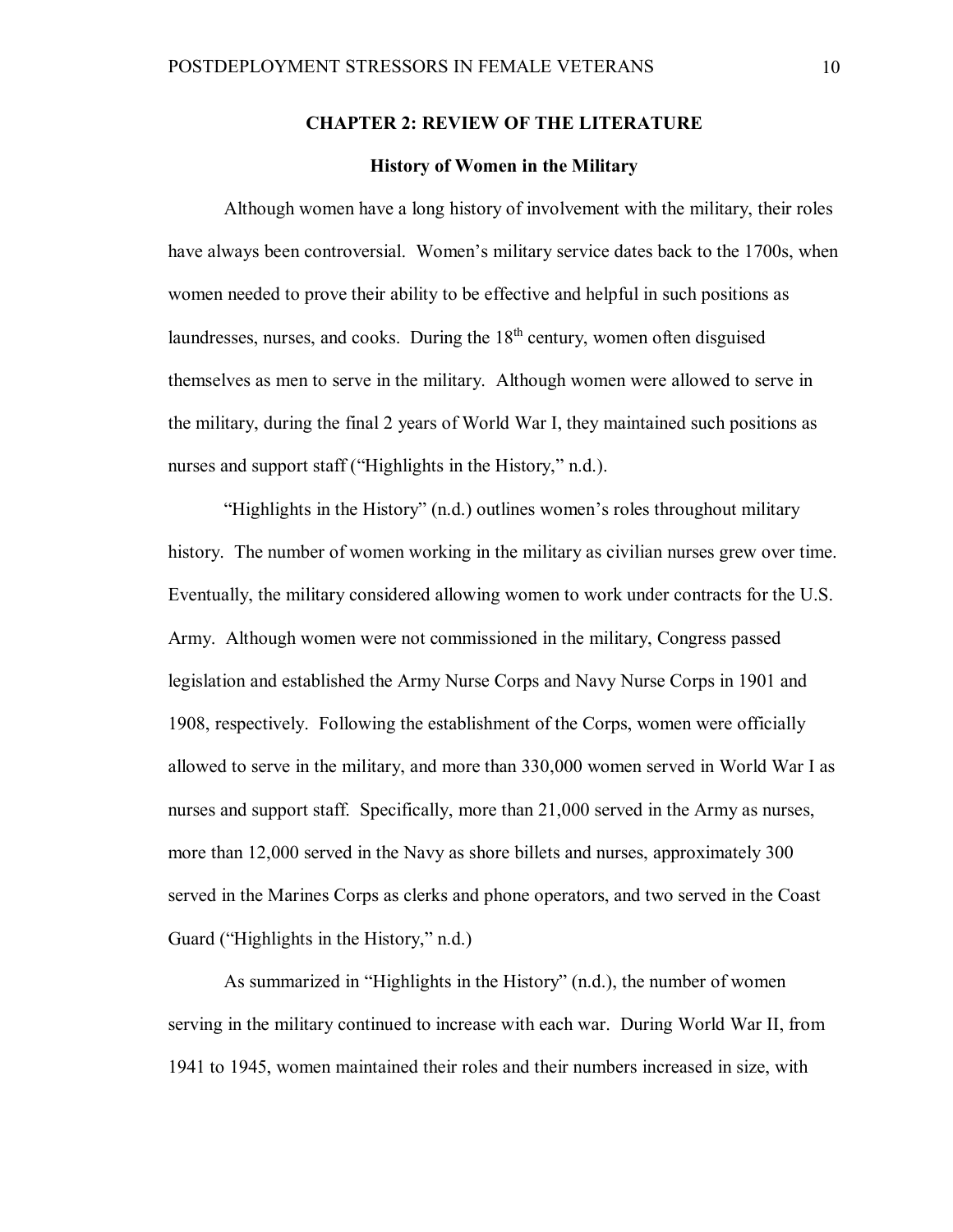# **CHAPTER 2: REVIEW OF THE LITERATURE**

# **History of Women in the Military**

Although women have a long history of involvement with the military, their roles have always been controversial. Women's military service dates back to the 1700s, when women needed to prove their ability to be effective and helpful in such positions as laundresses, nurses, and cooks. During the  $18<sup>th</sup>$  century, women often disguised themselves as men to serve in the military. Although women were allowed to serve in the military, during the final 2 years of World War I, they maintained such positions as nurses and support staff ("Highlights in the History," n.d.).

"Highlights in the History" (n.d.) outlines women's roles throughout military history. The number of women working in the military as civilian nurses grew over time. Eventually, the military considered allowing women to work under contracts for the U.S. Army. Although women were not commissioned in the military, Congress passed legislation and established the Army Nurse Corps and Navy Nurse Corps in 1901 and 1908, respectively. Following the establishment of the Corps, women were officially allowed to serve in the military, and more than 330,000 women served in World War I as nurses and support staff. Specifically, more than 21,000 served in the Army as nurses, more than 12,000 served in the Navy as shore billets and nurses, approximately 300 served in the Marines Corps as clerks and phone operators, and two served in the Coast Guard ("Highlights in the History," n.d.)

As summarized in "Highlights in the History" (n.d.), the number of women serving in the military continued to increase with each war. During World War II, from 1941 to 1945, women maintained their roles and their numbers increased in size, with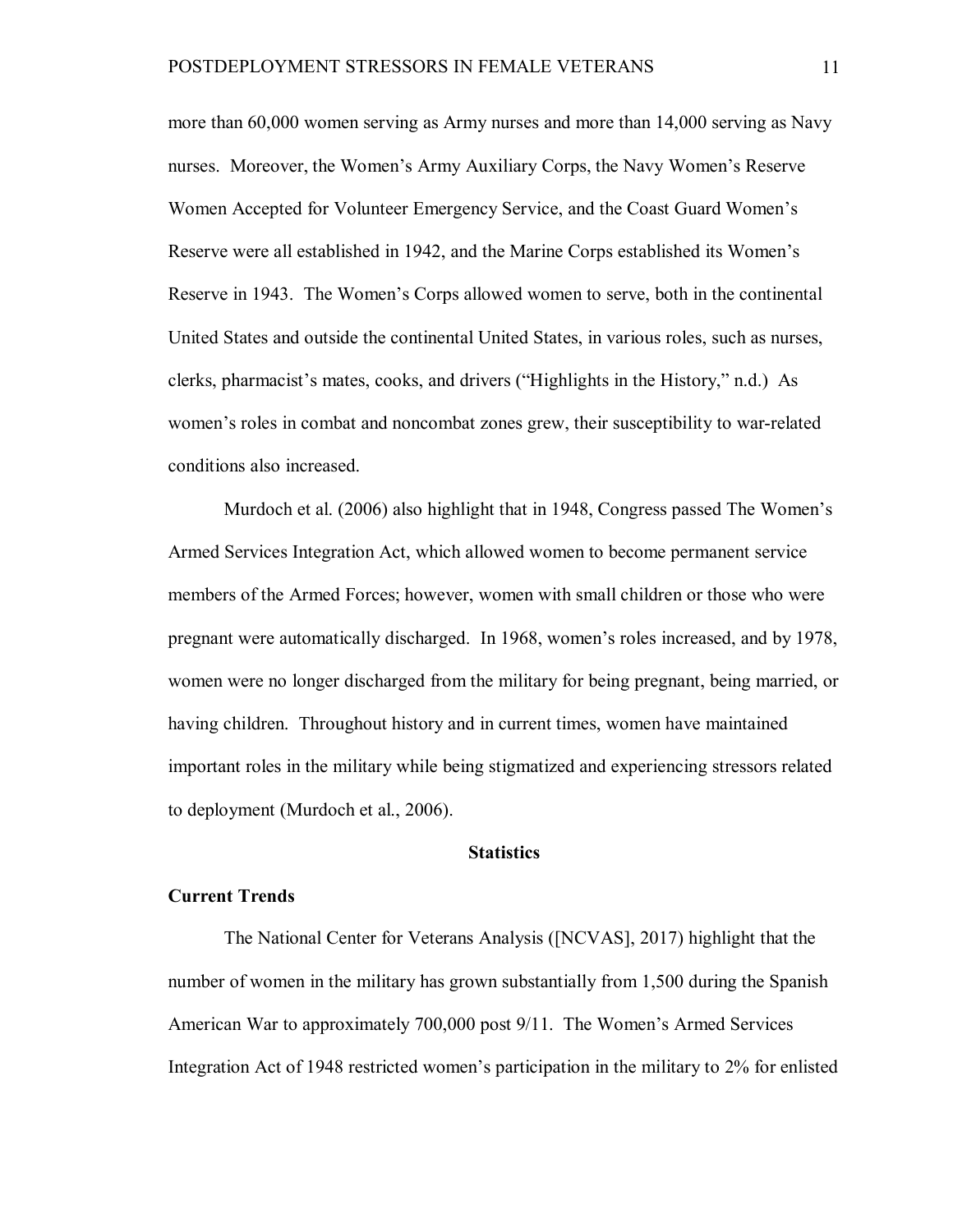more than 60,000 women serving as Army nurses and more than 14,000 serving as Navy nurses. Moreover, the Women's Army Auxiliary Corps, the Navy Women's Reserve Women Accepted for Volunteer Emergency Service, and the Coast Guard Women's Reserve were all established in 1942, and the Marine Corps established its Women's Reserve in 1943. The Women's Corps allowed women to serve, both in the continental United States and outside the continental United States, in various roles, such as nurses, clerks, pharmacist's mates, cooks, and drivers ("Highlights in the History," n.d.) As women's roles in combat and noncombat zones grew, their susceptibility to war-related conditions also increased.

Murdoch et al. (2006) also highlight that in 1948, Congress passed The Women's Armed Services Integration Act, which allowed women to become permanent service members of the Armed Forces; however, women with small children or those who were pregnant were automatically discharged. In 1968, women's roles increased, and by 1978, women were no longer discharged from the military for being pregnant, being married, or having children. Throughout history and in current times, women have maintained important roles in the military while being stigmatized and experiencing stressors related to deployment (Murdoch et al., 2006).

# **Statistics**

# **Current Trends**

The National Center for Veterans Analysis ([NCVAS], 2017) highlight that the number of women in the military has grown substantially from 1,500 during the Spanish American War to approximately 700,000 post 9/11. The Women's Armed Services Integration Act of 1948 restricted women's participation in the military to 2% for enlisted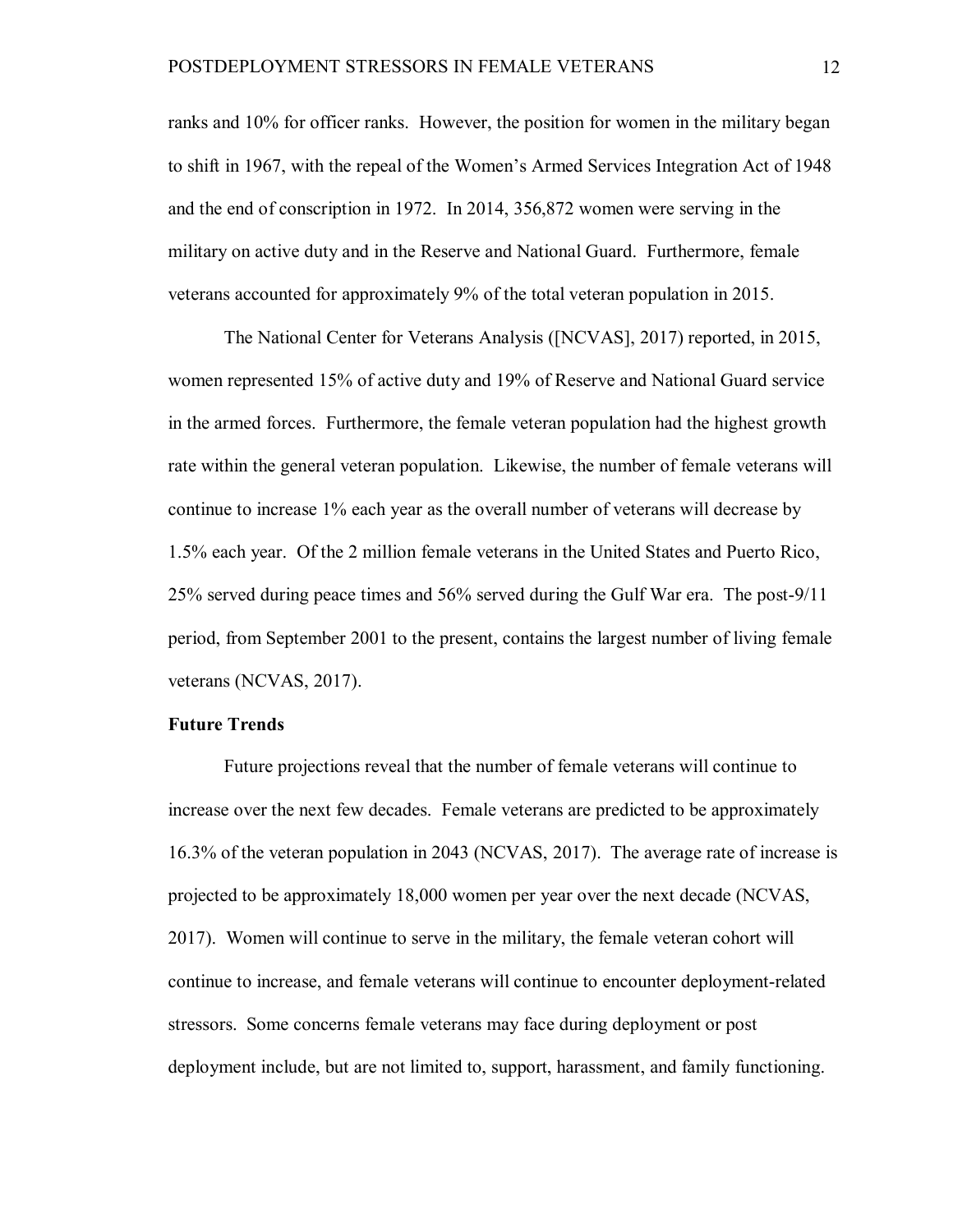ranks and 10% for officer ranks. However, the position for women in the military began to shift in 1967, with the repeal of the Women's Armed Services Integration Act of 1948 and the end of conscription in 1972. In 2014, 356,872 women were serving in the military on active duty and in the Reserve and National Guard. Furthermore, female veterans accounted for approximately 9% of the total veteran population in 2015.

The National Center for Veterans Analysis ([NCVAS], 2017) reported, in 2015, women represented 15% of active duty and 19% of Reserve and National Guard service in the armed forces. Furthermore, the female veteran population had the highest growth rate within the general veteran population. Likewise, the number of female veterans will continue to increase 1% each year as the overall number of veterans will decrease by 1.5% each year. Of the 2 million female veterans in the United States and Puerto Rico, 25% served during peace times and 56% served during the Gulf War era. The post-9/11 period, from September 2001 to the present, contains the largest number of living female veterans (NCVAS, 2017).

# **Future Trends**

Future projections reveal that the number of female veterans will continue to increase over the next few decades. Female veterans are predicted to be approximately 16.3% of the veteran population in 2043 (NCVAS, 2017). The average rate of increase is projected to be approximately 18,000 women per year over the next decade (NCVAS, 2017). Women will continue to serve in the military, the female veteran cohort will continue to increase, and female veterans will continue to encounter deployment-related stressors. Some concerns female veterans may face during deployment or post deployment include, but are not limited to, support, harassment, and family functioning.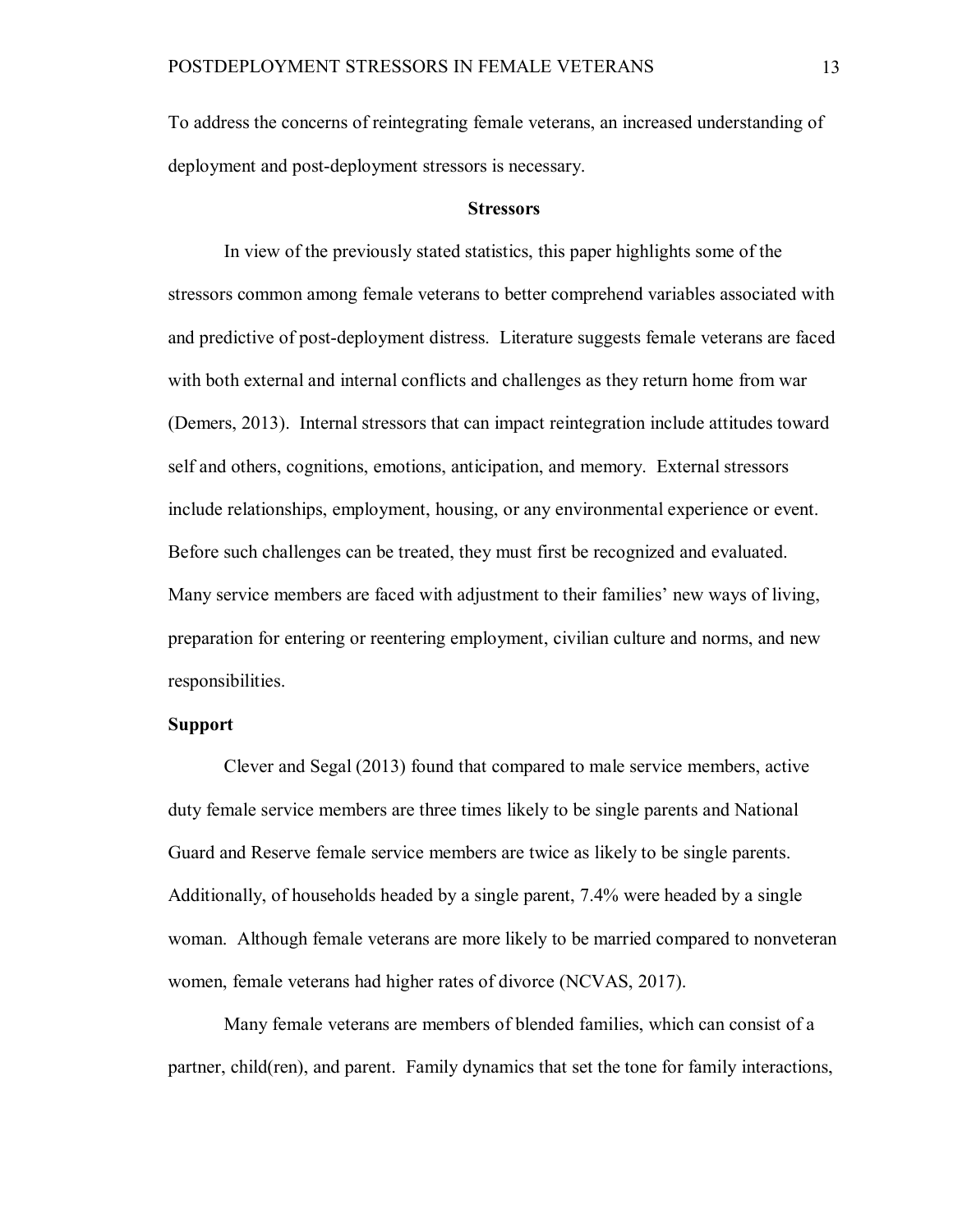To address the concerns of reintegrating female veterans, an increased understanding of deployment and post-deployment stressors is necessary.

#### **Stressors**

In view of the previously stated statistics, this paper highlights some of the stressors common among female veterans to better comprehend variables associated with and predictive of post-deployment distress. Literature suggests female veterans are faced with both external and internal conflicts and challenges as they return home from war (Demers, 2013). Internal stressors that can impact reintegration include attitudes toward self and others, cognitions, emotions, anticipation, and memory. External stressors include relationships, employment, housing, or any environmental experience or event. Before such challenges can be treated, they must first be recognized and evaluated. Many service members are faced with adjustment to their families' new ways of living, preparation for entering or reentering employment, civilian culture and norms, and new responsibilities.

# **Support**

Clever and Segal (2013) found that compared to male service members, active duty female service members are three times likely to be single parents and National Guard and Reserve female service members are twice as likely to be single parents. Additionally, of households headed by a single parent, 7.4% were headed by a single woman. Although female veterans are more likely to be married compared to nonveteran women, female veterans had higher rates of divorce (NCVAS, 2017).

Many female veterans are members of blended families, which can consist of a partner, child(ren), and parent. Family dynamics that set the tone for family interactions,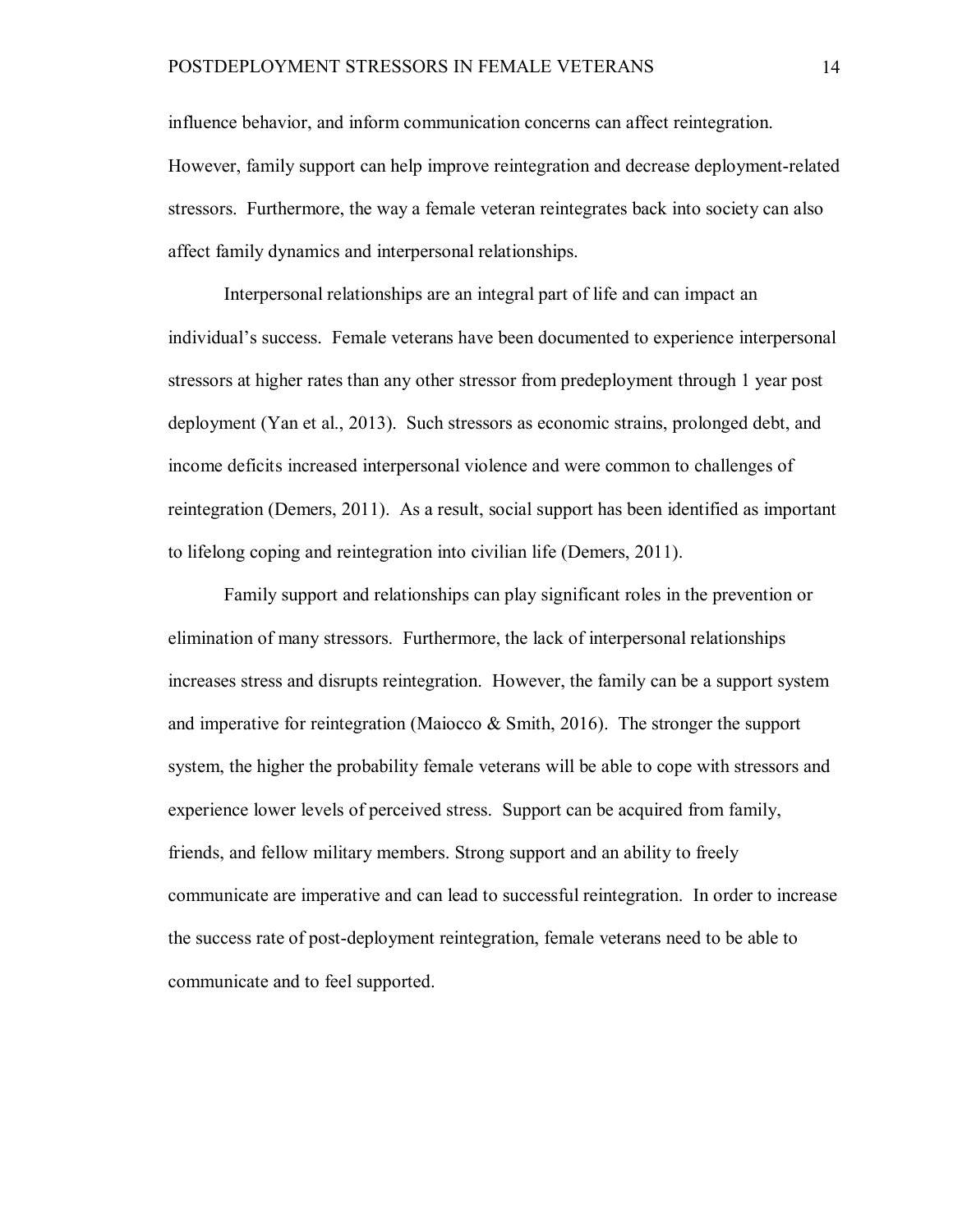influence behavior, and inform communication concerns can affect reintegration. However, family support can help improve reintegration and decrease deployment-related stressors. Furthermore, the way a female veteran reintegrates back into society can also affect family dynamics and interpersonal relationships.

Interpersonal relationships are an integral part of life and can impact an individual's success. Female veterans have been documented to experience interpersonal stressors at higher rates than any other stressor from predeployment through 1 year post deployment (Yan et al., 2013). Such stressors as economic strains, prolonged debt, and income deficits increased interpersonal violence and were common to challenges of reintegration (Demers, 2011). As a result, social support has been identified as important to lifelong coping and reintegration into civilian life (Demers, 2011).

Family support and relationships can play significant roles in the prevention or elimination of many stressors. Furthermore, the lack of interpersonal relationships increases stress and disrupts reintegration. However, the family can be a support system and imperative for reintegration (Maiocco & Smith, 2016). The stronger the support system, the higher the probability female veterans will be able to cope with stressors and experience lower levels of perceived stress. Support can be acquired from family, friends, and fellow military members. Strong support and an ability to freely communicate are imperative and can lead to successful reintegration. In order to increase the success rate of post-deployment reintegration, female veterans need to be able to communicate and to feel supported.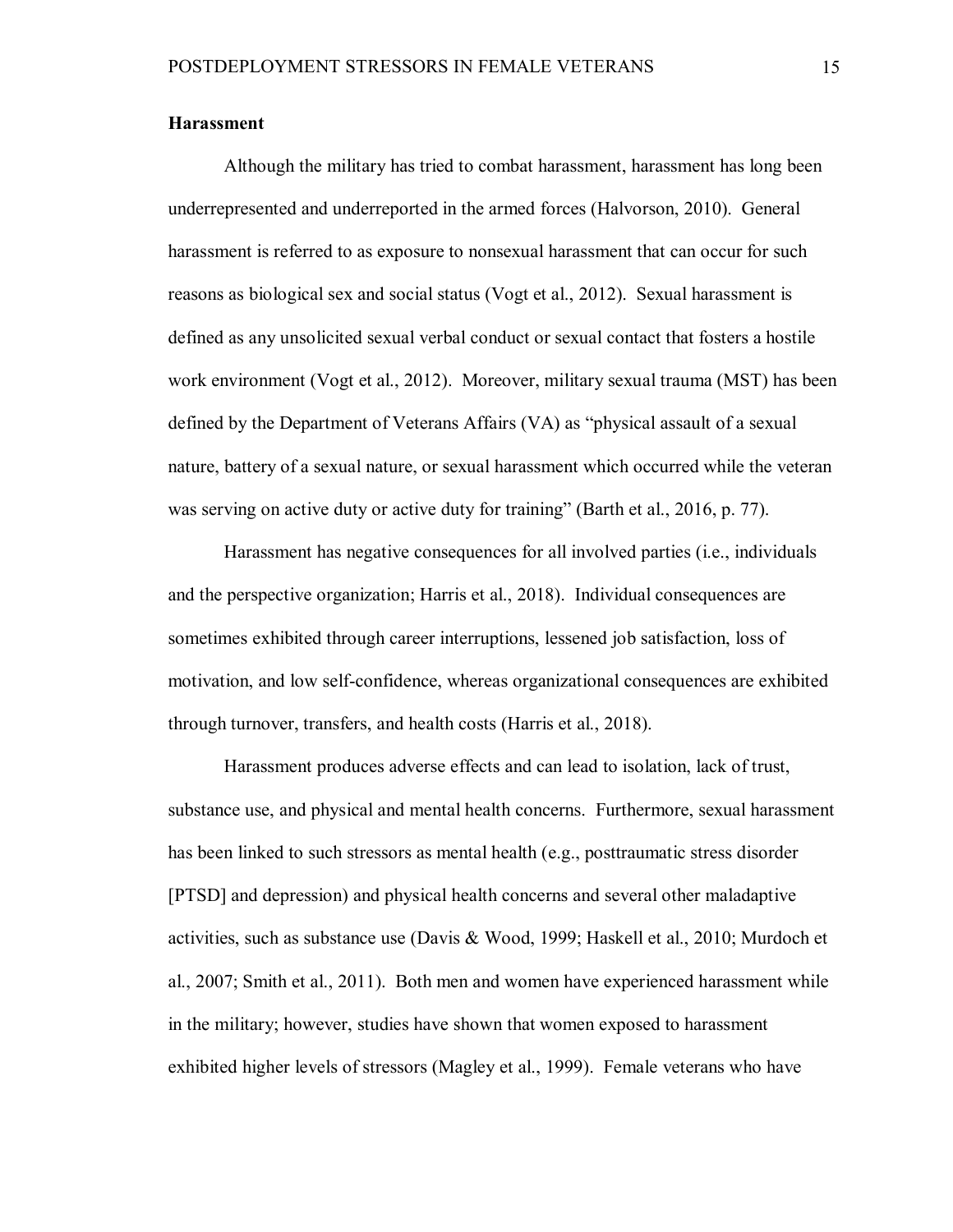# **Harassment**

Although the military has tried to combat harassment, harassment has long been underrepresented and underreported in the armed forces (Halvorson, 2010). General harassment is referred to as exposure to nonsexual harassment that can occur for such reasons as biological sex and social status (Vogt et al., 2012). Sexual harassment is defined as any unsolicited sexual verbal conduct or sexual contact that fosters a hostile work environment (Vogt et al., 2012). Moreover, military sexual trauma (MST) has been defined by the Department of Veterans Affairs (VA) as "physical assault of a sexual nature, battery of a sexual nature, or sexual harassment which occurred while the veteran was serving on active duty or active duty for training" (Barth et al., 2016, p. 77).

Harassment has negative consequences for all involved parties (i.e., individuals and the perspective organization; Harris et al., 2018). Individual consequences are sometimes exhibited through career interruptions, lessened job satisfaction, loss of motivation, and low self-confidence, whereas organizational consequences are exhibited through turnover, transfers, and health costs (Harris et al., 2018).

Harassment produces adverse effects and can lead to isolation, lack of trust, substance use, and physical and mental health concerns. Furthermore, sexual harassment has been linked to such stressors as mental health (e.g., posttraumatic stress disorder [PTSD] and depression) and physical health concerns and several other maladaptive activities, such as substance use (Davis & Wood, 1999; Haskell et al., 2010; Murdoch et al., 2007; Smith et al., 2011). Both men and women have experienced harassment while in the military; however, studies have shown that women exposed to harassment exhibited higher levels of stressors (Magley et al., 1999). Female veterans who have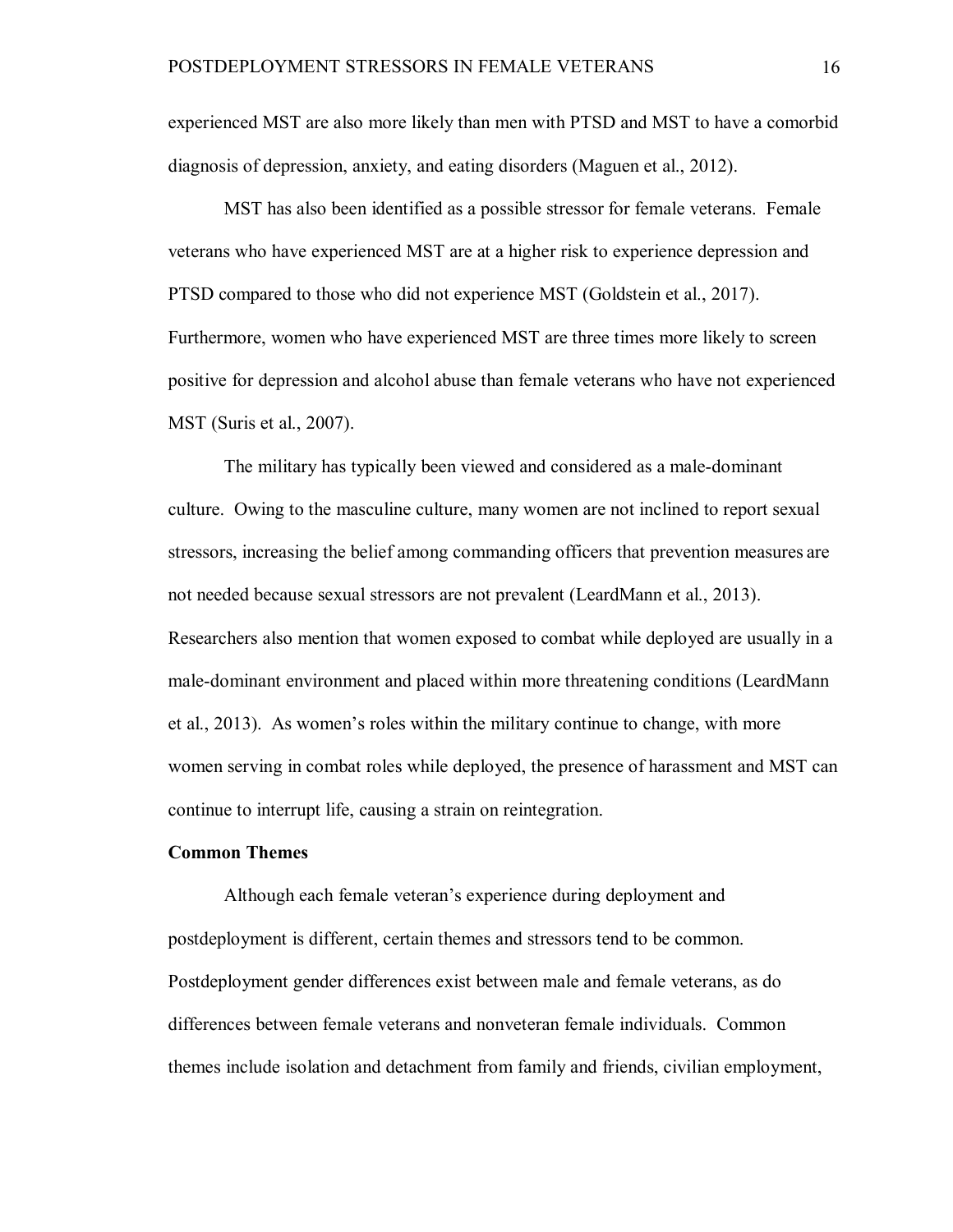experienced MST are also more likely than men with PTSD and MST to have a comorbid diagnosis of depression, anxiety, and eating disorders (Maguen et al., 2012).

MST has also been identified as a possible stressor for female veterans. Female veterans who have experienced MST are at a higher risk to experience depression and PTSD compared to those who did not experience MST (Goldstein et al., 2017). Furthermore, women who have experienced MST are three times more likely to screen positive for depression and alcohol abuse than female veterans who have not experienced MST (Suris et al., 2007).

The military has typically been viewed and considered as a male-dominant culture. Owing to the masculine culture, many women are not inclined to report sexual stressors, increasing the belief among commanding officers that prevention measures are not needed because sexual stressors are not prevalent (LeardMann et al., 2013). Researchers also mention that women exposed to combat while deployed are usually in a male-dominant environment and placed within more threatening conditions (LeardMann et al., 2013). As women's roles within the military continue to change, with more women serving in combat roles while deployed, the presence of harassment and MST can continue to interrupt life, causing a strain on reintegration.

# **Common Themes**

Although each female veteran's experience during deployment and postdeployment is different, certain themes and stressors tend to be common. Postdeployment gender differences exist between male and female veterans, as do differences between female veterans and nonveteran female individuals. Common themes include isolation and detachment from family and friends, civilian employment,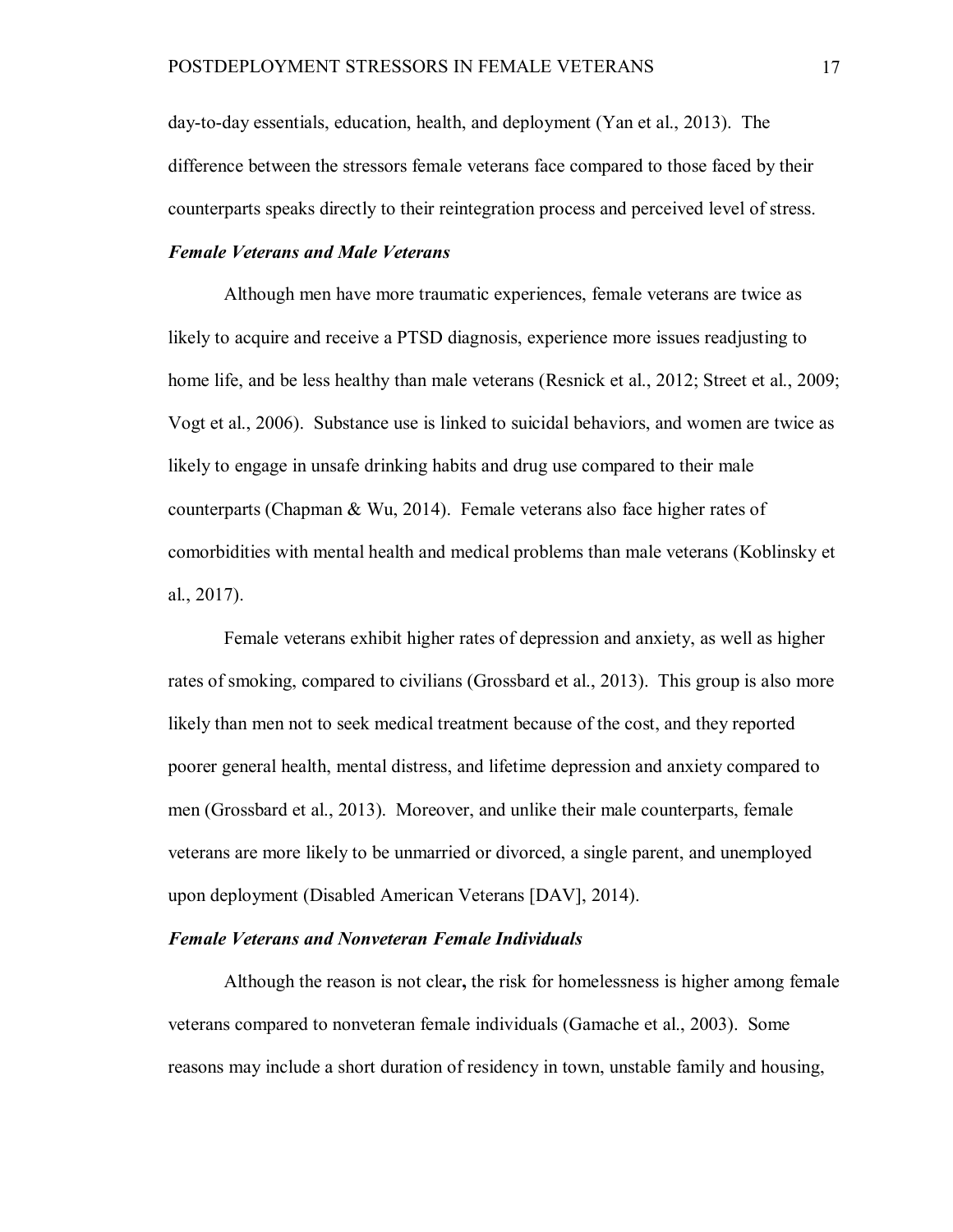day-to-day essentials, education, health, and deployment (Yan et al., 2013). The difference between the stressors female veterans face compared to those faced by their counterparts speaks directly to their reintegration process and perceived level of stress.

# *Female Veterans and Male Veterans*

Although men have more traumatic experiences, female veterans are twice as likely to acquire and receive a PTSD diagnosis, experience more issues readjusting to home life, and be less healthy than male veterans (Resnick et al., 2012; Street et al., 2009; Vogt et al., 2006). Substance use is linked to suicidal behaviors, and women are twice as likely to engage in unsafe drinking habits and drug use compared to their male counterparts (Chapman & Wu, 2014). Female veterans also face higher rates of comorbidities with mental health and medical problems than male veterans (Koblinsky et al., 2017).

Female veterans exhibit higher rates of depression and anxiety, as well as higher rates of smoking, compared to civilians (Grossbard et al., 2013). This group is also more likely than men not to seek medical treatment because of the cost, and they reported poorer general health, mental distress, and lifetime depression and anxiety compared to men (Grossbard et al., 2013). Moreover, and unlike their male counterparts, female veterans are more likely to be unmarried or divorced, a single parent, and unemployed upon deployment (Disabled American Veterans [DAV], 2014).

## *Female Veterans and Nonveteran Female Individuals*

Although the reason is not clear**,** the risk for homelessness is higher among female veterans compared to nonveteran female individuals (Gamache et al., 2003). Some reasons may include a short duration of residency in town, unstable family and housing,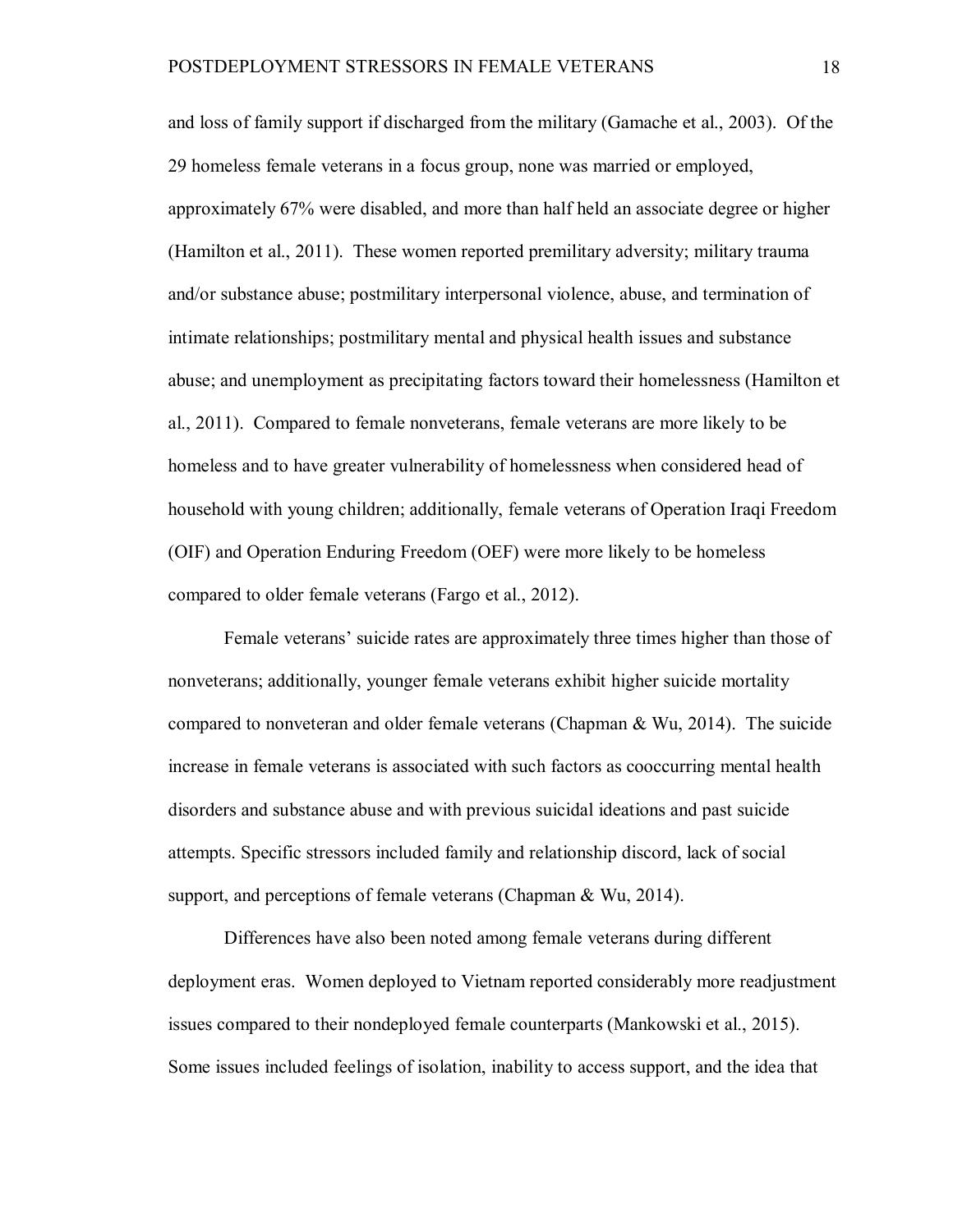and loss of family support if discharged from the military (Gamache et al., 2003). Of the 29 homeless female veterans in a focus group, none was married or employed, approximately 67% were disabled, and more than half held an associate degree or higher (Hamilton et al., 2011). These women reported premilitary adversity; military trauma and/or substance abuse; postmilitary interpersonal violence, abuse, and termination of intimate relationships; postmilitary mental and physical health issues and substance abuse; and unemployment as precipitating factors toward their homelessness (Hamilton et al., 2011). Compared to female nonveterans, female veterans are more likely to be homeless and to have greater vulnerability of homelessness when considered head of household with young children; additionally, female veterans of Operation Iraqi Freedom (OIF) and Operation Enduring Freedom (OEF) were more likely to be homeless compared to older female veterans (Fargo et al., 2012).

Female veterans' suicide rates are approximately three times higher than those of nonveterans; additionally, younger female veterans exhibit higher suicide mortality compared to nonveteran and older female veterans (Chapman & Wu, 2014). The suicide increase in female veterans is associated with such factors as cooccurring mental health disorders and substance abuse and with previous suicidal ideations and past suicide attempts. Specific stressors included family and relationship discord, lack of social support, and perceptions of female veterans (Chapman & Wu, 2014).

Differences have also been noted among female veterans during different deployment eras. Women deployed to Vietnam reported considerably more readjustment issues compared to their nondeployed female counterparts (Mankowski et al., 2015). Some issues included feelings of isolation, inability to access support, and the idea that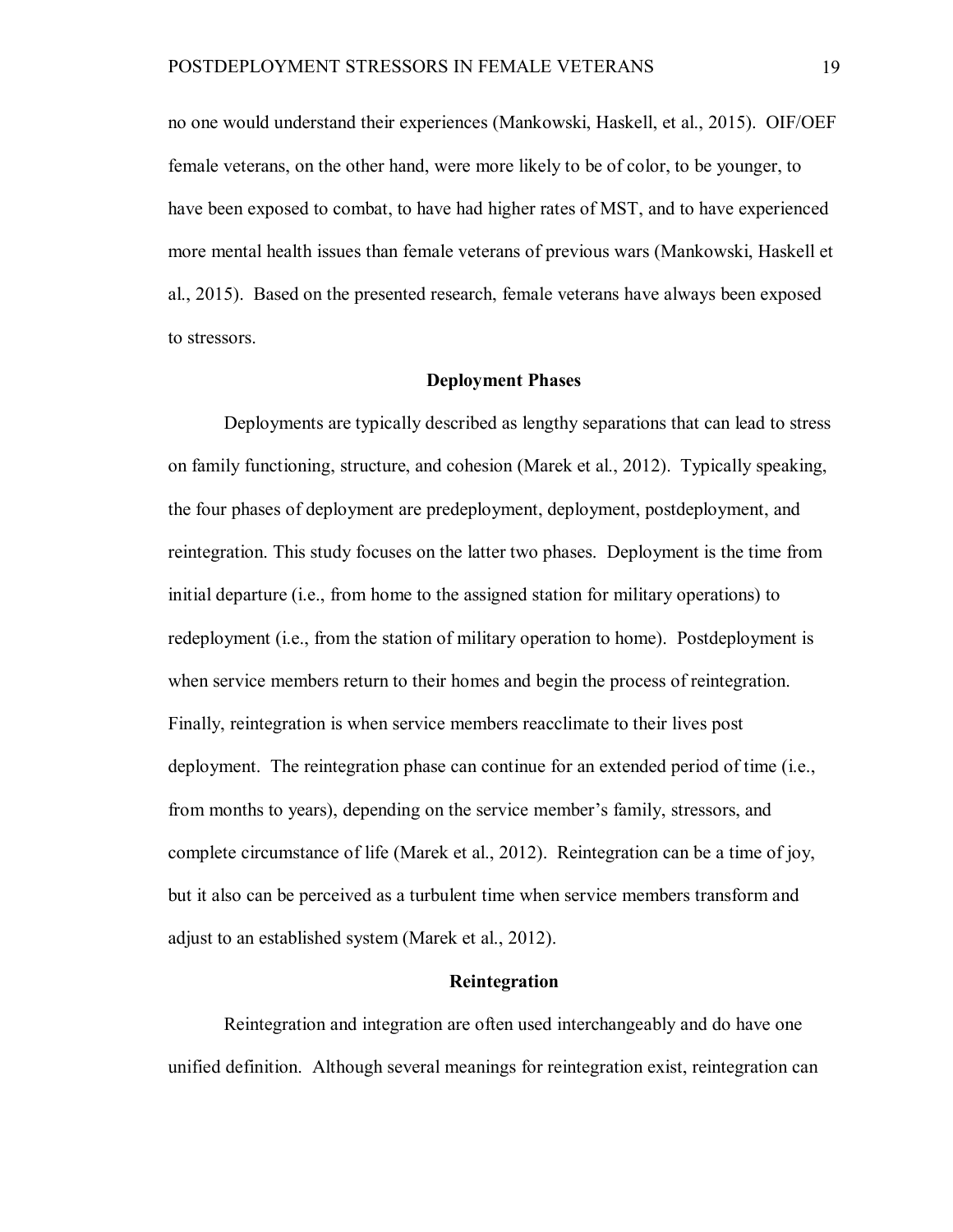no one would understand their experiences (Mankowski, Haskell, et al., 2015). OIF/OEF female veterans, on the other hand, were more likely to be of color, to be younger, to have been exposed to combat, to have had higher rates of MST, and to have experienced more mental health issues than female veterans of previous wars (Mankowski, Haskell et al., 2015). Based on the presented research, female veterans have always been exposed to stressors.

## **Deployment Phases**

Deployments are typically described as lengthy separations that can lead to stress on family functioning, structure, and cohesion (Marek et al., 2012). Typically speaking, the four phases of deployment are predeployment, deployment, postdeployment, and reintegration. This study focuses on the latter two phases. Deployment is the time from initial departure (i.e., from home to the assigned station for military operations) to redeployment (i.e., from the station of military operation to home). Postdeployment is when service members return to their homes and begin the process of reintegration. Finally, reintegration is when service members reacclimate to their lives post deployment. The reintegration phase can continue for an extended period of time (i.e., from months to years), depending on the service member's family, stressors, and complete circumstance of life (Marek et al., 2012). Reintegration can be a time of joy, but it also can be perceived as a turbulent time when service members transform and adjust to an established system (Marek et al., 2012).

## **Reintegration**

Reintegration and integration are often used interchangeably and do have one unified definition. Although several meanings for reintegration exist, reintegration can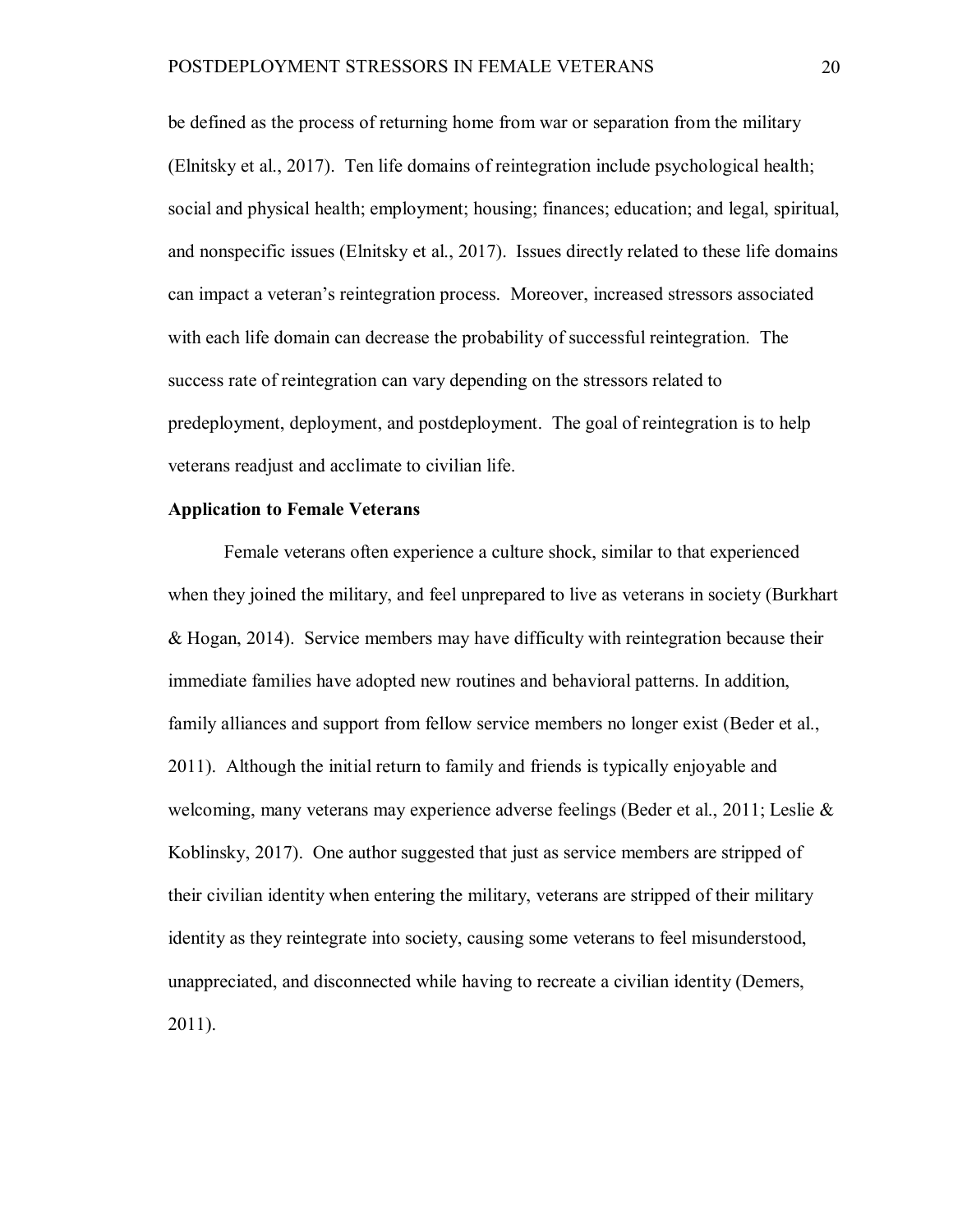be defined as the process of returning home from war or separation from the military (Elnitsky et al., 2017). Ten life domains of reintegration include psychological health; social and physical health; employment; housing; finances; education; and legal, spiritual, and nonspecific issues (Elnitsky et al., 2017). Issues directly related to these life domains can impact a veteran's reintegration process. Moreover, increased stressors associated with each life domain can decrease the probability of successful reintegration. The success rate of reintegration can vary depending on the stressors related to predeployment, deployment, and postdeployment. The goal of reintegration is to help veterans readjust and acclimate to civilian life.

# **Application to Female Veterans**

Female veterans often experience a culture shock, similar to that experienced when they joined the military, and feel unprepared to live as veterans in society (Burkhart & Hogan, 2014). Service members may have difficulty with reintegration because their immediate families have adopted new routines and behavioral patterns. In addition, family alliances and support from fellow service members no longer exist (Beder et al., 2011). Although the initial return to family and friends is typically enjoyable and welcoming, many veterans may experience adverse feelings (Beder et al., 2011; Leslie & Koblinsky, 2017). One author suggested that just as service members are stripped of their civilian identity when entering the military, veterans are stripped of their military identity as they reintegrate into society, causing some veterans to feel misunderstood, unappreciated, and disconnected while having to recreate a civilian identity (Demers, 2011).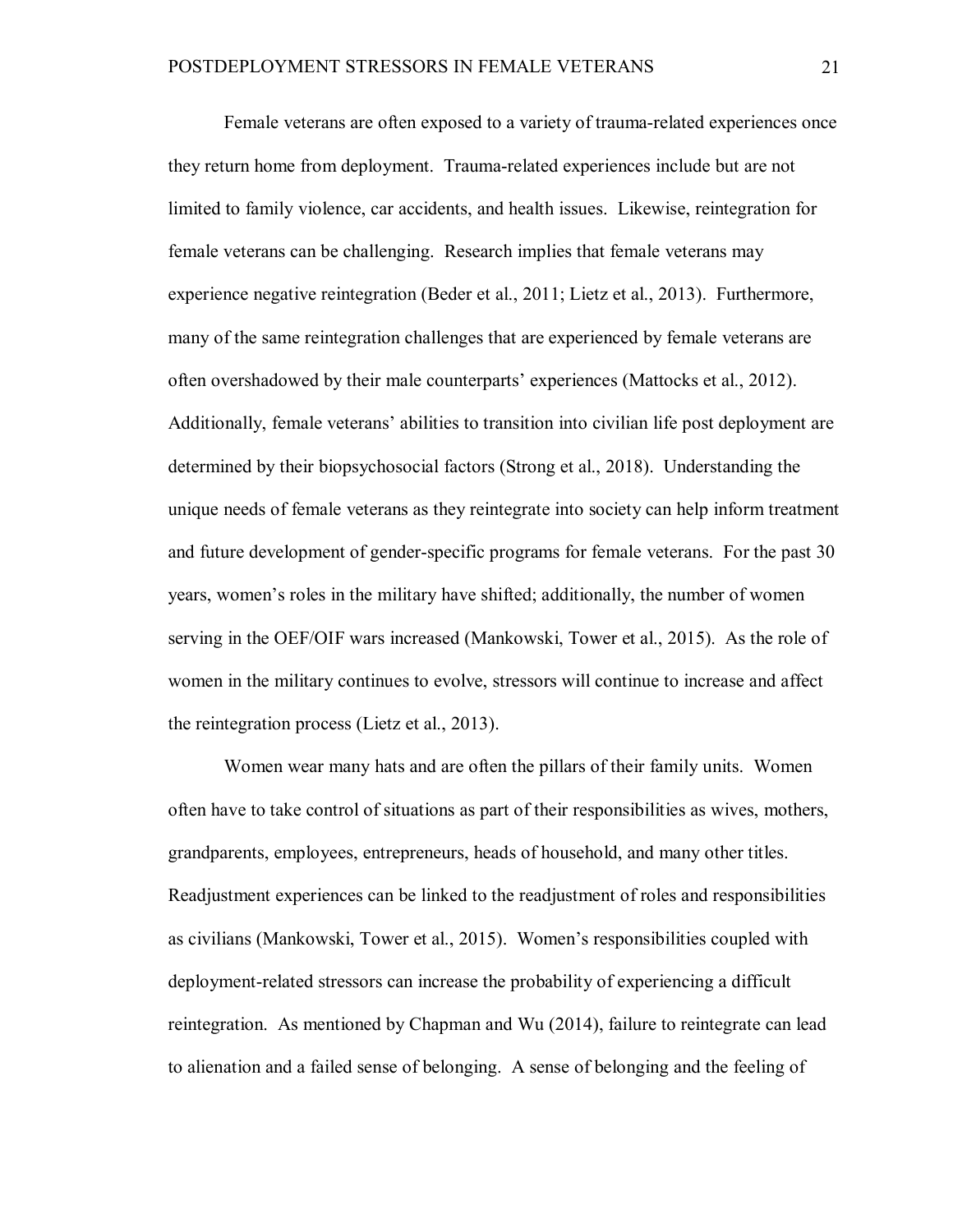Female veterans are often exposed to a variety of trauma-related experiences once they return home from deployment. Trauma-related experiences include but are not limited to family violence, car accidents, and health issues. Likewise, reintegration for female veterans can be challenging. Research implies that female veterans may experience negative reintegration (Beder et al., 2011; Lietz et al., 2013). Furthermore, many of the same reintegration challenges that are experienced by female veterans are often overshadowed by their male counterparts' experiences (Mattocks et al., 2012). Additionally, female veterans' abilities to transition into civilian life post deployment are determined by their biopsychosocial factors (Strong et al., 2018). Understanding the unique needs of female veterans as they reintegrate into society can help inform treatment and future development of gender-specific programs for female veterans. For the past 30 years, women's roles in the military have shifted; additionally, the number of women serving in the OEF/OIF wars increased (Mankowski, Tower et al., 2015). As the role of women in the military continues to evolve, stressors will continue to increase and affect the reintegration process (Lietz et al., 2013).

Women wear many hats and are often the pillars of their family units. Women often have to take control of situations as part of their responsibilities as wives, mothers, grandparents, employees, entrepreneurs, heads of household, and many other titles. Readjustment experiences can be linked to the readjustment of roles and responsibilities as civilians (Mankowski, Tower et al., 2015). Women's responsibilities coupled with deployment-related stressors can increase the probability of experiencing a difficult reintegration. As mentioned by Chapman and Wu (2014), failure to reintegrate can lead to alienation and a failed sense of belonging. A sense of belonging and the feeling of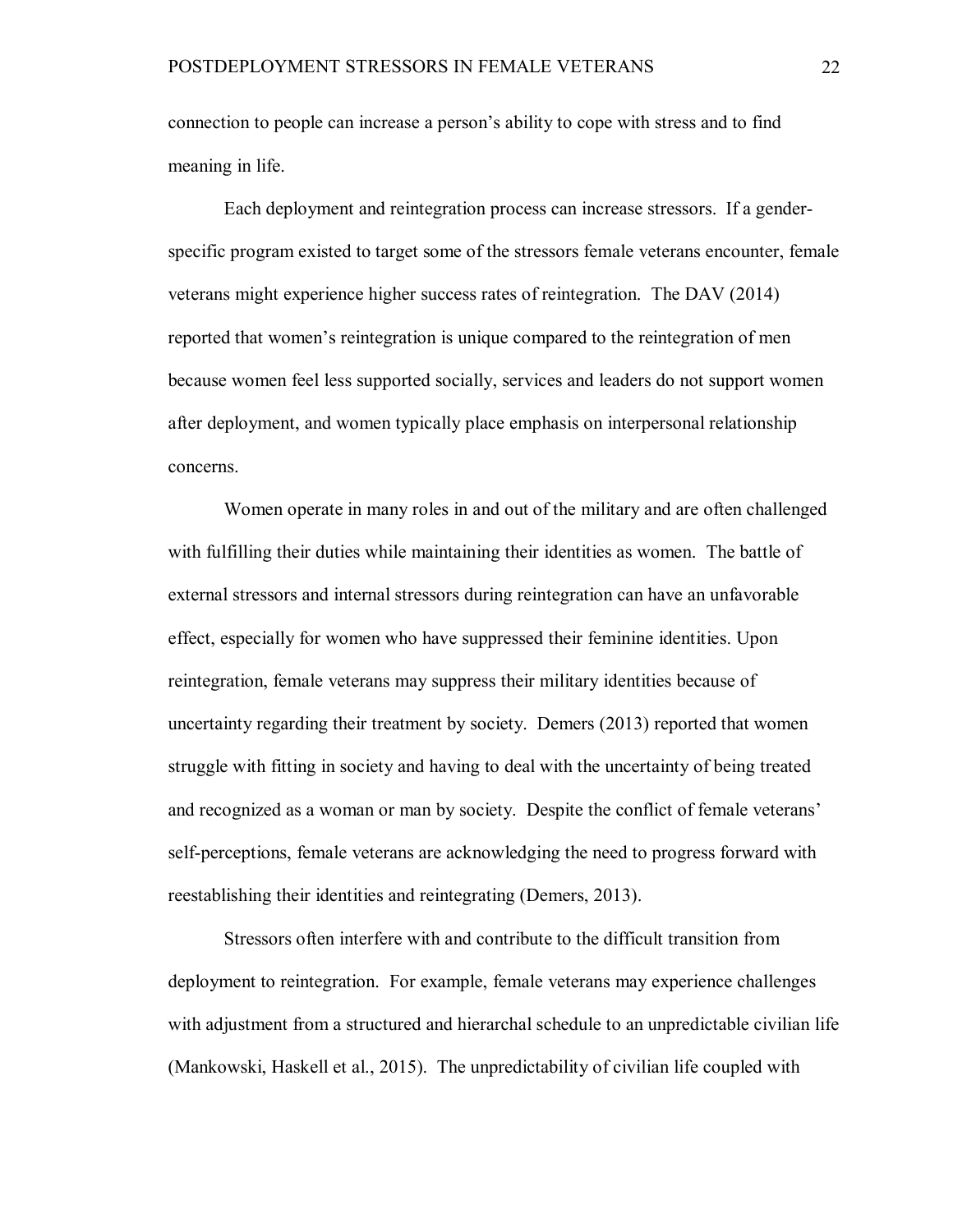connection to people can increase a person's ability to cope with stress and to find meaning in life.

Each deployment and reintegration process can increase stressors. If a genderspecific program existed to target some of the stressors female veterans encounter, female veterans might experience higher success rates of reintegration. The DAV (2014) reported that women's reintegration is unique compared to the reintegration of men because women feel less supported socially, services and leaders do not support women after deployment, and women typically place emphasis on interpersonal relationship concerns.

Women operate in many roles in and out of the military and are often challenged with fulfilling their duties while maintaining their identities as women. The battle of external stressors and internal stressors during reintegration can have an unfavorable effect, especially for women who have suppressed their feminine identities. Upon reintegration, female veterans may suppress their military identities because of uncertainty regarding their treatment by society. Demers (2013) reported that women struggle with fitting in society and having to deal with the uncertainty of being treated and recognized as a woman or man by society. Despite the conflict of female veterans' self-perceptions, female veterans are acknowledging the need to progress forward with reestablishing their identities and reintegrating (Demers, 2013).

Stressors often interfere with and contribute to the difficult transition from deployment to reintegration. For example, female veterans may experience challenges with adjustment from a structured and hierarchal schedule to an unpredictable civilian life (Mankowski, Haskell et al., 2015). The unpredictability of civilian life coupled with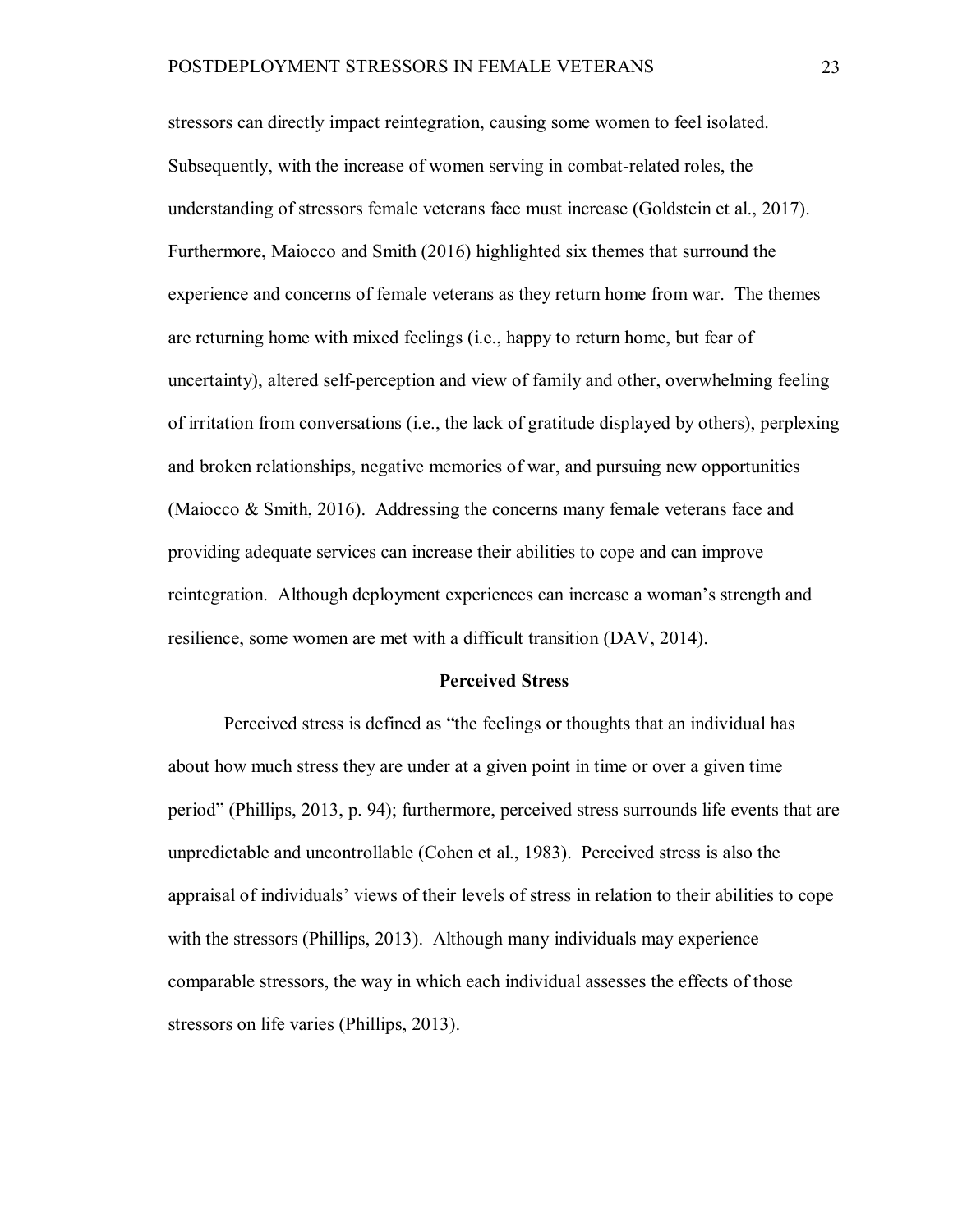stressors can directly impact reintegration, causing some women to feel isolated. Subsequently, with the increase of women serving in combat-related roles, the understanding of stressors female veterans face must increase (Goldstein et al., 2017). Furthermore, Maiocco and Smith (2016) highlighted six themes that surround the experience and concerns of female veterans as they return home from war. The themes are returning home with mixed feelings (i.e., happy to return home, but fear of uncertainty), altered self-perception and view of family and other, overwhelming feeling of irritation from conversations (i.e., the lack of gratitude displayed by others), perplexing and broken relationships, negative memories of war, and pursuing new opportunities (Maiocco & Smith, 2016). Addressing the concerns many female veterans face and providing adequate services can increase their abilities to cope and can improve reintegration. Although deployment experiences can increase a woman's strength and resilience, some women are met with a difficult transition (DAV, 2014).

## **Perceived Stress**

Perceived stress is defined as "the feelings or thoughts that an individual has about how much stress they are under at a given point in time or over a given time period" (Phillips, 2013, p. 94); furthermore, perceived stress surrounds life events that are unpredictable and uncontrollable (Cohen et al., 1983). Perceived stress is also the appraisal of individuals' views of their levels of stress in relation to their abilities to cope with the stressors (Phillips, 2013). Although many individuals may experience comparable stressors, the way in which each individual assesses the effects of those stressors on life varies (Phillips, 2013).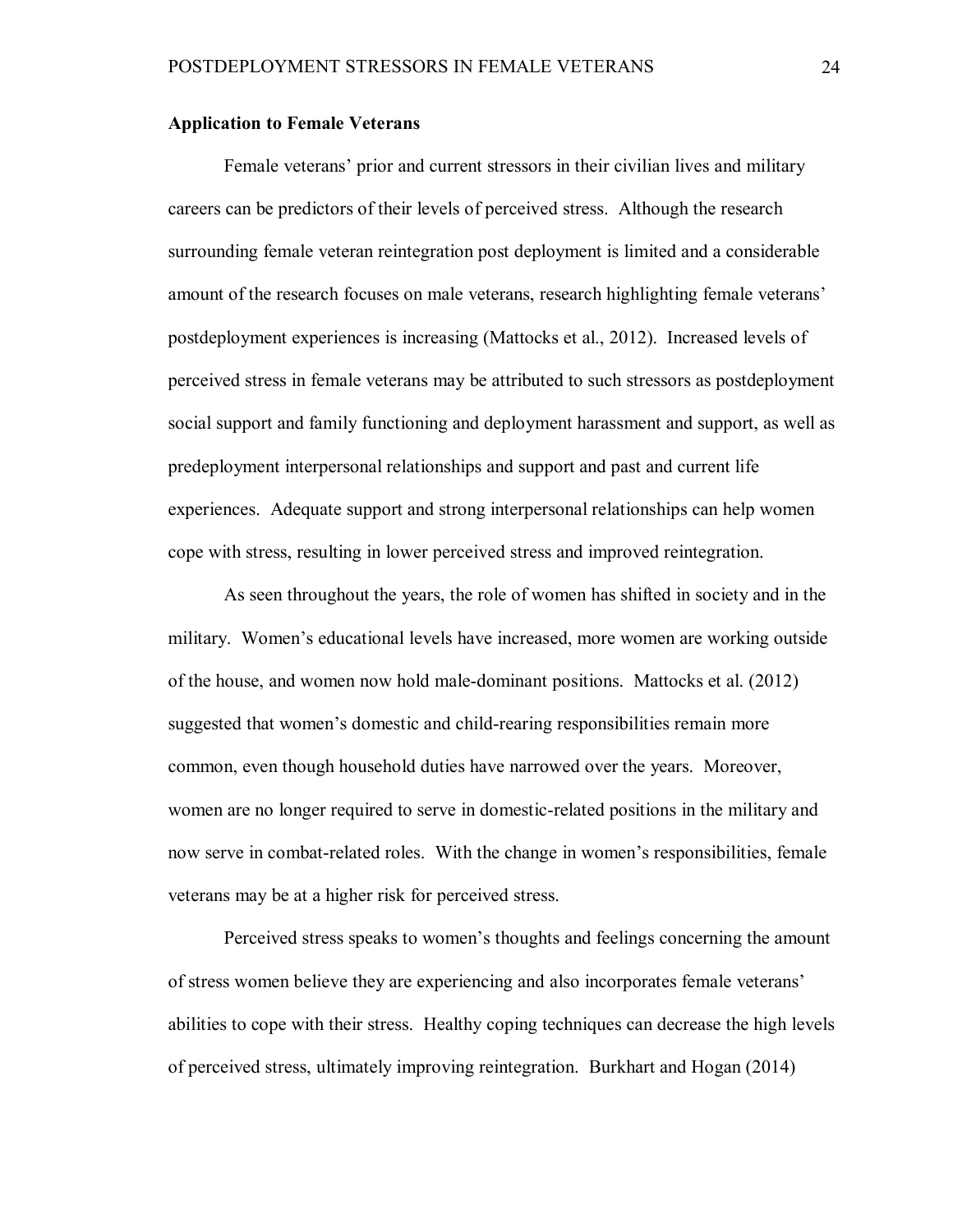# **Application to Female Veterans**

Female veterans' prior and current stressors in their civilian lives and military careers can be predictors of their levels of perceived stress. Although the research surrounding female veteran reintegration post deployment is limited and a considerable amount of the research focuses on male veterans, research highlighting female veterans' postdeployment experiences is increasing (Mattocks et al., 2012). Increased levels of perceived stress in female veterans may be attributed to such stressors as postdeployment social support and family functioning and deployment harassment and support, as well as predeployment interpersonal relationships and support and past and current life experiences. Adequate support and strong interpersonal relationships can help women cope with stress, resulting in lower perceived stress and improved reintegration.

As seen throughout the years, the role of women has shifted in society and in the military. Women's educational levels have increased, more women are working outside of the house, and women now hold male-dominant positions. Mattocks et al. (2012) suggested that women's domestic and child-rearing responsibilities remain more common, even though household duties have narrowed over the years. Moreover, women are no longer required to serve in domestic-related positions in the military and now serve in combat-related roles. With the change in women's responsibilities, female veterans may be at a higher risk for perceived stress.

Perceived stress speaks to women's thoughts and feelings concerning the amount of stress women believe they are experiencing and also incorporates female veterans' abilities to cope with their stress. Healthy coping techniques can decrease the high levels of perceived stress, ultimately improving reintegration. Burkhart and Hogan (2014)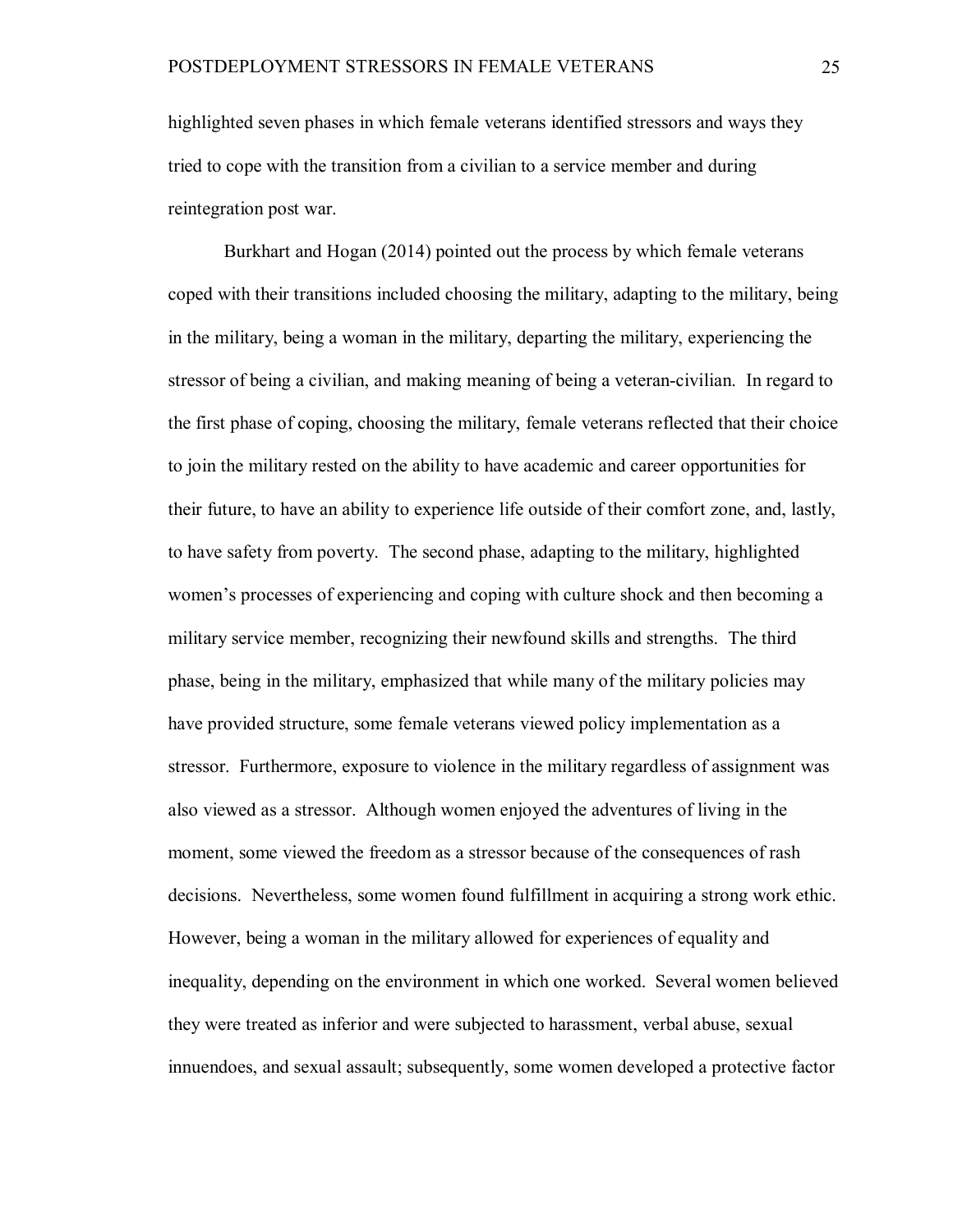highlighted seven phases in which female veterans identified stressors and ways they tried to cope with the transition from a civilian to a service member and during reintegration post war.

Burkhart and Hogan (2014) pointed out the process by which female veterans coped with their transitions included choosing the military, adapting to the military, being in the military, being a woman in the military, departing the military, experiencing the stressor of being a civilian, and making meaning of being a veteran-civilian. In regard to the first phase of coping, choosing the military, female veterans reflected that their choice to join the military rested on the ability to have academic and career opportunities for their future, to have an ability to experience life outside of their comfort zone, and, lastly, to have safety from poverty. The second phase, adapting to the military, highlighted women's processes of experiencing and coping with culture shock and then becoming a military service member, recognizing their newfound skills and strengths. The third phase, being in the military, emphasized that while many of the military policies may have provided structure, some female veterans viewed policy implementation as a stressor. Furthermore, exposure to violence in the military regardless of assignment was also viewed as a stressor. Although women enjoyed the adventures of living in the moment, some viewed the freedom as a stressor because of the consequences of rash decisions. Nevertheless, some women found fulfillment in acquiring a strong work ethic. However, being a woman in the military allowed for experiences of equality and inequality, depending on the environment in which one worked. Several women believed they were treated as inferior and were subjected to harassment, verbal abuse, sexual innuendoes, and sexual assault; subsequently, some women developed a protective factor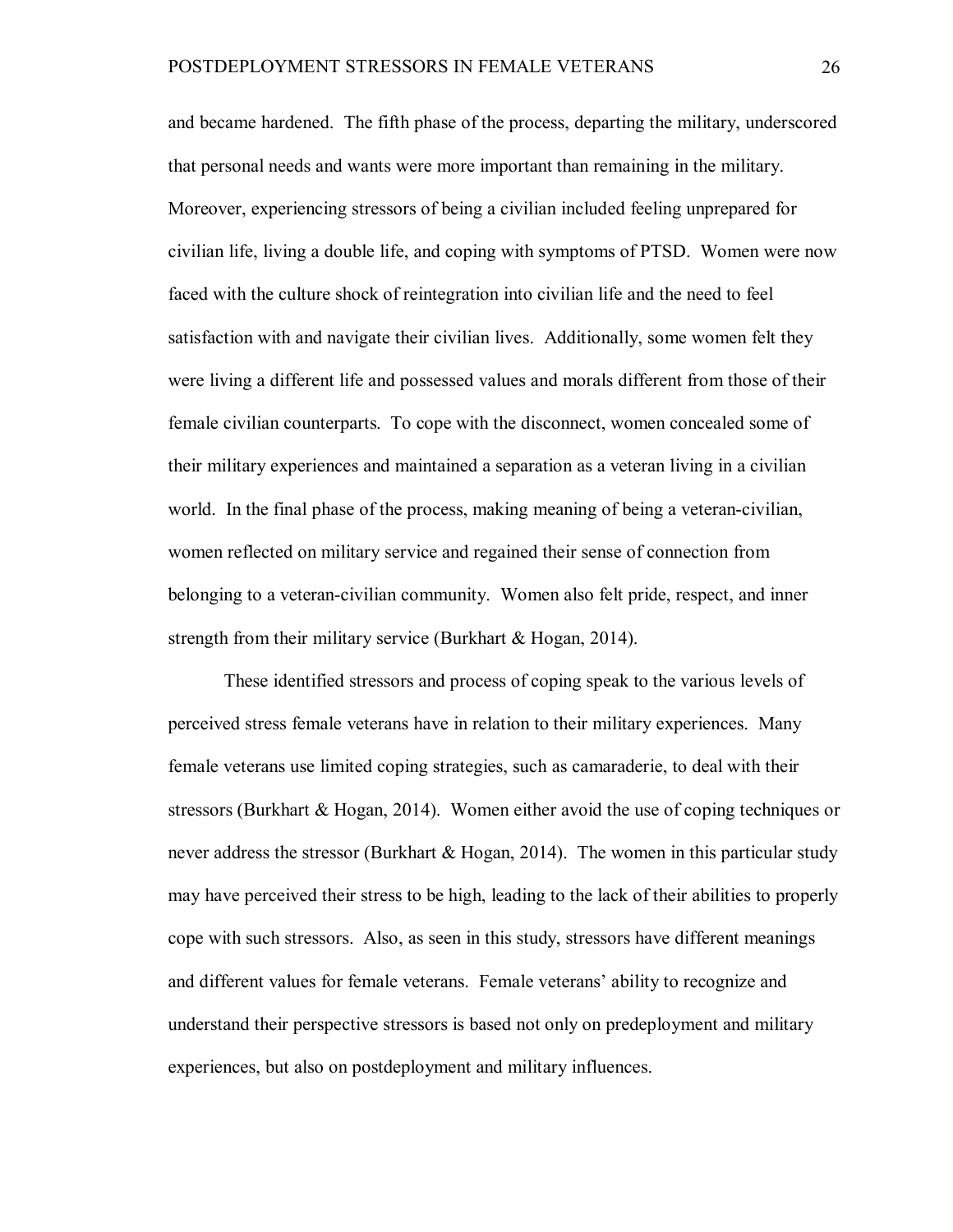and became hardened. The fifth phase of the process, departing the military, underscored that personal needs and wants were more important than remaining in the military. Moreover, experiencing stressors of being a civilian included feeling unprepared for civilian life, living a double life, and coping with symptoms of PTSD. Women were now faced with the culture shock of reintegration into civilian life and the need to feel satisfaction with and navigate their civilian lives. Additionally, some women felt they were living a different life and possessed values and morals different from those of their female civilian counterparts. To cope with the disconnect, women concealed some of their military experiences and maintained a separation as a veteran living in a civilian world. In the final phase of the process, making meaning of being a veteran-civilian, women reflected on military service and regained their sense of connection from belonging to a veteran-civilian community. Women also felt pride, respect, and inner strength from their military service (Burkhart & Hogan, 2014).

These identified stressors and process of coping speak to the various levels of perceived stress female veterans have in relation to their military experiences. Many female veterans use limited coping strategies, such as camaraderie, to deal with their stressors (Burkhart & Hogan, 2014). Women either avoid the use of coping techniques or never address the stressor (Burkhart & Hogan, 2014). The women in this particular study may have perceived their stress to be high, leading to the lack of their abilities to properly cope with such stressors. Also, as seen in this study, stressors have different meanings and different values for female veterans. Female veterans' ability to recognize and understand their perspective stressors is based not only on predeployment and military experiences, but also on postdeployment and military influences.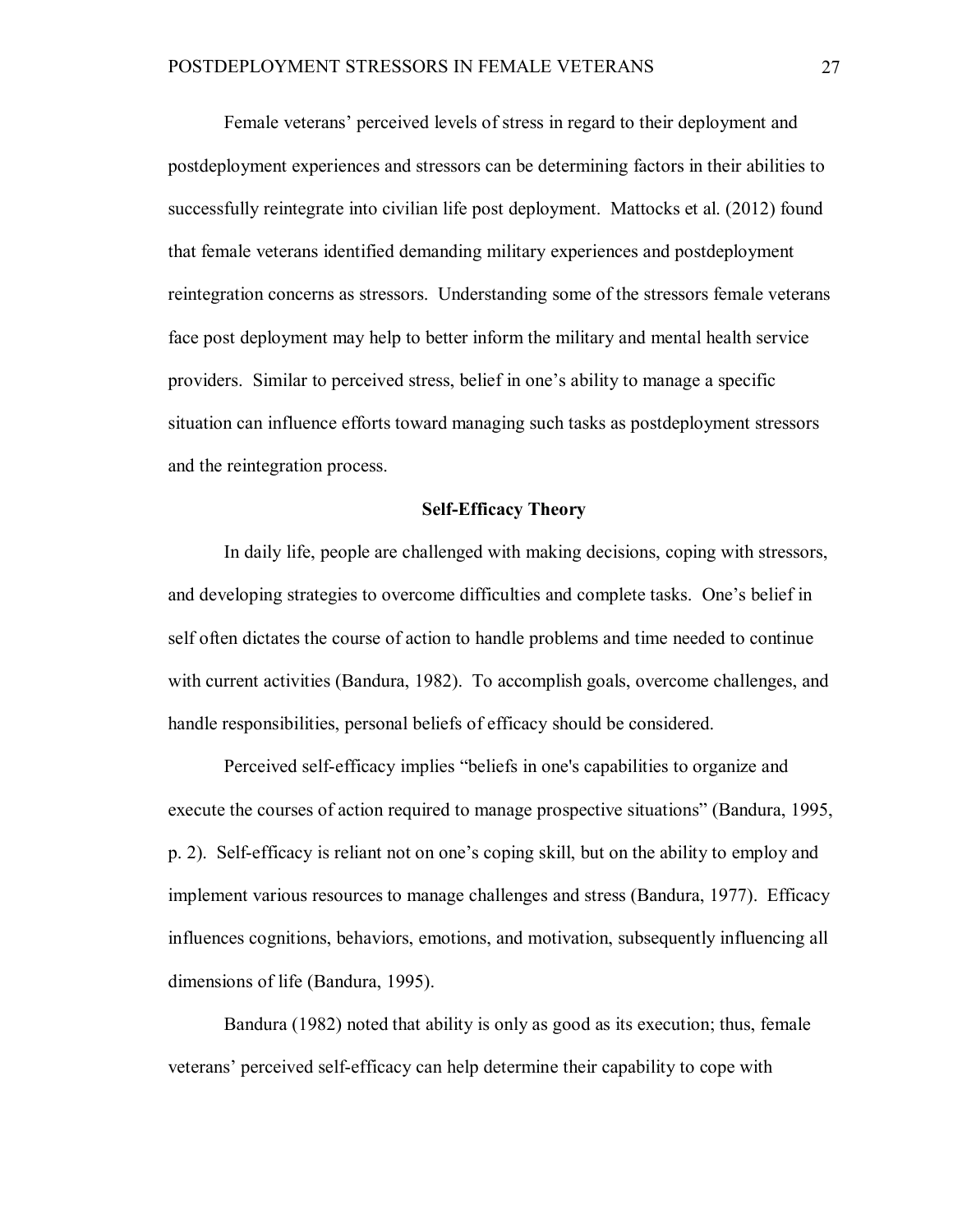Female veterans' perceived levels of stress in regard to their deployment and postdeployment experiences and stressors can be determining factors in their abilities to successfully reintegrate into civilian life post deployment. Mattocks et al. (2012) found that female veterans identified demanding military experiences and postdeployment reintegration concerns as stressors. Understanding some of the stressors female veterans face post deployment may help to better inform the military and mental health service providers. Similar to perceived stress, belief in one's ability to manage a specific situation can influence efforts toward managing such tasks as postdeployment stressors and the reintegration process.

# **Self-Efficacy Theory**

In daily life, people are challenged with making decisions, coping with stressors, and developing strategies to overcome difficulties and complete tasks. One's belief in self often dictates the course of action to handle problems and time needed to continue with current activities (Bandura, 1982). To accomplish goals, overcome challenges, and handle responsibilities, personal beliefs of efficacy should be considered.

Perceived self-efficacy implies "beliefs in one's capabilities to organize and execute the courses of action required to manage prospective situations" (Bandura, 1995, p. 2). Self-efficacy is reliant not on one's coping skill, but on the ability to employ and implement various resources to manage challenges and stress (Bandura, 1977). Efficacy influences cognitions, behaviors, emotions, and motivation, subsequently influencing all dimensions of life (Bandura, 1995).

Bandura (1982) noted that ability is only as good as its execution; thus, female veterans' perceived self-efficacy can help determine their capability to cope with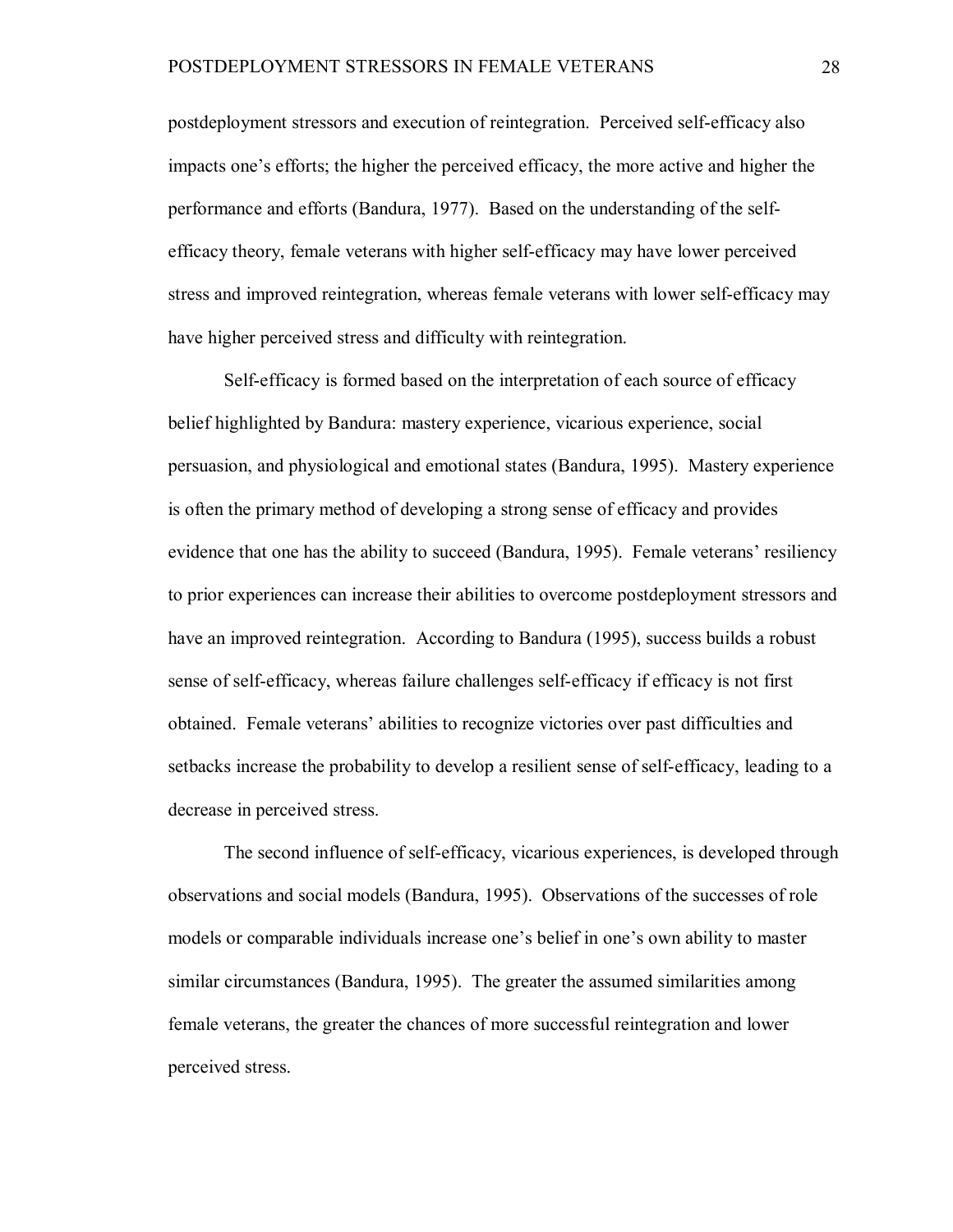postdeployment stressors and execution of reintegration. Perceived self-efficacy also impacts one's efforts; the higher the perceived efficacy, the more active and higher the performance and efforts (Bandura, 1977). Based on the understanding of the selfefficacy theory, female veterans with higher self-efficacy may have lower perceived stress and improved reintegration, whereas female veterans with lower self-efficacy may have higher perceived stress and difficulty with reintegration.

Self-efficacy is formed based on the interpretation of each source of efficacy belief highlighted by Bandura: mastery experience, vicarious experience, social persuasion, and physiological and emotional states (Bandura, 1995). Mastery experience is often the primary method of developing a strong sense of efficacy and provides evidence that one has the ability to succeed (Bandura, 1995). Female veterans' resiliency to prior experiences can increase their abilities to overcome postdeployment stressors and have an improved reintegration. According to Bandura (1995), success builds a robust sense of self-efficacy, whereas failure challenges self-efficacy if efficacy is not first obtained. Female veterans' abilities to recognize victories over past difficulties and setbacks increase the probability to develop a resilient sense of self-efficacy, leading to a decrease in perceived stress.

The second influence of self-efficacy, vicarious experiences, is developed through observations and social models (Bandura, 1995). Observations of the successes of role models or comparable individuals increase one's belief in one's own ability to master similar circumstances (Bandura, 1995). The greater the assumed similarities among female veterans, the greater the chances of more successful reintegration and lower perceived stress.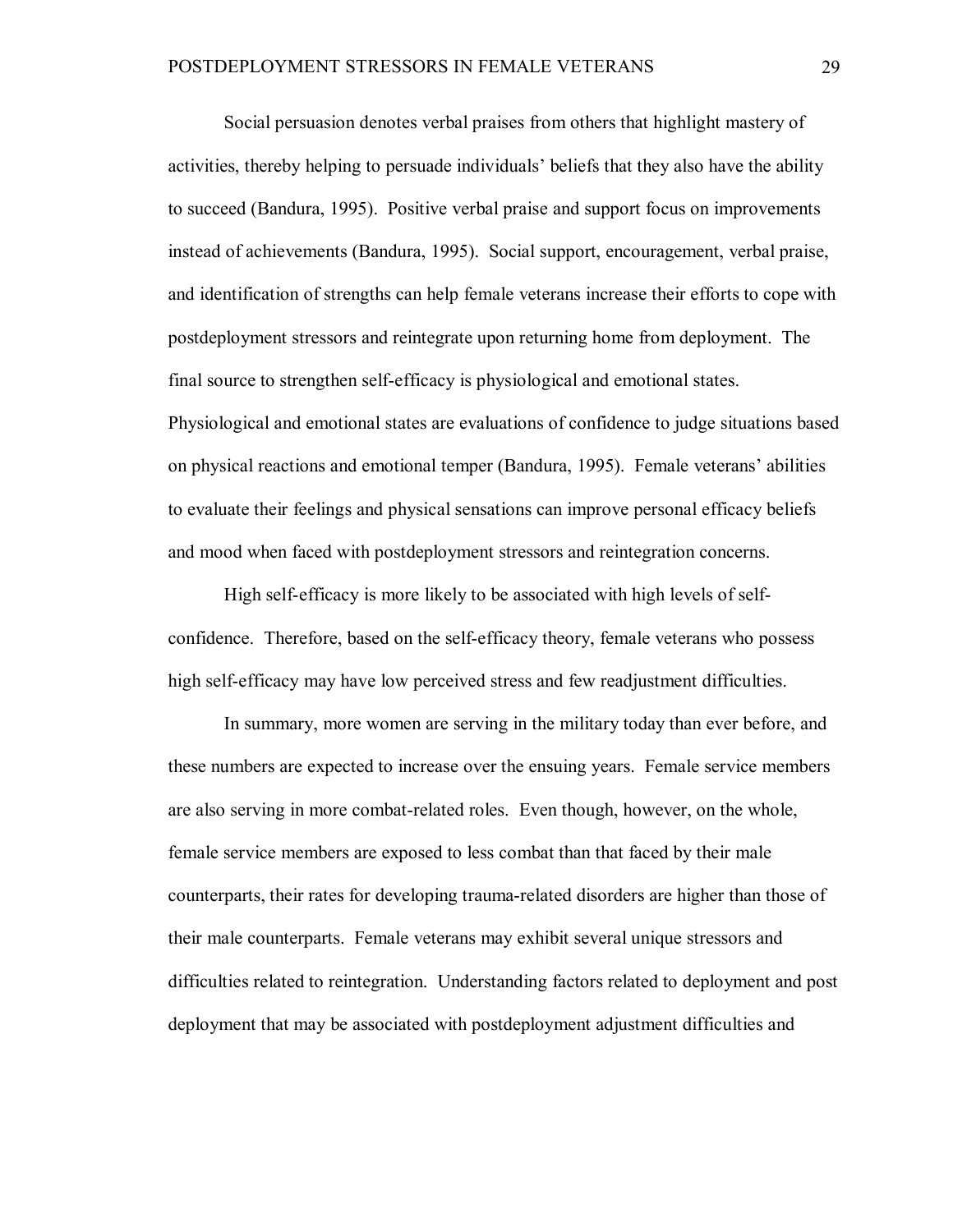Social persuasion denotes verbal praises from others that highlight mastery of activities, thereby helping to persuade individuals' beliefs that they also have the ability to succeed (Bandura, 1995). Positive verbal praise and support focus on improvements instead of achievements (Bandura, 1995). Social support, encouragement, verbal praise, and identification of strengths can help female veterans increase their efforts to cope with postdeployment stressors and reintegrate upon returning home from deployment. The final source to strengthen self-efficacy is physiological and emotional states. Physiological and emotional states are evaluations of confidence to judge situations based on physical reactions and emotional temper (Bandura, 1995). Female veterans' abilities to evaluate their feelings and physical sensations can improve personal efficacy beliefs and mood when faced with postdeployment stressors and reintegration concerns.

High self-efficacy is more likely to be associated with high levels of selfconfidence. Therefore, based on the self-efficacy theory, female veterans who possess high self-efficacy may have low perceived stress and few readjustment difficulties.

In summary, more women are serving in the military today than ever before, and these numbers are expected to increase over the ensuing years. Female service members are also serving in more combat-related roles. Even though, however, on the whole, female service members are exposed to less combat than that faced by their male counterparts, their rates for developing trauma-related disorders are higher than those of their male counterparts. Female veterans may exhibit several unique stressors and difficulties related to reintegration. Understanding factors related to deployment and post deployment that may be associated with postdeployment adjustment difficulties and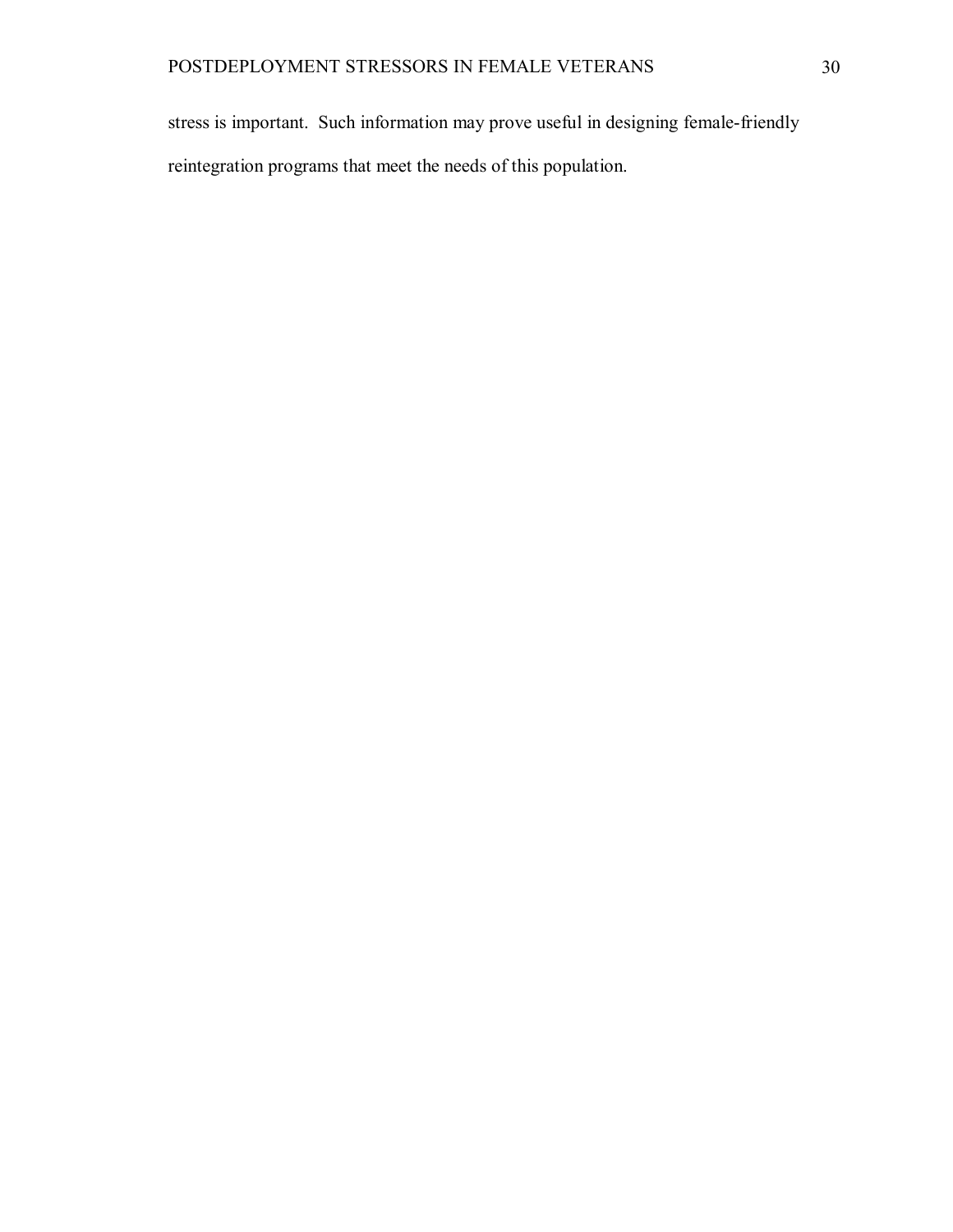stress is important. Such information may prove useful in designing female-friendly reintegration programs that meet the needs of this population.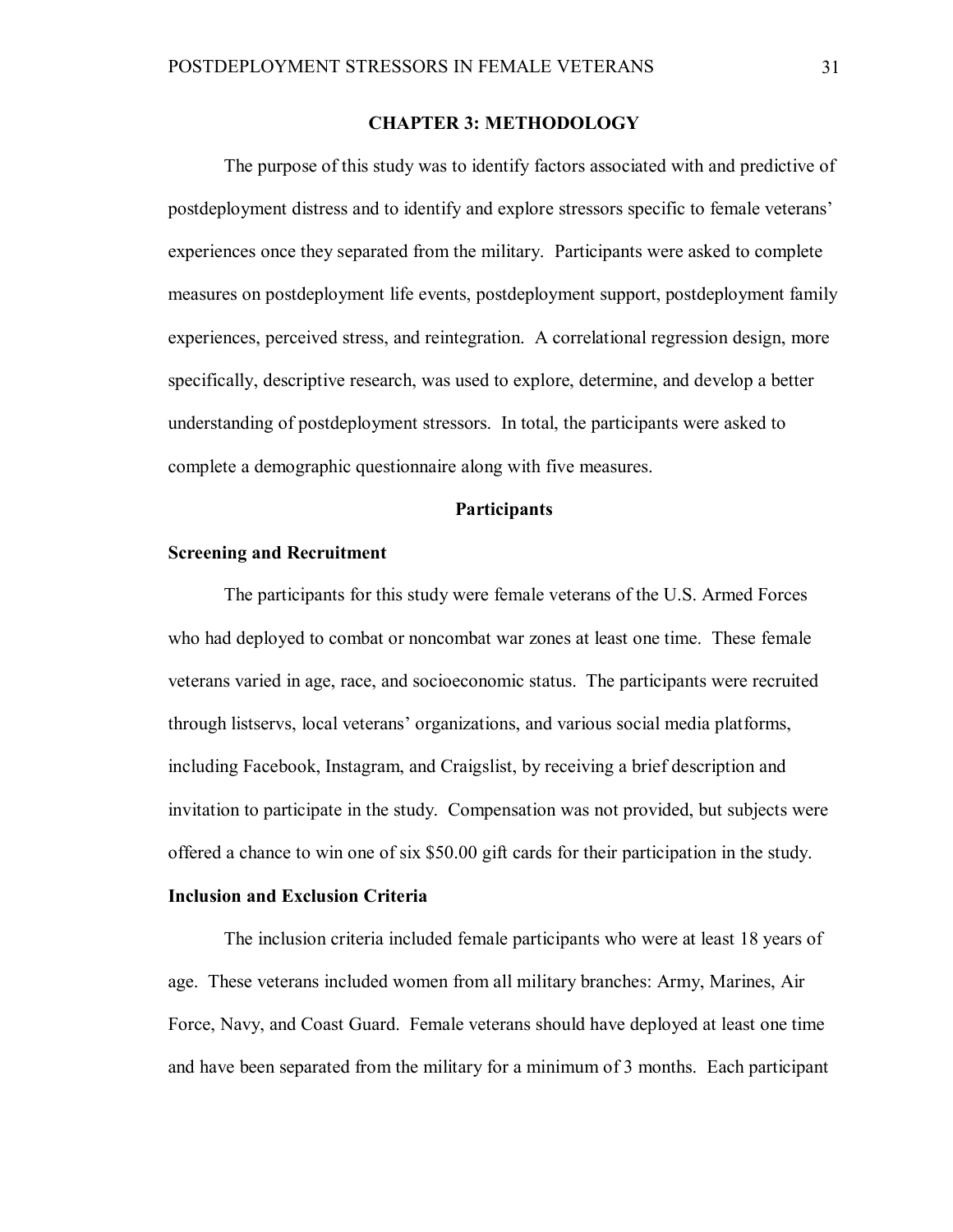### **CHAPTER 3: METHODOLOGY**

The purpose of this study was to identify factors associated with and predictive of postdeployment distress and to identify and explore stressors specific to female veterans' experiences once they separated from the military. Participants were asked to complete measures on postdeployment life events, postdeployment support, postdeployment family experiences, perceived stress, and reintegration. A correlational regression design, more specifically, descriptive research, was used to explore, determine, and develop a better understanding of postdeployment stressors. In total, the participants were asked to complete a demographic questionnaire along with five measures.

## **Participants**

#### **Screening and Recruitment**

The participants for this study were female veterans of the U.S. Armed Forces who had deployed to combat or noncombat war zones at least one time. These female veterans varied in age, race, and socioeconomic status. The participants were recruited through listservs, local veterans' organizations, and various social media platforms, including Facebook, Instagram, and Craigslist, by receiving a brief description and invitation to participate in the study. Compensation was not provided, but subjects were offered a chance to win one of six \$50.00 gift cards for their participation in the study.

### **Inclusion and Exclusion Criteria**

The inclusion criteria included female participants who were at least 18 years of age. These veterans included women from all military branches: Army, Marines, Air Force, Navy, and Coast Guard. Female veterans should have deployed at least one time and have been separated from the military for a minimum of 3 months. Each participant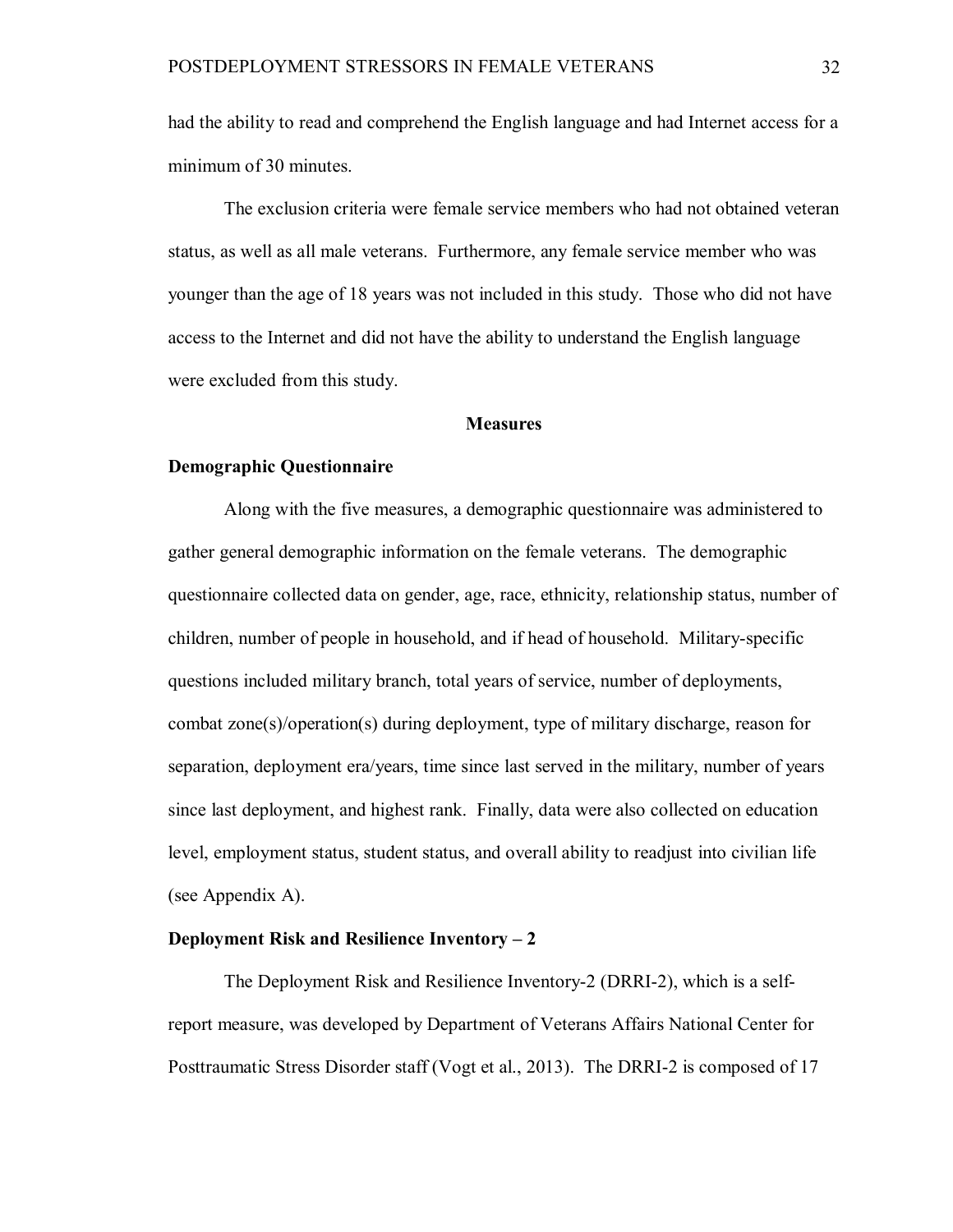had the ability to read and comprehend the English language and had Internet access for a minimum of 30 minutes.

The exclusion criteria were female service members who had not obtained veteran status, as well as all male veterans. Furthermore, any female service member who was younger than the age of 18 years was not included in this study. Those who did not have access to the Internet and did not have the ability to understand the English language were excluded from this study.

#### **Measures**

### **Demographic Questionnaire**

Along with the five measures, a demographic questionnaire was administered to gather general demographic information on the female veterans. The demographic questionnaire collected data on gender, age, race, ethnicity, relationship status, number of children, number of people in household, and if head of household. Military-specific questions included military branch, total years of service, number of deployments, combat zone(s)/operation(s) during deployment, type of military discharge, reason for separation, deployment era/years, time since last served in the military, number of years since last deployment, and highest rank. Finally, data were also collected on education level, employment status, student status, and overall ability to readjust into civilian life (see Appendix A).

## **Deployment Risk and Resilience Inventory – 2**

The Deployment Risk and Resilience Inventory-2 (DRRI-2), which is a selfreport measure, was developed by Department of Veterans Affairs National Center for Posttraumatic Stress Disorder staff (Vogt et al., 2013). The DRRI-2 is composed of 17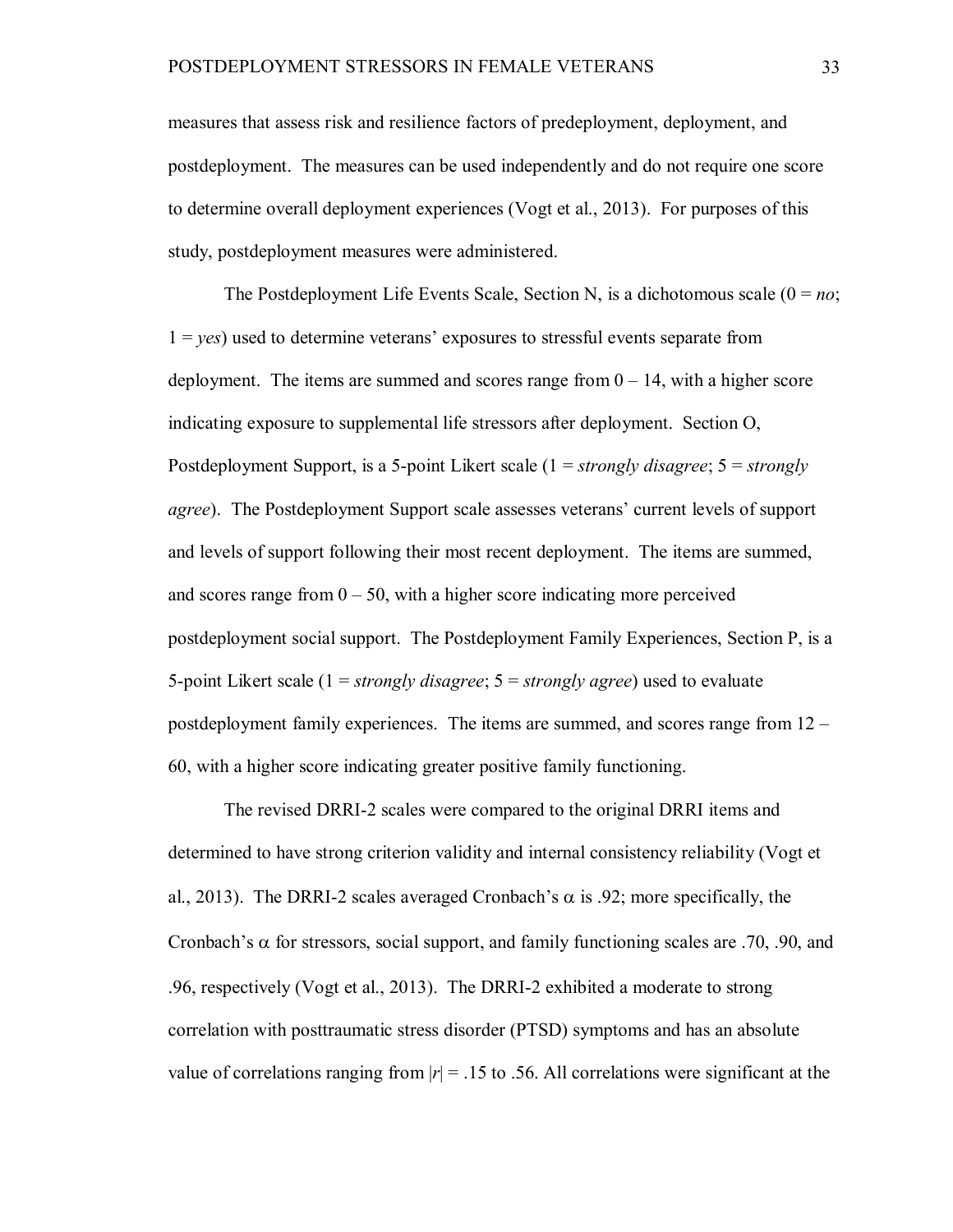measures that assess risk and resilience factors of predeployment, deployment, and postdeployment. The measures can be used independently and do not require one score to determine overall deployment experiences (Vogt et al., 2013). For purposes of this study, postdeployment measures were administered.

The Postdeployment Life Events Scale, Section N, is a dichotomous scale  $(0 = no;$  $1 = yes$ ) used to determine veterans' exposures to stressful events separate from deployment. The items are summed and scores range from  $0 - 14$ , with a higher score indicating exposure to supplemental life stressors after deployment. Section O, Postdeployment Support, is a 5-point Likert scale (1 = *strongly disagree*; 5 = *strongly agree*). The Postdeployment Support scale assesses veterans' current levels of support and levels of support following their most recent deployment. The items are summed, and scores range from  $0 - 50$ , with a higher score indicating more perceived postdeployment social support. The Postdeployment Family Experiences, Section P, is a 5-point Likert scale (1 = *strongly disagree*; 5 = *strongly agree*) used to evaluate postdeployment family experiences. The items are summed, and scores range from 12 – 60, with a higher score indicating greater positive family functioning.

The revised DRRI-2 scales were compared to the original DRRI items and determined to have strong criterion validity and internal consistency reliability (Vogt et al., 2013). The DRRI-2 scales averaged Cronbach's  $\alpha$  is .92; more specifically, the Cronbach's  $\alpha$  for stressors, social support, and family functioning scales are .70, .90, and .96, respectively (Vogt et al., 2013). The DRRI-2 exhibited a moderate to strong correlation with posttraumatic stress disorder (PTSD) symptoms and has an absolute value of correlations ranging from  $|r| = 0.15$  to 0.56. All correlations were significant at the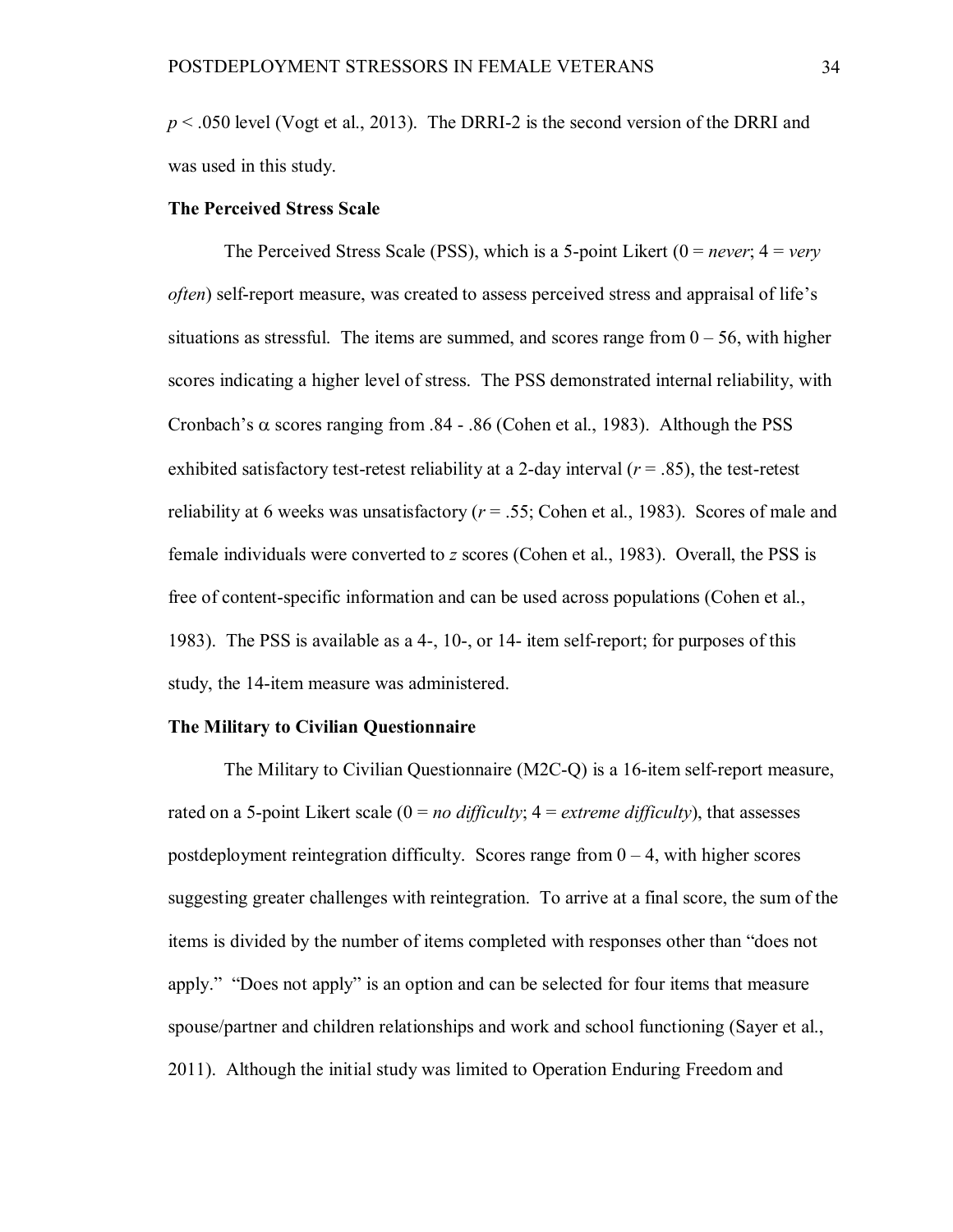*p* < .050 level (Vogt et al., 2013). The DRRI-2 is the second version of the DRRI and was used in this study.

## **The Perceived Stress Scale**

The Perceived Stress Scale (PSS), which is a 5-point Likert (0 = *never*; 4 = *very often*) self-report measure, was created to assess perceived stress and appraisal of life's situations as stressful. The items are summed, and scores range from  $0 - 56$ , with higher scores indicating a higher level of stress. The PSS demonstrated internal reliability, with Cronbach's  $\alpha$  scores ranging from .84 - .86 (Cohen et al., 1983). Although the PSS exhibited satisfactory test-retest reliability at a 2-day interval  $(r = .85)$ , the test-retest reliability at 6 weeks was unsatisfactory  $(r = .55; \text{Cohen et al., } 1983)$ . Scores of male and female individuals were converted to *z* scores (Cohen et al., 1983). Overall, the PSS is free of content-specific information and can be used across populations (Cohen et al., 1983). The PSS is available as a 4-, 10-, or 14- item self-report; for purposes of this study, the 14-item measure was administered.

### **The Military to Civilian Questionnaire**

The Military to Civilian Questionnaire (M2C-Q) is a 16-item self-report measure, rated on a 5-point Likert scale  $(0 = no \frac{difficult}{y}$ ;  $4 = \frac{extreme \frac{difficult}{y}}{x}$ , that assesses postdeployment reintegration difficulty. Scores range from  $0 - 4$ , with higher scores suggesting greater challenges with reintegration. To arrive at a final score, the sum of the items is divided by the number of items completed with responses other than "does not apply." "Does not apply" is an option and can be selected for four items that measure spouse/partner and children relationships and work and school functioning (Sayer et al., 2011). Although the initial study was limited to Operation Enduring Freedom and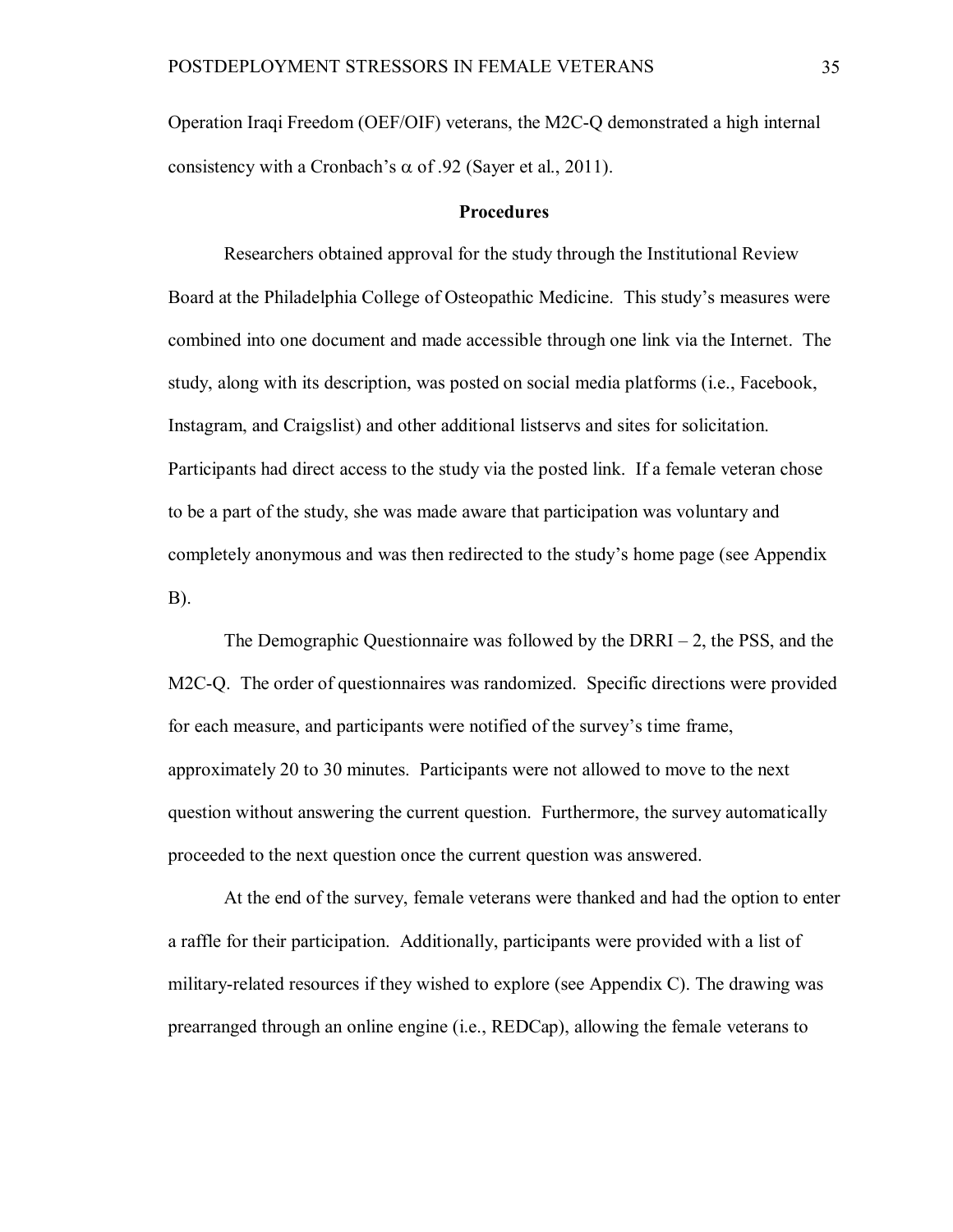Operation Iraqi Freedom (OEF/OIF) veterans, the M2C-Q demonstrated a high internal consistency with a Cronbach's  $\alpha$  of .92 (Sayer et al., 2011).

### **Procedures**

Researchers obtained approval for the study through the Institutional Review Board at the Philadelphia College of Osteopathic Medicine. This study's measures were combined into one document and made accessible through one link via the Internet. The study, along with its description, was posted on social media platforms (i.e., Facebook, Instagram, and Craigslist) and other additional listservs and sites for solicitation. Participants had direct access to the study via the posted link. If a female veteran chose to be a part of the study, she was made aware that participation was voluntary and completely anonymous and was then redirected to the study's home page (see Appendix B).

The Demographic Questionnaire was followed by the  $DRRI - 2$ , the PSS, and the M2C-Q. The order of questionnaires was randomized. Specific directions were provided for each measure, and participants were notified of the survey's time frame, approximately 20 to 30 minutes. Participants were not allowed to move to the next question without answering the current question. Furthermore, the survey automatically proceeded to the next question once the current question was answered.

At the end of the survey, female veterans were thanked and had the option to enter a raffle for their participation. Additionally, participants were provided with a list of military-related resources if they wished to explore (see Appendix C). The drawing was prearranged through an online engine (i.e., REDCap), allowing the female veterans to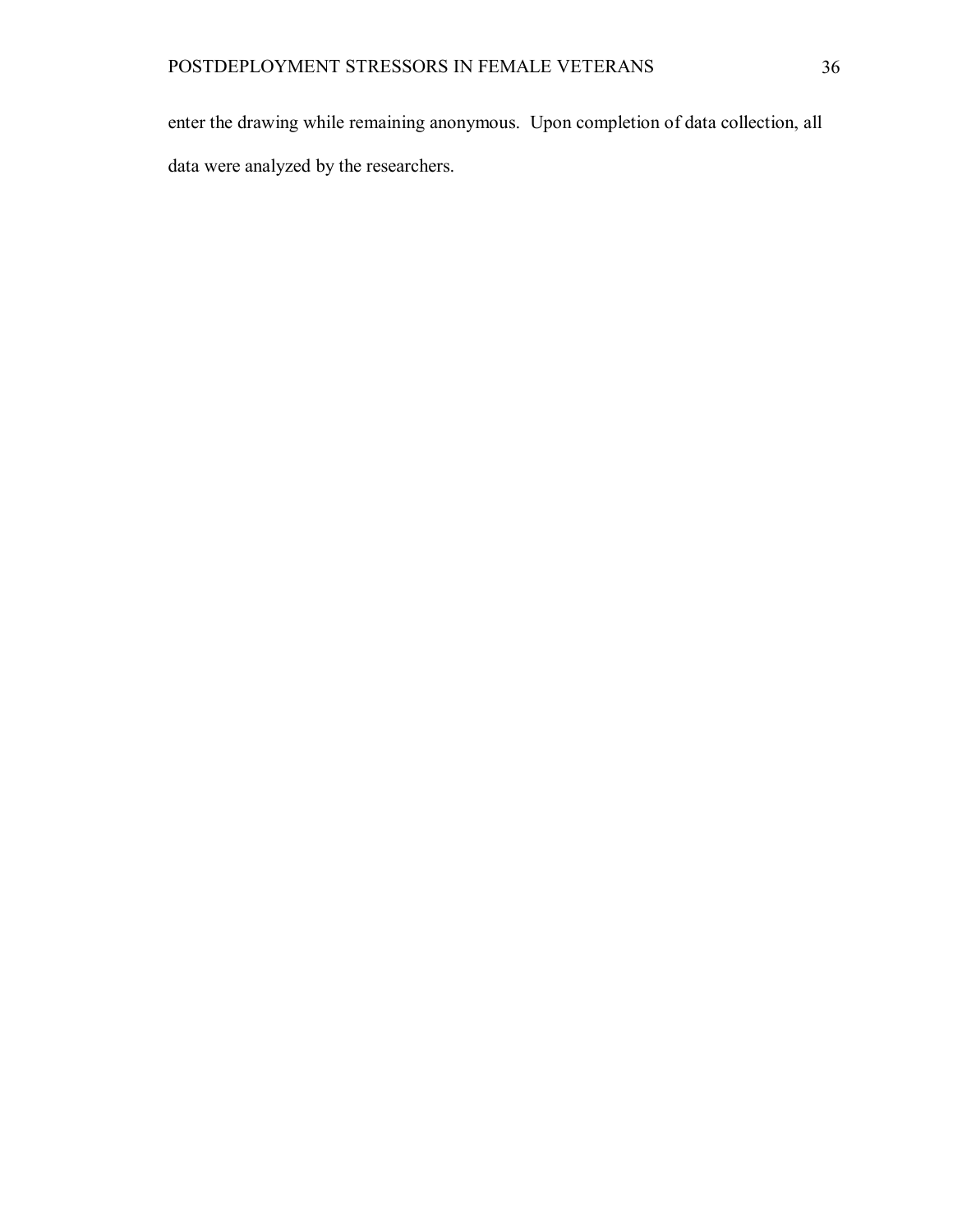enter the drawing while remaining anonymous. Upon completion of data collection, all data were analyzed by the researchers.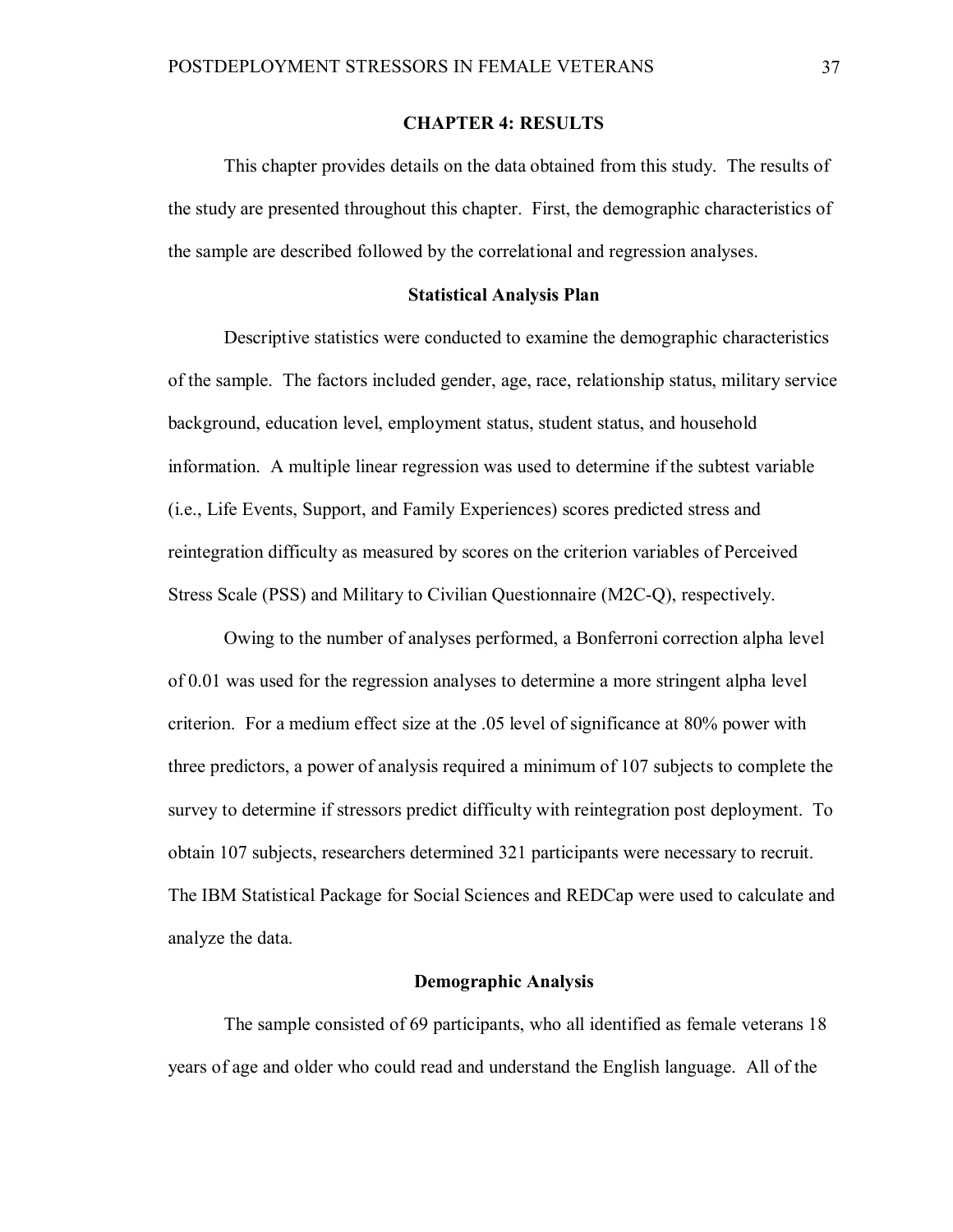### **CHAPTER 4: RESULTS**

This chapter provides details on the data obtained from this study. The results of the study are presented throughout this chapter. First, the demographic characteristics of the sample are described followed by the correlational and regression analyses.

#### **Statistical Analysis Plan**

Descriptive statistics were conducted to examine the demographic characteristics of the sample. The factors included gender, age, race, relationship status, military service background, education level, employment status, student status, and household information. A multiple linear regression was used to determine if the subtest variable (i.e., Life Events, Support, and Family Experiences) scores predicted stress and reintegration difficulty as measured by scores on the criterion variables of Perceived Stress Scale (PSS) and Military to Civilian Questionnaire (M2C-Q), respectively.

Owing to the number of analyses performed, a Bonferroni correction alpha level of 0.01 was used for the regression analyses to determine a more stringent alpha level criterion. For a medium effect size at the .05 level of significance at 80% power with three predictors, a power of analysis required a minimum of 107 subjects to complete the survey to determine if stressors predict difficulty with reintegration post deployment. To obtain 107 subjects, researchers determined 321 participants were necessary to recruit. The IBM Statistical Package for Social Sciences and REDCap were used to calculate and analyze the data.

#### **Demographic Analysis**

The sample consisted of 69 participants, who all identified as female veterans 18 years of age and older who could read and understand the English language. All of the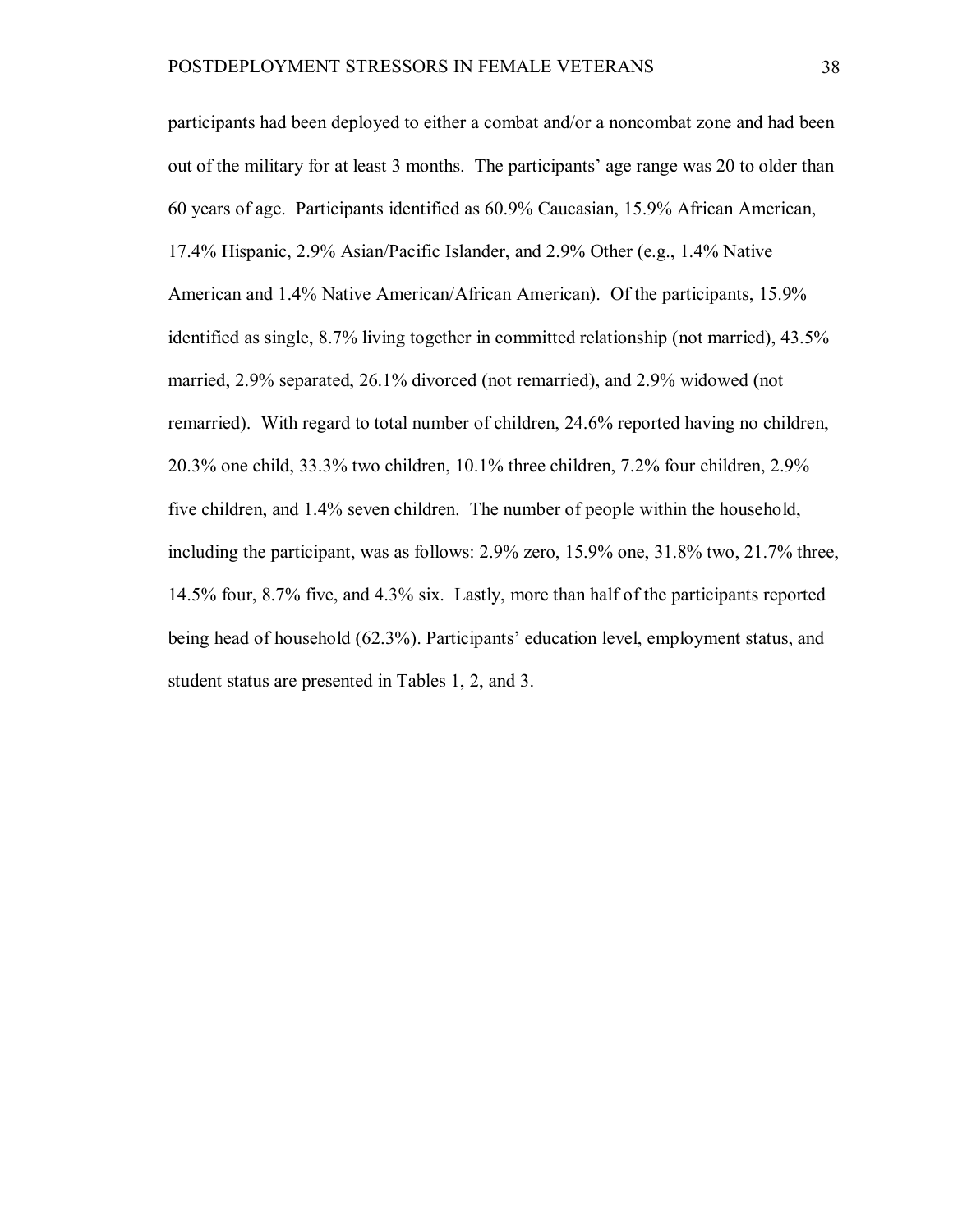participants had been deployed to either a combat and/or a noncombat zone and had been out of the military for at least 3 months. The participants' age range was 20 to older than 60 years of age. Participants identified as 60.9% Caucasian, 15.9% African American, 17.4% Hispanic, 2.9% Asian/Pacific Islander, and 2.9% Other (e.g., 1.4% Native American and 1.4% Native American/African American). Of the participants, 15.9% identified as single, 8.7% living together in committed relationship (not married), 43.5% married, 2.9% separated, 26.1% divorced (not remarried), and 2.9% widowed (not remarried). With regard to total number of children, 24.6% reported having no children, 20.3% one child, 33.3% two children, 10.1% three children, 7.2% four children, 2.9% five children, and 1.4% seven children. The number of people within the household, including the participant, was as follows: 2.9% zero, 15.9% one, 31.8% two, 21.7% three, 14.5% four, 8.7% five, and 4.3% six. Lastly, more than half of the participants reported being head of household (62.3%). Participants' education level, employment status, and student status are presented in Tables 1, 2, and 3.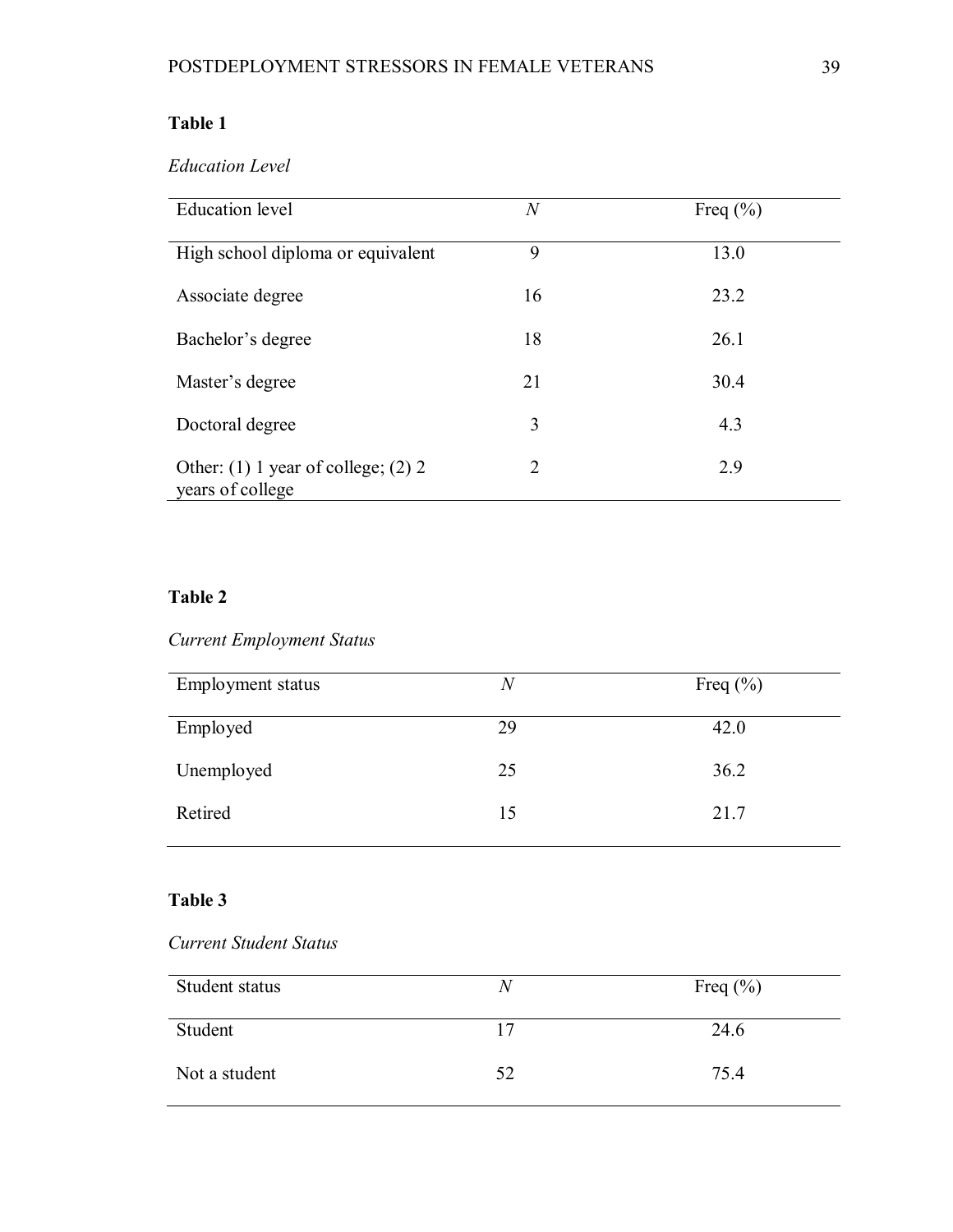# **Table 1**

# *Education Level*

| <b>Education</b> level                                      | $\,N$ | Freq $(\% )$ |
|-------------------------------------------------------------|-------|--------------|
| High school diploma or equivalent                           | 9     | 13.0         |
| Associate degree                                            | 16    | 23.2         |
| Bachelor's degree                                           | 18    | 26.1         |
| Master's degree                                             | 21    | 30.4         |
| Doctoral degree                                             | 3     | 4.3          |
| Other: $(1)$ 1 year of college; $(2)$ 2<br>years of college | 2     | 2.9          |

# **Table 2**

# *Current Employment Status*

| Employment status | N  | Freq $(\% )$ |
|-------------------|----|--------------|
| Employed          | 29 | 42.0         |
| Unemployed        | 25 | 36.2         |
| Retired           | 15 | 21.7         |

# **Table 3**

# *Current Student Status*

| Student status | N  | Freq $(\% )$ |
|----------------|----|--------------|
| Student        | 17 | 24.6         |
| Not a student  | 52 | 75.4         |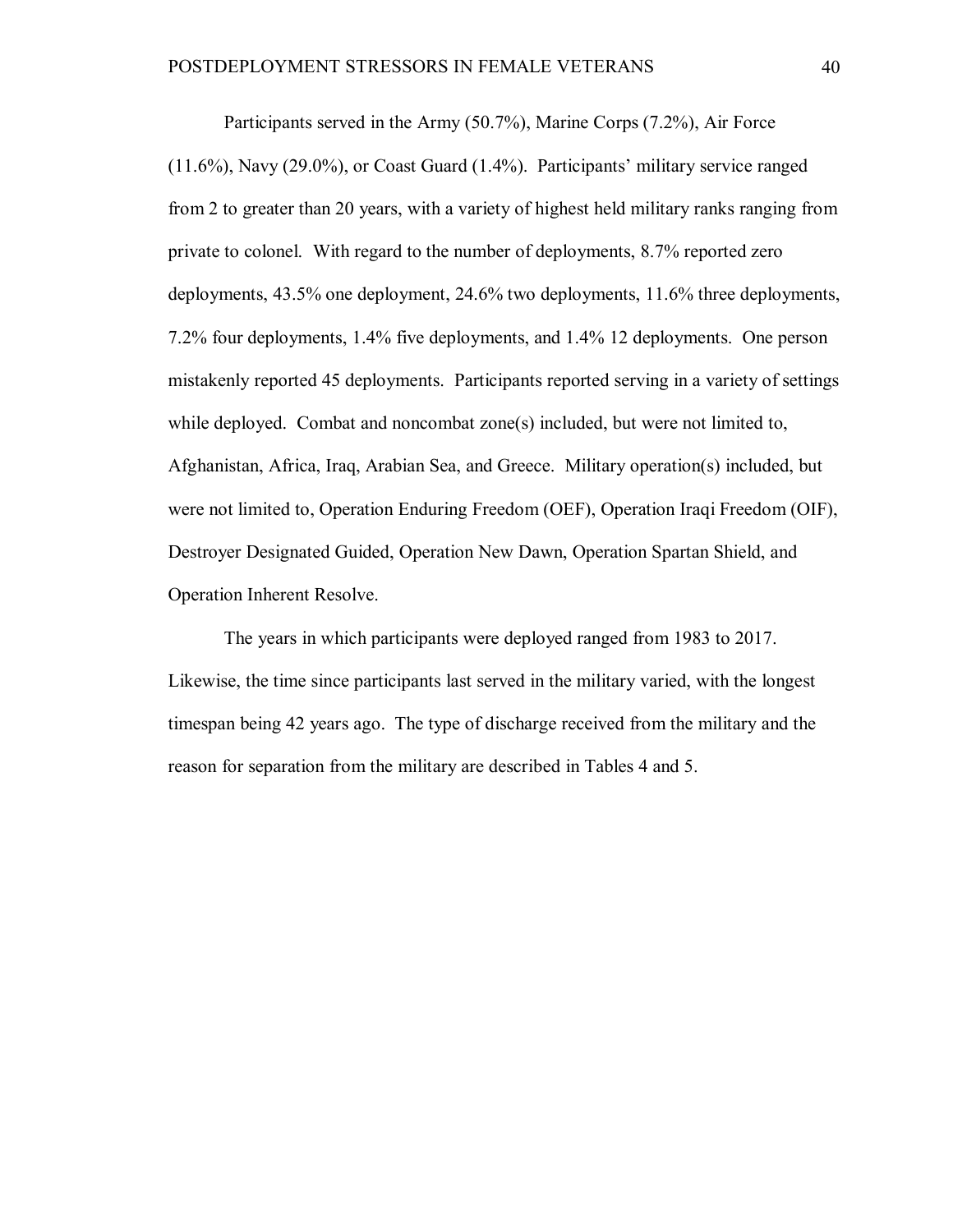Participants served in the Army (50.7%), Marine Corps (7.2%), Air Force (11.6%), Navy (29.0%), or Coast Guard (1.4%). Participants' military service ranged from 2 to greater than 20 years, with a variety of highest held military ranks ranging from private to colonel. With regard to the number of deployments, 8.7% reported zero deployments, 43.5% one deployment, 24.6% two deployments, 11.6% three deployments, 7.2% four deployments, 1.4% five deployments, and 1.4% 12 deployments. One person mistakenly reported 45 deployments. Participants reported serving in a variety of settings while deployed. Combat and noncombat zone(s) included, but were not limited to, Afghanistan, Africa, Iraq, Arabian Sea, and Greece. Military operation(s) included, but were not limited to, Operation Enduring Freedom (OEF), Operation Iraqi Freedom (OIF), Destroyer Designated Guided, Operation New Dawn, Operation Spartan Shield, and Operation Inherent Resolve.

The years in which participants were deployed ranged from 1983 to 2017. Likewise, the time since participants last served in the military varied, with the longest timespan being 42 years ago. The type of discharge received from the military and the reason for separation from the military are described in Tables 4 and 5.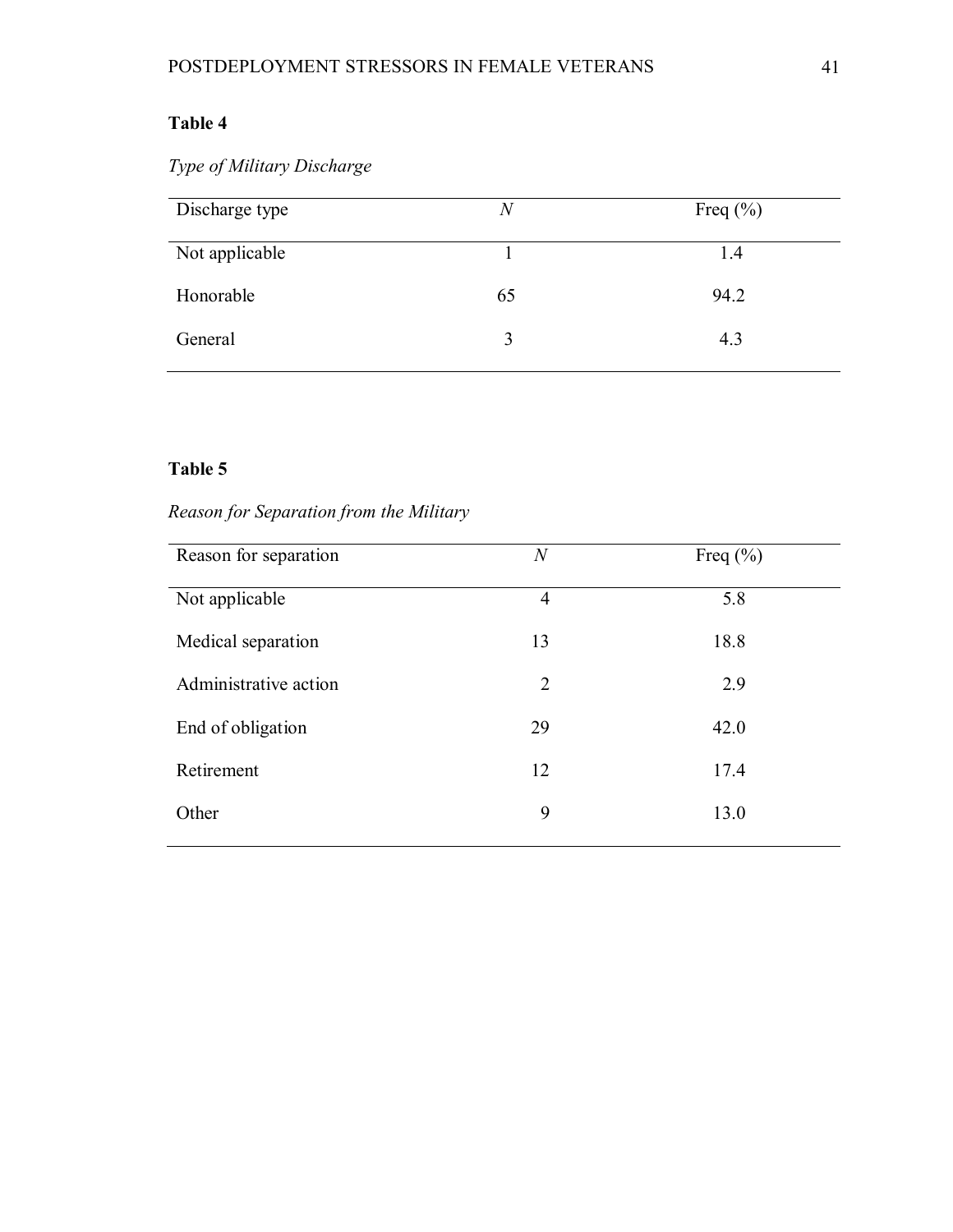# **Table 4**

*Type of Military Discharge*

| Discharge type | N  | Freq $(\% )$ |
|----------------|----|--------------|
| Not applicable |    | 1.4          |
| Honorable      | 65 | 94.2         |
| General        | 3  | 4.3          |

# **Table 5**

# *Reason for Separation from the Military*

| Reason for separation | $\,N$          | Freq $(\% )$ |
|-----------------------|----------------|--------------|
| Not applicable        | $\overline{4}$ | 5.8          |
| Medical separation    | 13             | 18.8         |
| Administrative action | $\overline{2}$ | 2.9          |
| End of obligation     | 29             | 42.0         |
| Retirement            | 12             | 17.4         |
| Other                 | 9              | 13.0         |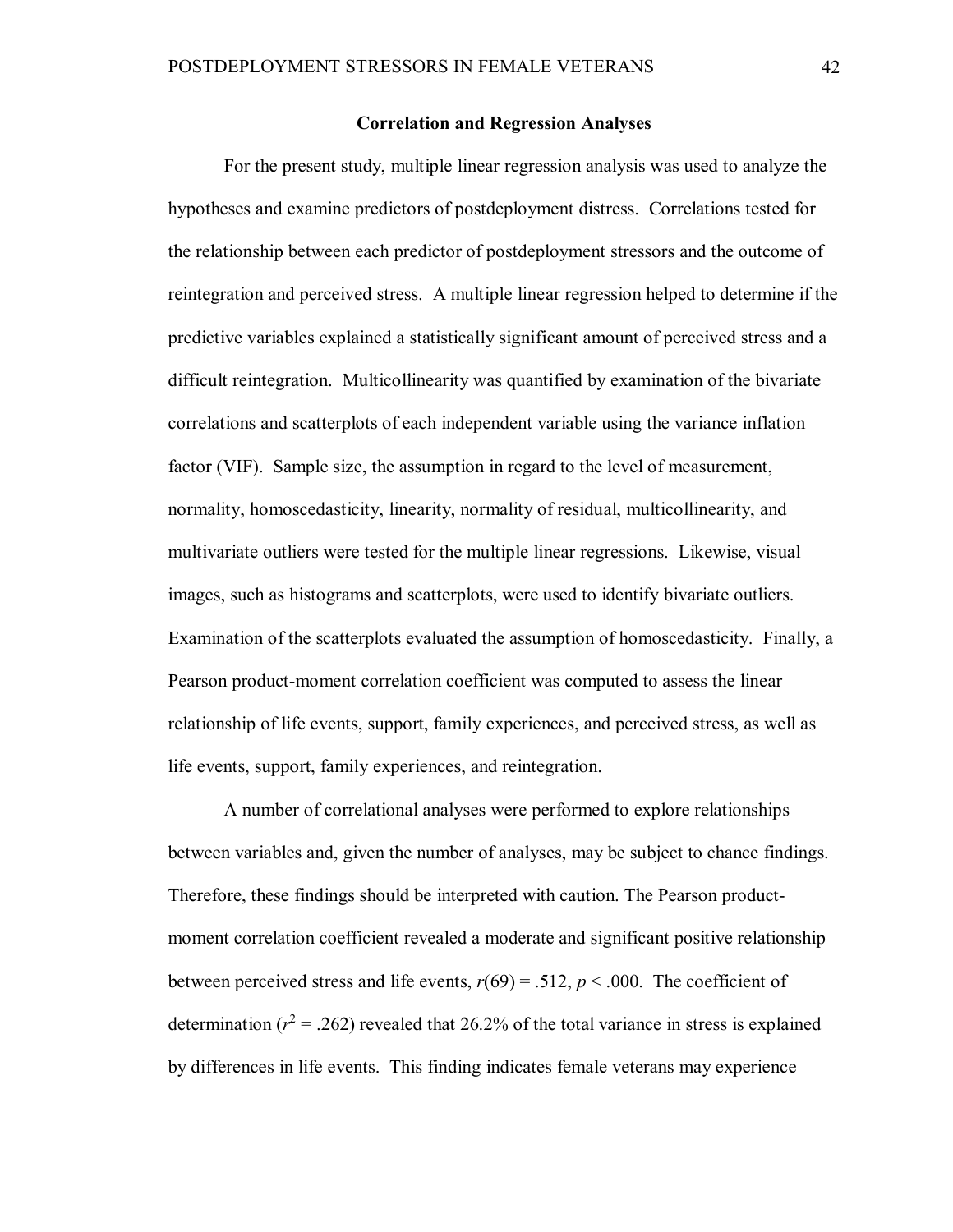### **Correlation and Regression Analyses**

For the present study, multiple linear regression analysis was used to analyze the hypotheses and examine predictors of postdeployment distress. Correlations tested for the relationship between each predictor of postdeployment stressors and the outcome of reintegration and perceived stress. A multiple linear regression helped to determine if the predictive variables explained a statistically significant amount of perceived stress and a difficult reintegration. Multicollinearity was quantified by examination of the bivariate correlations and scatterplots of each independent variable using the variance inflation factor (VIF). Sample size, the assumption in regard to the level of measurement, normality, homoscedasticity, linearity, normality of residual, multicollinearity, and multivariate outliers were tested for the multiple linear regressions. Likewise, visual images, such as histograms and scatterplots, were used to identify bivariate outliers. Examination of the scatterplots evaluated the assumption of homoscedasticity. Finally, a Pearson product-moment correlation coefficient was computed to assess the linear relationship of life events, support, family experiences, and perceived stress, as well as life events, support, family experiences, and reintegration.

A number of correlational analyses were performed to explore relationships between variables and, given the number of analyses, may be subject to chance findings. Therefore, these findings should be interpreted with caution. The Pearson productmoment correlation coefficient revealed a moderate and significant positive relationship between perceived stress and life events,  $r(69) = .512$ ,  $p < .000$ . The coefficient of determination ( $r^2$  = .262) revealed that 26.2% of the total variance in stress is explained by differences in life events. This finding indicates female veterans may experience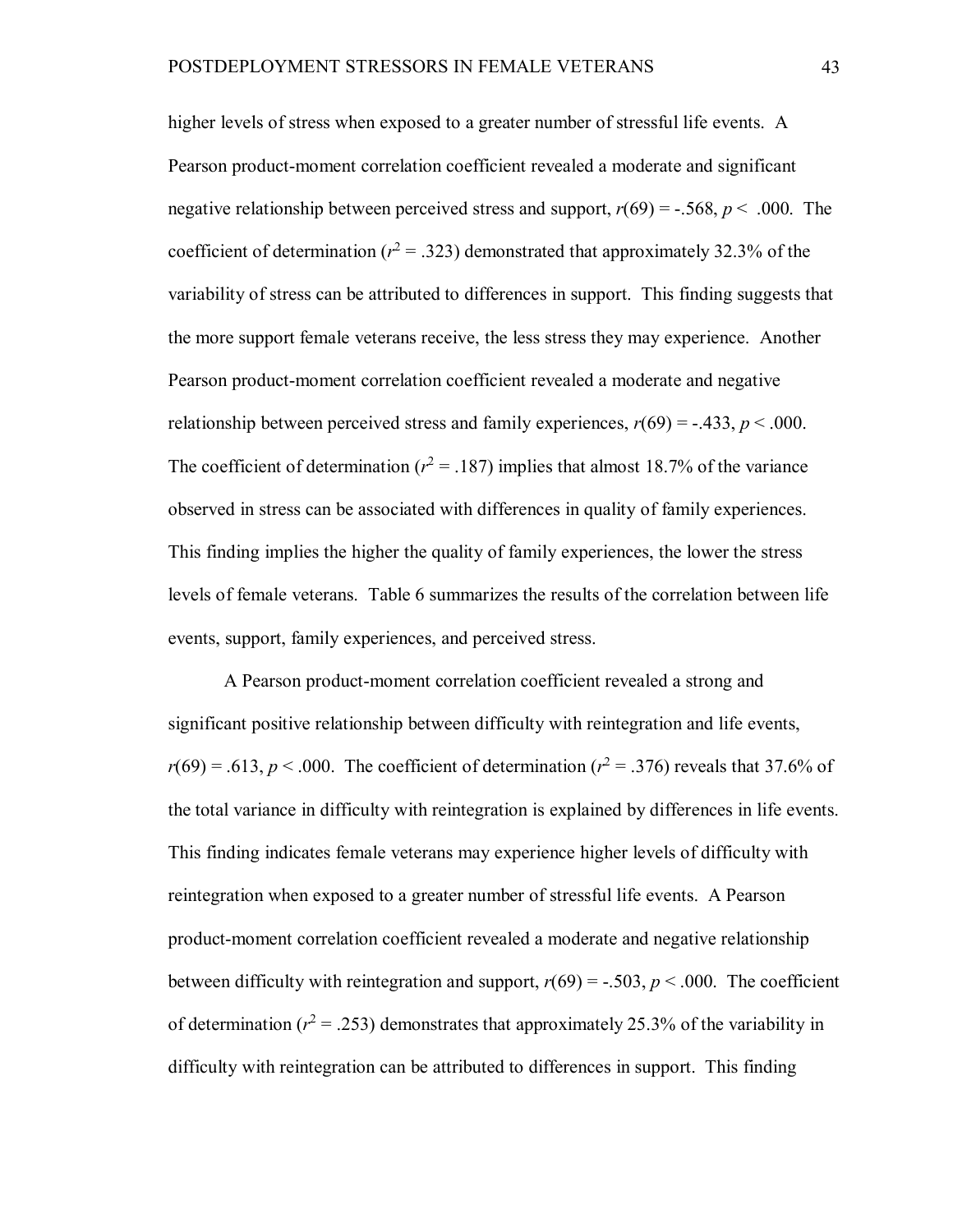higher levels of stress when exposed to a greater number of stressful life events. A Pearson product-moment correlation coefficient revealed a moderate and significant negative relationship between perceived stress and support,  $r(69) = -.568$ ,  $p < .000$ . The coefficient of determination ( $r^2 = .323$ ) demonstrated that approximately 32.3% of the variability of stress can be attributed to differences in support. This finding suggests that the more support female veterans receive, the less stress they may experience. Another Pearson product-moment correlation coefficient revealed a moderate and negative relationship between perceived stress and family experiences,  $r(69) = -.433$ ,  $p < .000$ . The coefficient of determination ( $r^2 = .187$ ) implies that almost 18.7% of the variance observed in stress can be associated with differences in quality of family experiences. This finding implies the higher the quality of family experiences, the lower the stress levels of female veterans. Table 6 summarizes the results of the correlation between life events, support, family experiences, and perceived stress.

A Pearson product-moment correlation coefficient revealed a strong and significant positive relationship between difficulty with reintegration and life events,  $r(69) = .613$ ,  $p < .000$ . The coefficient of determination ( $r^2 = .376$ ) reveals that 37.6% of the total variance in difficulty with reintegration is explained by differences in life events. This finding indicates female veterans may experience higher levels of difficulty with reintegration when exposed to a greater number of stressful life events. A Pearson product-moment correlation coefficient revealed a moderate and negative relationship between difficulty with reintegration and support,  $r(69) = -.503$ ,  $p < .000$ . The coefficient of determination ( $r^2 = .253$ ) demonstrates that approximately 25.3% of the variability in difficulty with reintegration can be attributed to differences in support. This finding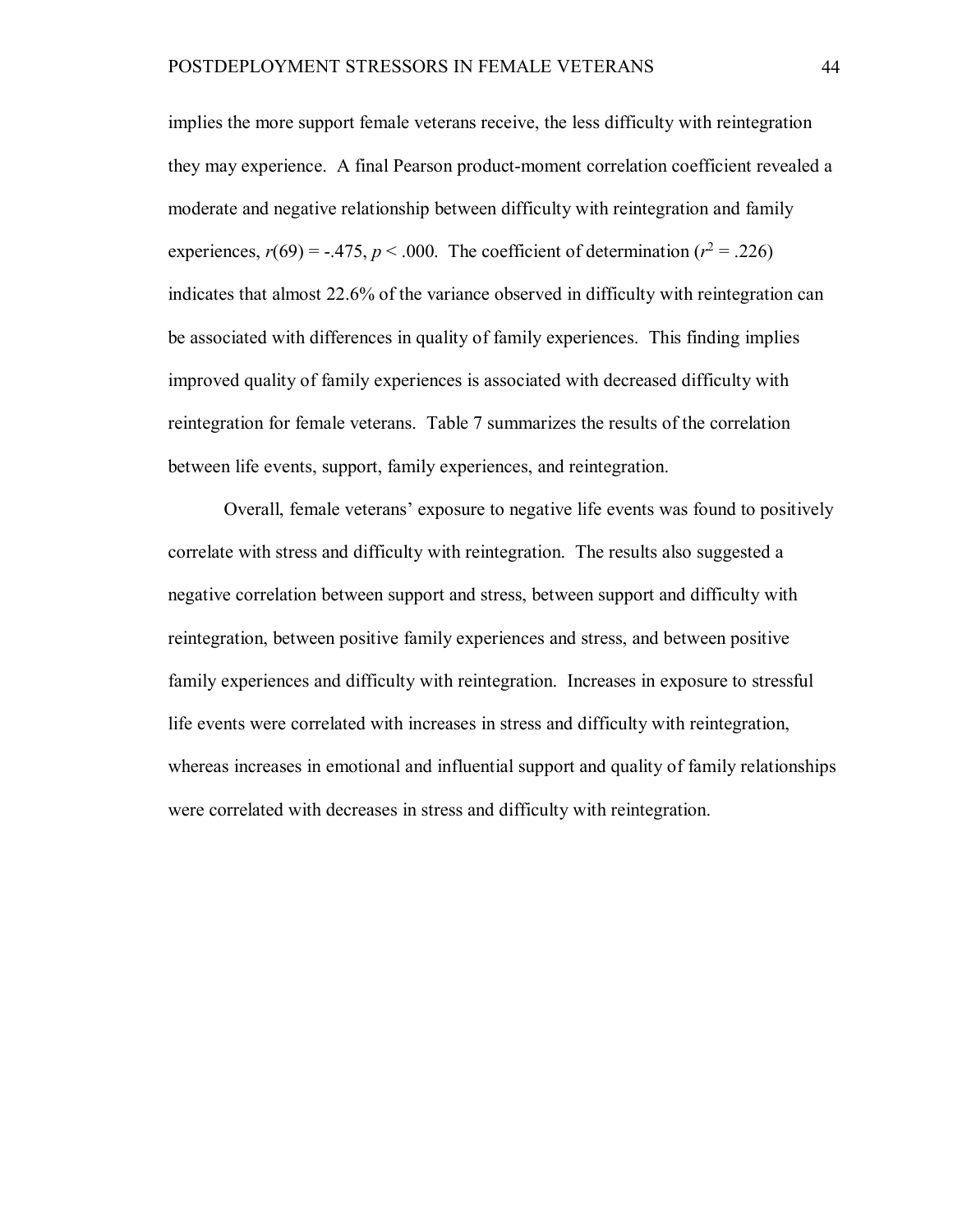implies the more support female veterans receive, the less difficulty with reintegration they may experience. A final Pearson product-moment correlation coefficient revealed a moderate and negative relationship between difficulty with reintegration and family experiences,  $r(69) = -.475$ ,  $p < .000$ . The coefficient of determination ( $r^2 = .226$ ) indicates that almost 22.6% of the variance observed in difficulty with reintegration can be associated with differences in quality of family experiences. This finding implies improved quality of family experiences is associated with decreased difficulty with reintegration for female veterans. Table 7 summarizes the results of the correlation between life events, support, family experiences, and reintegration.

Overall, female veterans' exposure to negative life events was found to positively correlate with stress and difficulty with reintegration. The results also suggested a negative correlation between support and stress, between support and difficulty with reintegration, between positive family experiences and stress, and between positive family experiences and difficulty with reintegration. Increases in exposure to stressful life events were correlated with increases in stress and difficulty with reintegration, whereas increases in emotional and influential support and quality of family relationships were correlated with decreases in stress and difficulty with reintegration.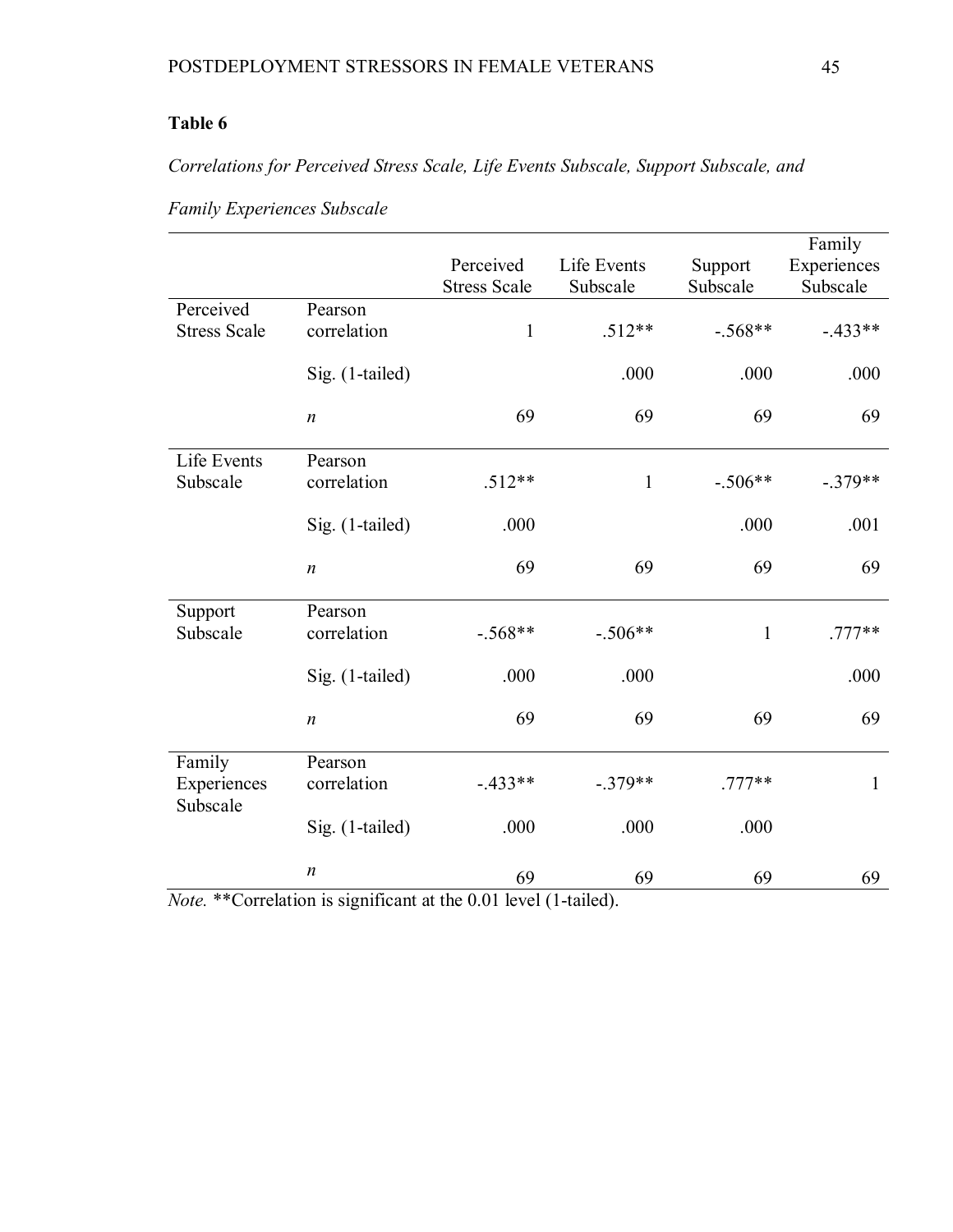# **Table 6**

*Correlations for Perceived Stress Scale, Life Events Subscale, Support Subscale, and* 

|                       |                        | Perceived           | Life Events  | Support      | Family<br>Experiences |
|-----------------------|------------------------|---------------------|--------------|--------------|-----------------------|
|                       |                        | <b>Stress Scale</b> | Subscale     | Subscale     | Subscale              |
| Perceived             | Pearson                |                     |              |              |                       |
| <b>Stress Scale</b>   | correlation            | $\mathbf{1}$        | $.512**$     | $-.568**$    | $-.433**$             |
|                       | Sig. (1-tailed)        |                     | .000         | .000         | .000                  |
|                       | $\boldsymbol{n}$       | 69                  | 69           | 69           | 69                    |
| Life Events           | Pearson                |                     |              |              |                       |
| Subscale              | correlation            | $.512**$            | $\mathbf{1}$ | $-.506**$    | $-.379**$             |
|                       | Sig. (1-tailed)        | .000                |              | .000         | .001                  |
|                       | $\boldsymbol{n}$       | 69                  | 69           | 69           | 69                    |
| Support               | Pearson                |                     |              |              |                       |
| Subscale              | correlation            | $-.568**$           | $-.506**$    | $\mathbf{1}$ | $.777**$              |
|                       | Sig. (1-tailed)        | .000                | .000         |              | .000                  |
|                       | $\boldsymbol{n}$       | 69                  | 69           | 69           | 69                    |
| Family<br>Experiences | Pearson<br>correlation | $-.433**$           | $-.379**$    | $.777**$     | 1                     |
| Subscale              |                        |                     |              |              |                       |
|                       | Sig. (1-tailed)        | .000                | .000         | .000         |                       |
|                       | $\boldsymbol{n}$       | 69                  | 69           | 69           | 69                    |

*Family Experiences Subscale*

*Note.* \*\*Correlation is significant at the 0.01 level (1-tailed).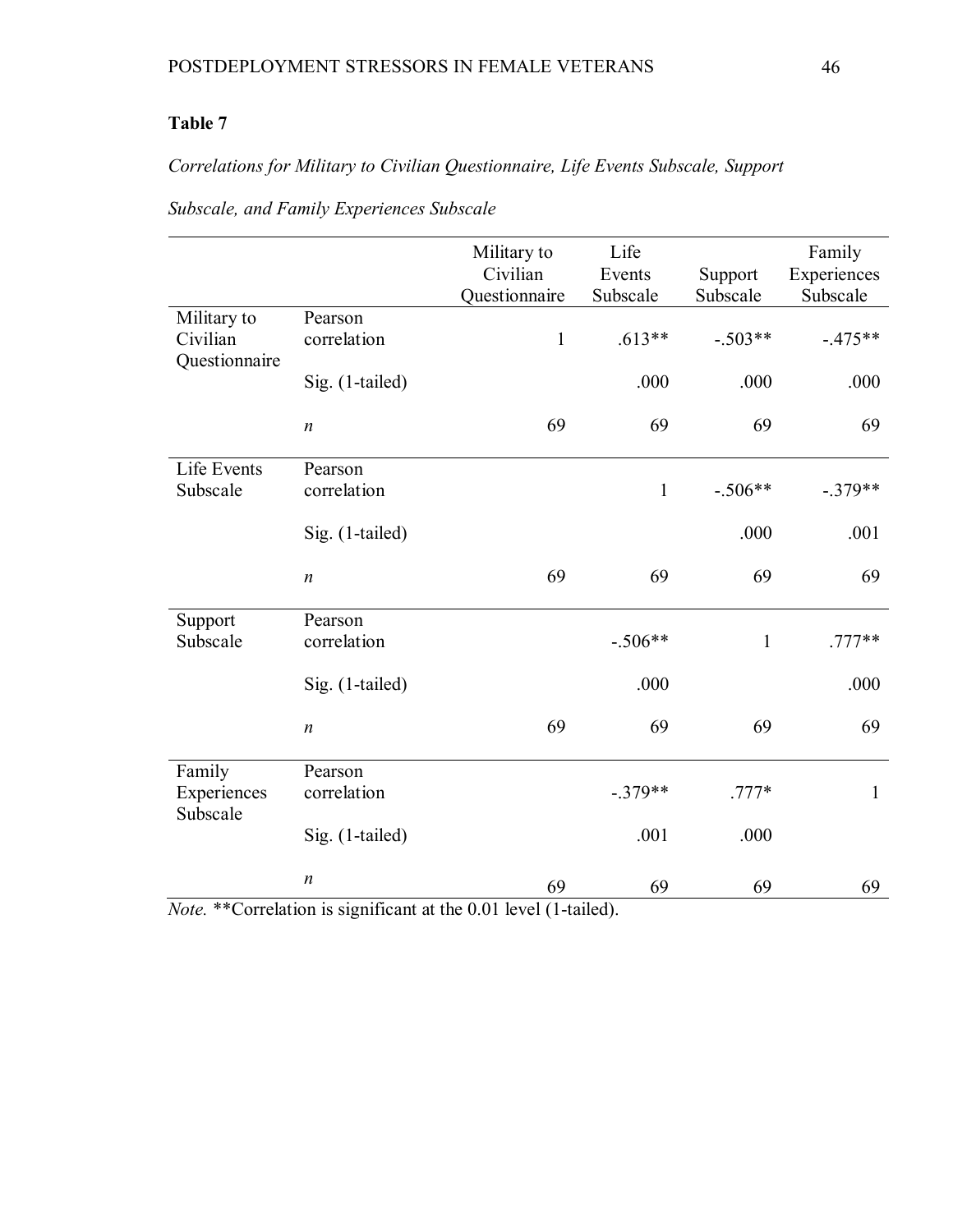# **Table 7**

# *Correlations for Military to Civilian Questionnaire, Life Events Subscale, Support*

|                                          |                        | Military to<br>Civilian | Life<br>Events | Support      | Family<br>Experiences |
|------------------------------------------|------------------------|-------------------------|----------------|--------------|-----------------------|
|                                          |                        | Questionnaire           | Subscale       | Subscale     | Subscale              |
| Military to<br>Civilian<br>Questionnaire | Pearson<br>correlation | $\mathbf{1}$            | $.613**$       | $-.503**$    | $-.475**$             |
|                                          | Sig. (1-tailed)        |                         | .000           | .000         | .000                  |
|                                          | $\boldsymbol{n}$       | 69                      | 69             | 69           | 69                    |
| Life Events<br>Subscale                  | Pearson<br>correlation |                         | $\mathbf{1}$   | $-.506**$    | $-.379**$             |
|                                          | Sig. (1-tailed)        |                         |                | .000         | .001                  |
|                                          | $\boldsymbol{n}$       | 69                      | 69             | 69           | 69                    |
| Support                                  | Pearson                |                         |                |              |                       |
| Subscale                                 | correlation            |                         | $-.506**$      | $\mathbf{1}$ | $.777**$              |
|                                          | Sig. (1-tailed)        |                         | .000           |              | .000                  |
|                                          | $\boldsymbol{n}$       | 69                      | 69             | 69           | 69                    |
| Family                                   | Pearson                |                         |                |              |                       |
| Experiences<br>Subscale                  | correlation            |                         | $-.379**$      | $.777*$      | $\mathbf{1}$          |
|                                          | Sig. (1-tailed)        |                         | .001           | .000         |                       |
|                                          | $\boldsymbol{n}$       | 69                      | 69             | 69           | 69                    |

*Subscale, and Family Experiences Subscale* 

*Note.* \*\*Correlation is significant at the 0.01 level (1-tailed).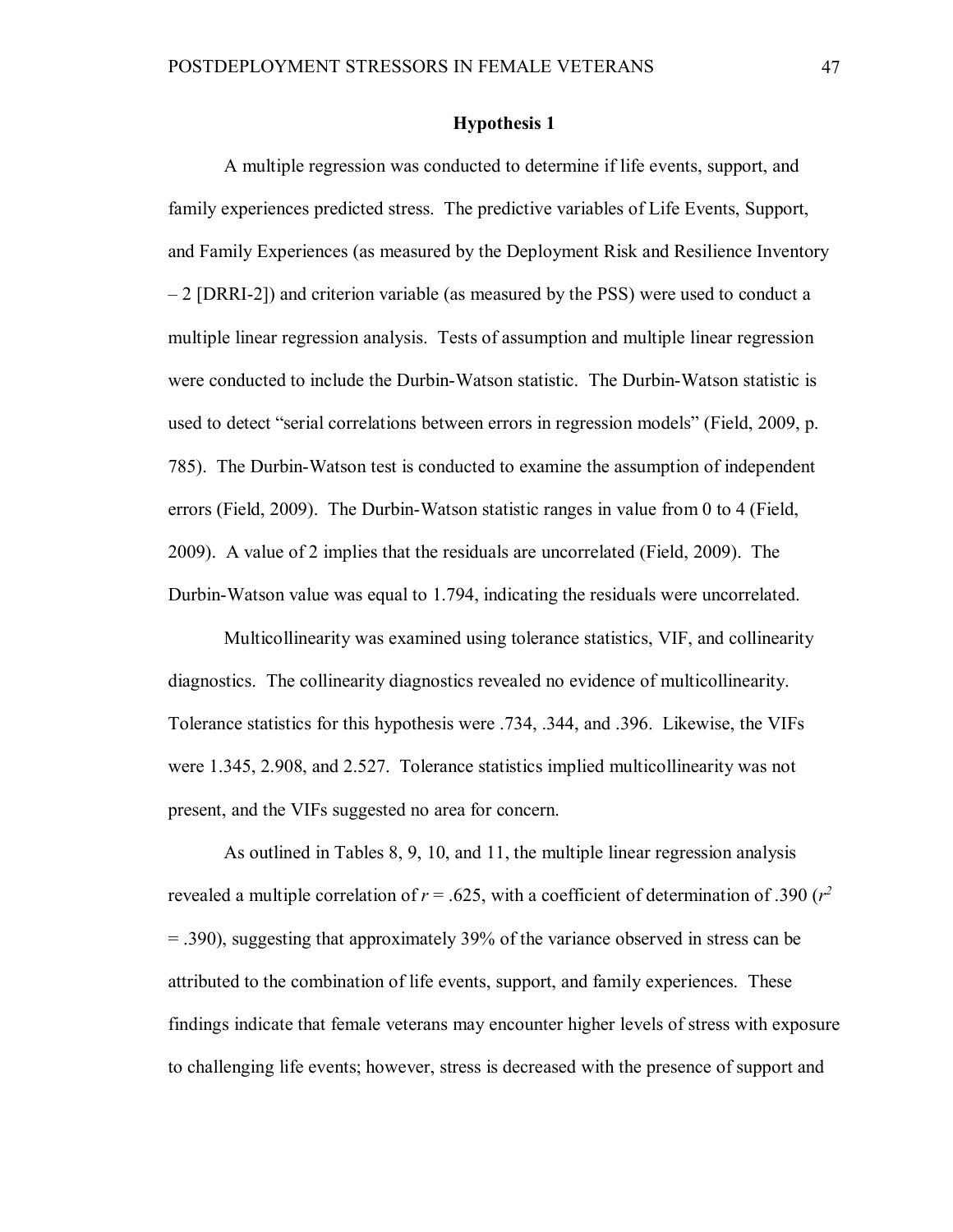# **Hypothesis 1**

A multiple regression was conducted to determine if life events, support, and family experiences predicted stress. The predictive variables of Life Events, Support, and Family Experiences (as measured by the Deployment Risk and Resilience Inventory – 2 [DRRI-2]) and criterion variable (as measured by the PSS) were used to conduct a multiple linear regression analysis. Tests of assumption and multiple linear regression were conducted to include the Durbin-Watson statistic. The Durbin-Watson statistic is used to detect "serial correlations between errors in regression models" (Field, 2009, p. 785). The Durbin-Watson test is conducted to examine the assumption of independent errors (Field, 2009). The Durbin-Watson statistic ranges in value from 0 to 4 (Field, 2009). A value of 2 implies that the residuals are uncorrelated (Field, 2009). The Durbin-Watson value was equal to 1.794, indicating the residuals were uncorrelated.

Multicollinearity was examined using tolerance statistics, VIF, and collinearity diagnostics. The collinearity diagnostics revealed no evidence of multicollinearity. Tolerance statistics for this hypothesis were .734, .344, and .396. Likewise, the VIFs were 1.345, 2.908, and 2.527. Tolerance statistics implied multicollinearity was not present, and the VIFs suggested no area for concern.

As outlined in Tables 8, 9, 10, and 11, the multiple linear regression analysis revealed a multiple correlation of  $r = 0.625$ , with a coefficient of determination of 0.390 ( $r^2$ ) = .390), suggesting that approximately 39% of the variance observed in stress can be attributed to the combination of life events, support, and family experiences. These findings indicate that female veterans may encounter higher levels of stress with exposure to challenging life events; however, stress is decreased with the presence of support and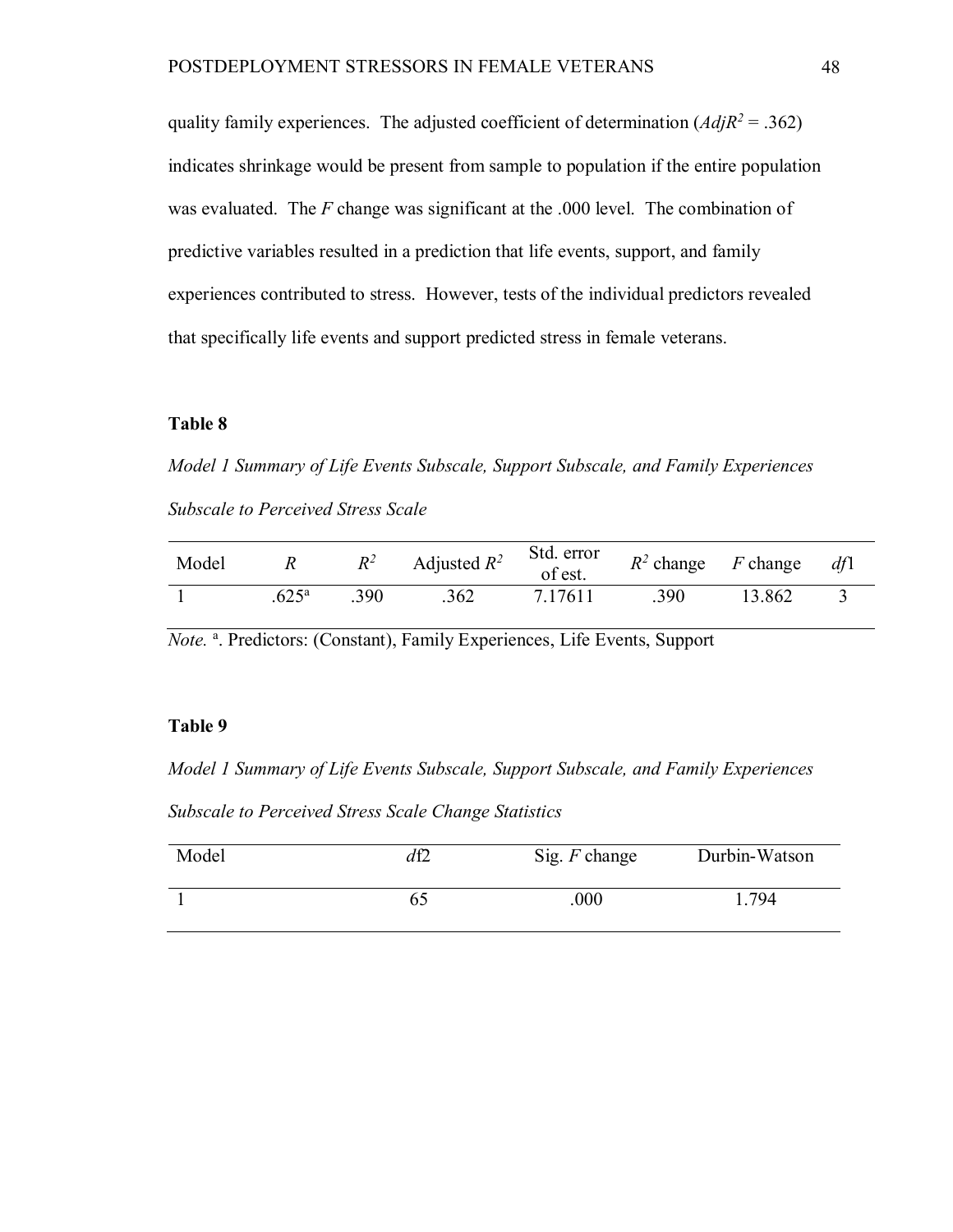quality family experiences. The adjusted coefficient of determination  $(AdiR^2 = .362)$ indicates shrinkage would be present from sample to population if the entire population was evaluated. The *F* change was significant at the .000 level. The combination of predictive variables resulted in a prediction that life events, support, and family experiences contributed to stress. However, tests of the individual predictors revealed that specifically life events and support predicted stress in female veterans.

# **Table 8**

*Model 1 Summary of Life Events Subscale, Support Subscale, and Family Experiences Subscale to Perceived Stress Scale*

| Model | R                  | $R^2$ | Adjusted $R^2$ | Std. error<br>of est. |      | $R^2$ change F change dfl |  |
|-------|--------------------|-------|----------------|-----------------------|------|---------------------------|--|
|       | $625^{\mathrm{a}}$ | .390  | .362           | 7.17611               | .390 | 13.862                    |  |

Note.<sup>a</sup>. Predictors: (Constant), Family Experiences, Life Events, Support

## **Table 9**

*Model 1 Summary of Life Events Subscale, Support Subscale, and Family Experiences Subscale to Perceived Stress Scale Change Statistics*

| Model | df2 | Sig. $F$ change | Durbin-Watson |
|-------|-----|-----------------|---------------|
|       |     | .000            | .794          |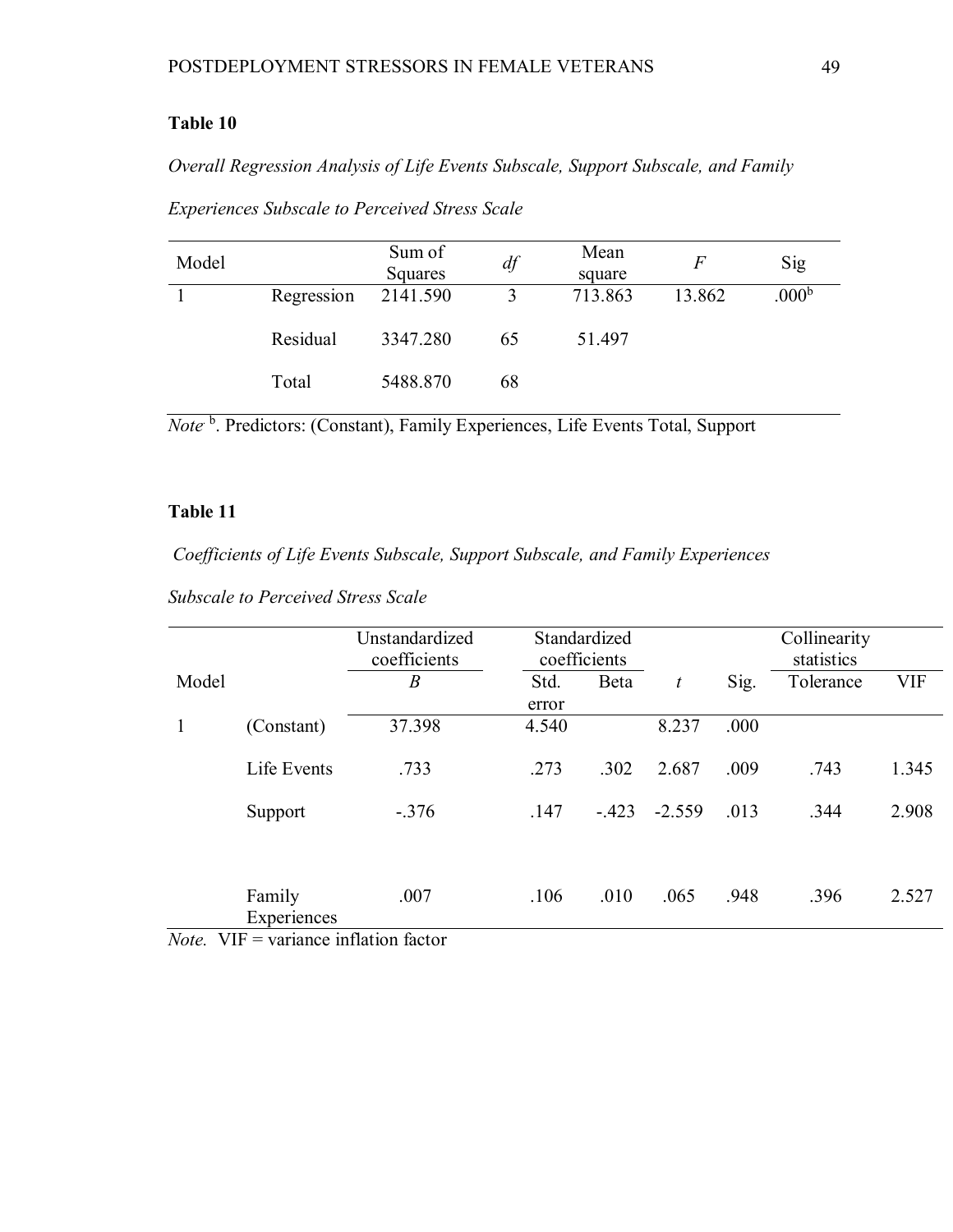# **Table 10**

*Overall Regression Analysis of Life Events Subscale, Support Subscale, and Family* 

| Model |            | Sum of<br>Squares | df | Mean<br>square |        | Sig               |
|-------|------------|-------------------|----|----------------|--------|-------------------|
|       | Regression | 2141.590          |    | 713.863        | 13.862 | .000 <sup>b</sup> |
|       | Residual   | 3347.280          | 65 | 51.497         |        |                   |
|       | Total      | 5488.870          | 68 |                |        |                   |

*Experiences Subscale to Perceived Stress Scale*

*Note* <sup>b</sup>. Predictors: (Constant), Family Experiences, Life Events Total, Support

# **Table 11**

*Coefficients of Life Events Subscale, Support Subscale, and Family Experiences* 

| <b>Subscale to Perceived Stress Scale</b> |  |  |  |  |  |  |
|-------------------------------------------|--|--|--|--|--|--|
|-------------------------------------------|--|--|--|--|--|--|

|              |                       | Unstandardized<br>coefficients         |                | Standardized<br>coefficients |          |      | Collinearity<br>statistics |            |
|--------------|-----------------------|----------------------------------------|----------------|------------------------------|----------|------|----------------------------|------------|
| Model        |                       | $\boldsymbol{B}$                       | Std.           | Beta                         | t        | Sig. | Tolerance                  | <b>VIF</b> |
| 1            | (Constant)            | 37.398                                 | error<br>4.540 |                              | 8.237    | .000 |                            |            |
|              | Life Events           | .733                                   | .273           | .302                         | 2.687    | .009 | .743                       | 1.345      |
|              | Support               | $-.376$                                | .147           | $-.423$                      | $-2.559$ | .013 | .344                       | 2.908      |
|              |                       |                                        |                |                              |          |      |                            |            |
| $ -$<br>---- | Family<br>Experiences | .007<br>$\sim$ $\sim$ $\sim$<br>$\sim$ | .106           | .010                         | .065     | .948 | .396                       | 2.527      |

*Note.* VIF = variance inflation factor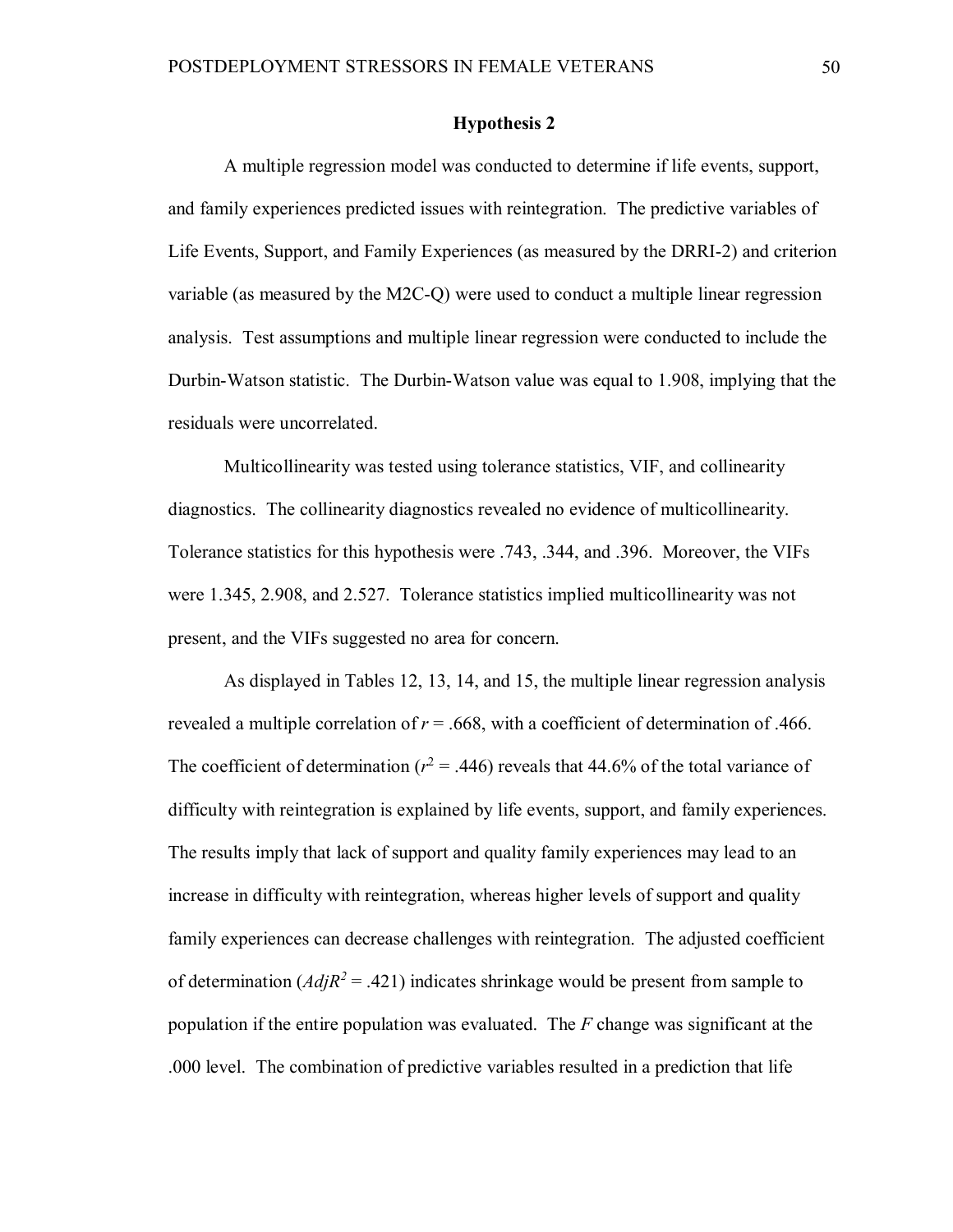# **Hypothesis 2**

A multiple regression model was conducted to determine if life events, support, and family experiences predicted issues with reintegration. The predictive variables of Life Events, Support, and Family Experiences (as measured by the DRRI-2) and criterion variable (as measured by the M2C-Q) were used to conduct a multiple linear regression analysis. Test assumptions and multiple linear regression were conducted to include the Durbin-Watson statistic. The Durbin-Watson value was equal to 1.908, implying that the residuals were uncorrelated.

Multicollinearity was tested using tolerance statistics, VIF, and collinearity diagnostics. The collinearity diagnostics revealed no evidence of multicollinearity. Tolerance statistics for this hypothesis were .743, .344, and .396. Moreover, the VIFs were 1.345, 2.908, and 2.527. Tolerance statistics implied multicollinearity was not present, and the VIFs suggested no area for concern.

As displayed in Tables 12, 13, 14, and 15, the multiple linear regression analysis revealed a multiple correlation of  $r = .668$ , with a coefficient of determination of .466. The coefficient of determination ( $r^2$  = .446) reveals that 44.6% of the total variance of difficulty with reintegration is explained by life events, support, and family experiences. The results imply that lack of support and quality family experiences may lead to an increase in difficulty with reintegration, whereas higher levels of support and quality family experiences can decrease challenges with reintegration. The adjusted coefficient of determination  $(AdiR^2 = .421)$  indicates shrinkage would be present from sample to population if the entire population was evaluated. The *F* change was significant at the .000 level. The combination of predictive variables resulted in a prediction that life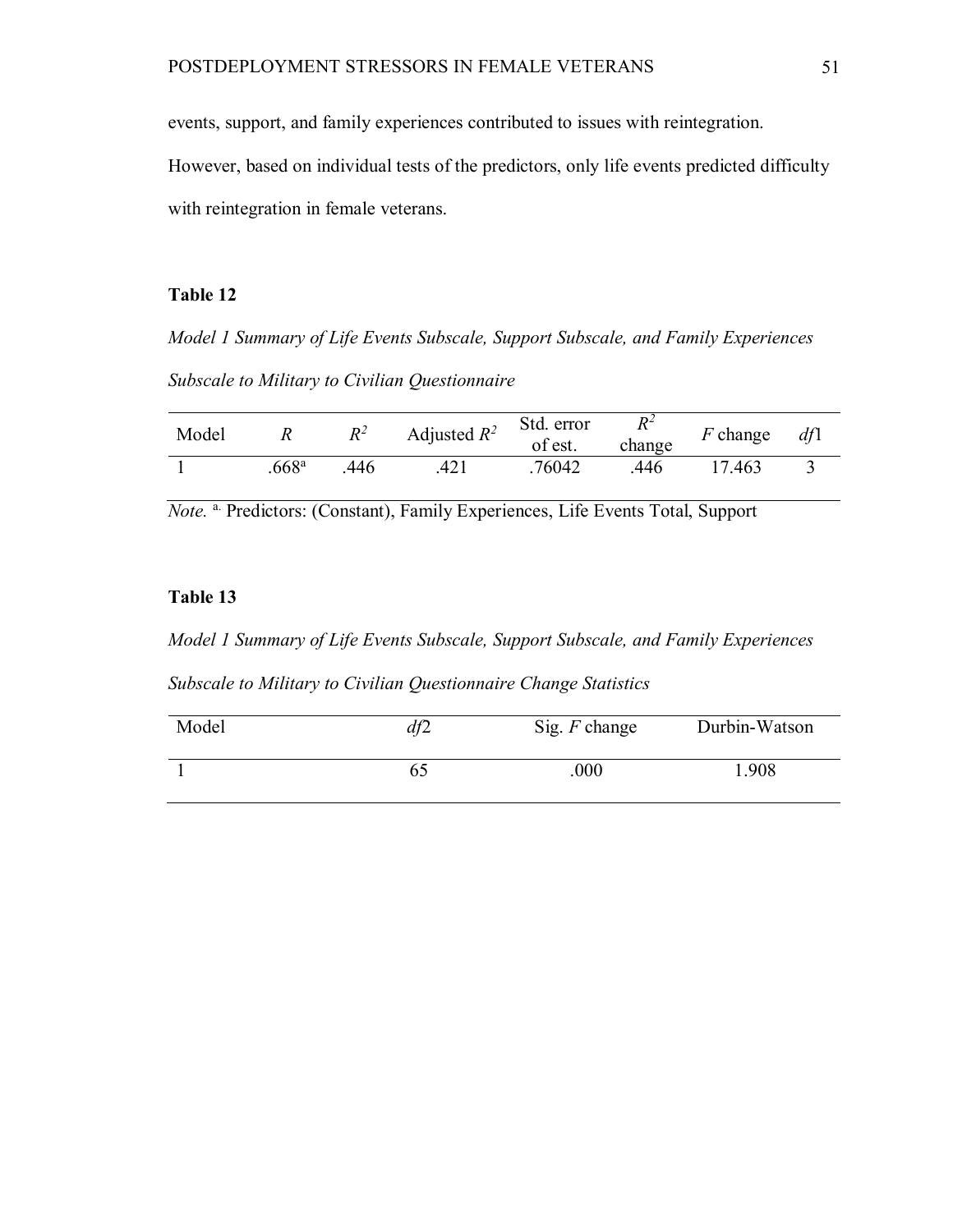events, support, and family experiences contributed to issues with reintegration.

However, based on individual tests of the predictors, only life events predicted difficulty with reintegration in female veterans.

# **Table 12**

*Model 1 Summary of Life Events Subscale, Support Subscale, and Family Experiences Subscale to Military to Civilian Questionnaire*

| Model |                  | $R^2$ | Adjusted $R^2$ | Std. error<br>of est. | $R^2$<br>change | $F$ change | df1 |
|-------|------------------|-------|----------------|-----------------------|-----------------|------------|-----|
|       | 668 <sup>a</sup> | 446   |                | 76042                 | .446            | '.463      |     |

*Note.* <sup>a.</sup> Predictors: (Constant), Family Experiences, Life Events Total, Support

# **Table 13**

*Model 1 Summary of Life Events Subscale, Support Subscale, and Family Experiences* 

*Subscale to Military to Civilian Questionnaire Change Statistics*

| Model | df2 | Sig. $F$ change | Durbin-Watson |
|-------|-----|-----------------|---------------|
|       |     | .000            | .908          |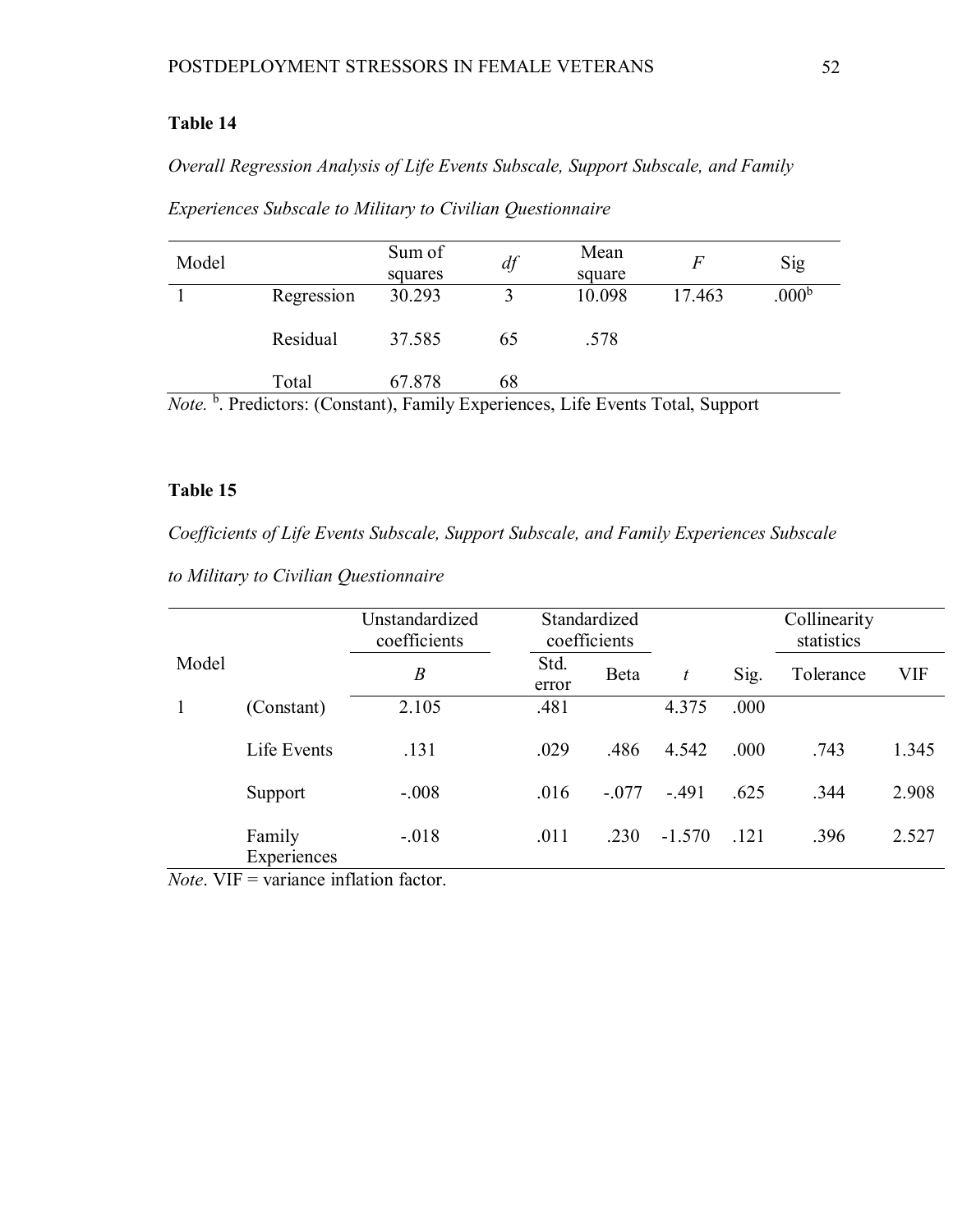# **Table 14**

*Overall Regression Analysis of Life Events Subscale, Support Subscale, and Family* 

| Model                                                                                            |            | Sum of<br>df |    | Mean   |        | Sig               |  |  |
|--------------------------------------------------------------------------------------------------|------------|--------------|----|--------|--------|-------------------|--|--|
|                                                                                                  |            | squares      |    | square |        |                   |  |  |
|                                                                                                  | Regression | 30.293       |    | 10.098 | 17.463 | .000 <sup>b</sup> |  |  |
|                                                                                                  | Residual   | 37.585       | 65 | .578   |        |                   |  |  |
|                                                                                                  | Total      | 67.878       | 68 |        |        |                   |  |  |
| <sup>b</sup> Prodictors: (Constant) Family Experiences Life Events Total Support<br>$N_{\alpha}$ |            |              |    |        |        |                   |  |  |

*Experiences Subscale to Military to Civilian Questionnaire*

*Note.* <sup>b</sup> . Predictors: (Constant), Family Experiences, Life Events Total, Support

# **Table 15**

*Coefficients of Life Events Subscale, Support Subscale, and Family Experiences Subscale* 

|  |  |  |  | to Military to Civilian Questionnaire |  |
|--|--|--|--|---------------------------------------|--|
|--|--|--|--|---------------------------------------|--|

|       |                       | Unstandardized<br>coefficients |               | Standardized<br>coefficients |          |      | Collinearity<br>statistics |       |
|-------|-----------------------|--------------------------------|---------------|------------------------------|----------|------|----------------------------|-------|
| Model |                       | $\boldsymbol{B}$               | Std.<br>error | Beta                         | t        | Sig. | Tolerance                  | VIF   |
|       | (Constant)            | 2.105                          | .481          |                              | 4.375    | .000 |                            |       |
|       | Life Events           | .131                           | .029          | .486                         | 4.542    | .000 | .743                       | 1.345 |
|       | Support               | $-.008$                        | .016          | $-.077$                      | $-.491$  | .625 | .344                       | 2.908 |
|       | Family<br>Experiences | $-.018$                        | .011          | .230                         | $-1.570$ | .121 | .396                       | 2.527 |

*Note*. VIF = variance inflation factor.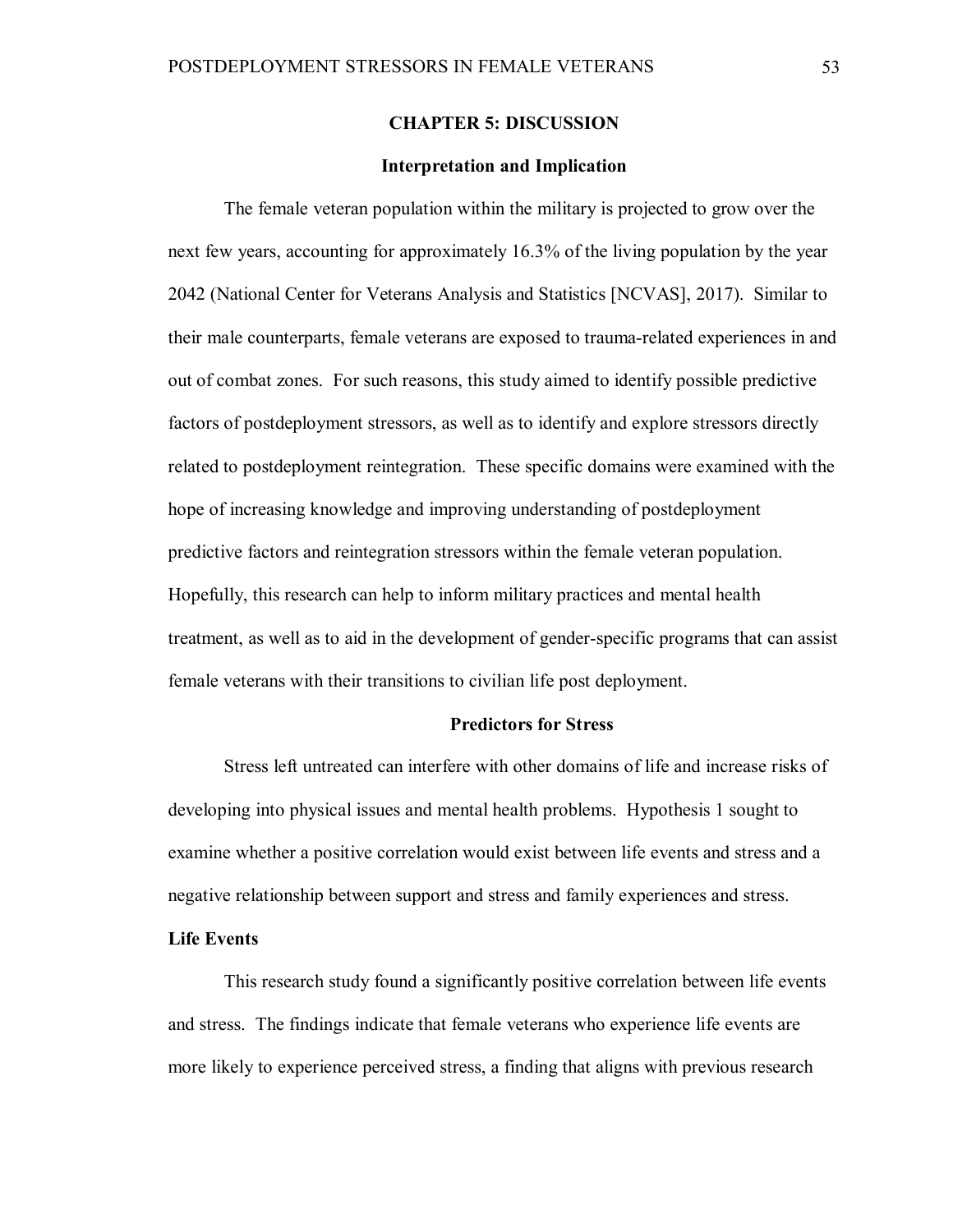## **CHAPTER 5: DISCUSSION**

### **Interpretation and Implication**

The female veteran population within the military is projected to grow over the next few years, accounting for approximately 16.3% of the living population by the year 2042 (National Center for Veterans Analysis and Statistics [NCVAS], 2017). Similar to their male counterparts, female veterans are exposed to trauma-related experiences in and out of combat zones. For such reasons, this study aimed to identify possible predictive factors of postdeployment stressors, as well as to identify and explore stressors directly related to postdeployment reintegration. These specific domains were examined with the hope of increasing knowledge and improving understanding of postdeployment predictive factors and reintegration stressors within the female veteran population. Hopefully, this research can help to inform military practices and mental health treatment, as well as to aid in the development of gender-specific programs that can assist female veterans with their transitions to civilian life post deployment.

#### **Predictors for Stress**

Stress left untreated can interfere with other domains of life and increase risks of developing into physical issues and mental health problems. Hypothesis 1 sought to examine whether a positive correlation would exist between life events and stress and a negative relationship between support and stress and family experiences and stress.

## **Life Events**

This research study found a significantly positive correlation between life events and stress. The findings indicate that female veterans who experience life events are more likely to experience perceived stress, a finding that aligns with previous research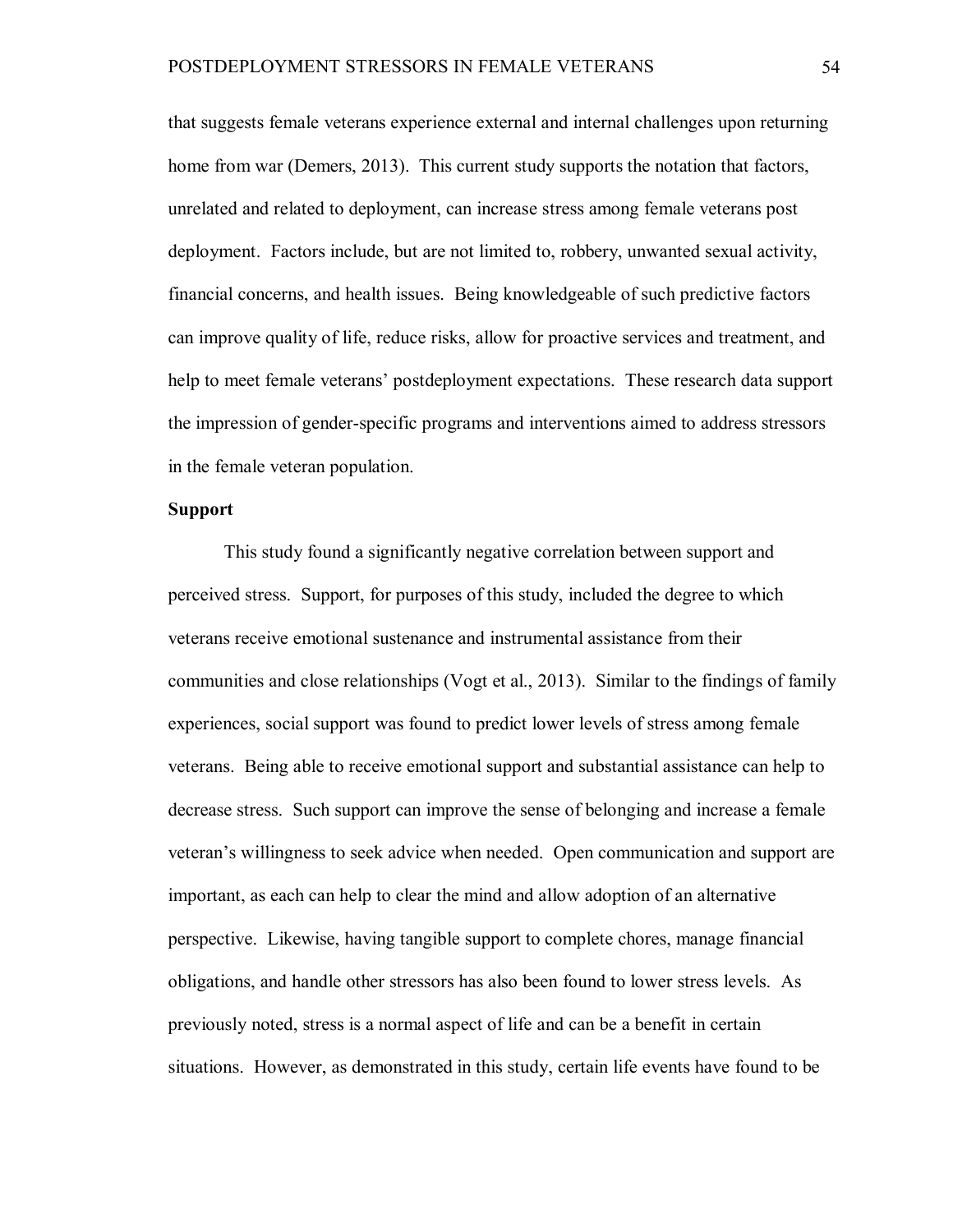that suggests female veterans experience external and internal challenges upon returning home from war (Demers, 2013). This current study supports the notation that factors, unrelated and related to deployment, can increase stress among female veterans post deployment. Factors include, but are not limited to, robbery, unwanted sexual activity, financial concerns, and health issues. Being knowledgeable of such predictive factors can improve quality of life, reduce risks, allow for proactive services and treatment, and help to meet female veterans' postdeployment expectations. These research data support the impression of gender-specific programs and interventions aimed to address stressors in the female veteran population.

## **Support**

This study found a significantly negative correlation between support and perceived stress. Support, for purposes of this study, included the degree to which veterans receive emotional sustenance and instrumental assistance from their communities and close relationships (Vogt et al., 2013). Similar to the findings of family experiences, social support was found to predict lower levels of stress among female veterans. Being able to receive emotional support and substantial assistance can help to decrease stress. Such support can improve the sense of belonging and increase a female veteran's willingness to seek advice when needed. Open communication and support are important, as each can help to clear the mind and allow adoption of an alternative perspective. Likewise, having tangible support to complete chores, manage financial obligations, and handle other stressors has also been found to lower stress levels. As previously noted, stress is a normal aspect of life and can be a benefit in certain situations. However, as demonstrated in this study, certain life events have found to be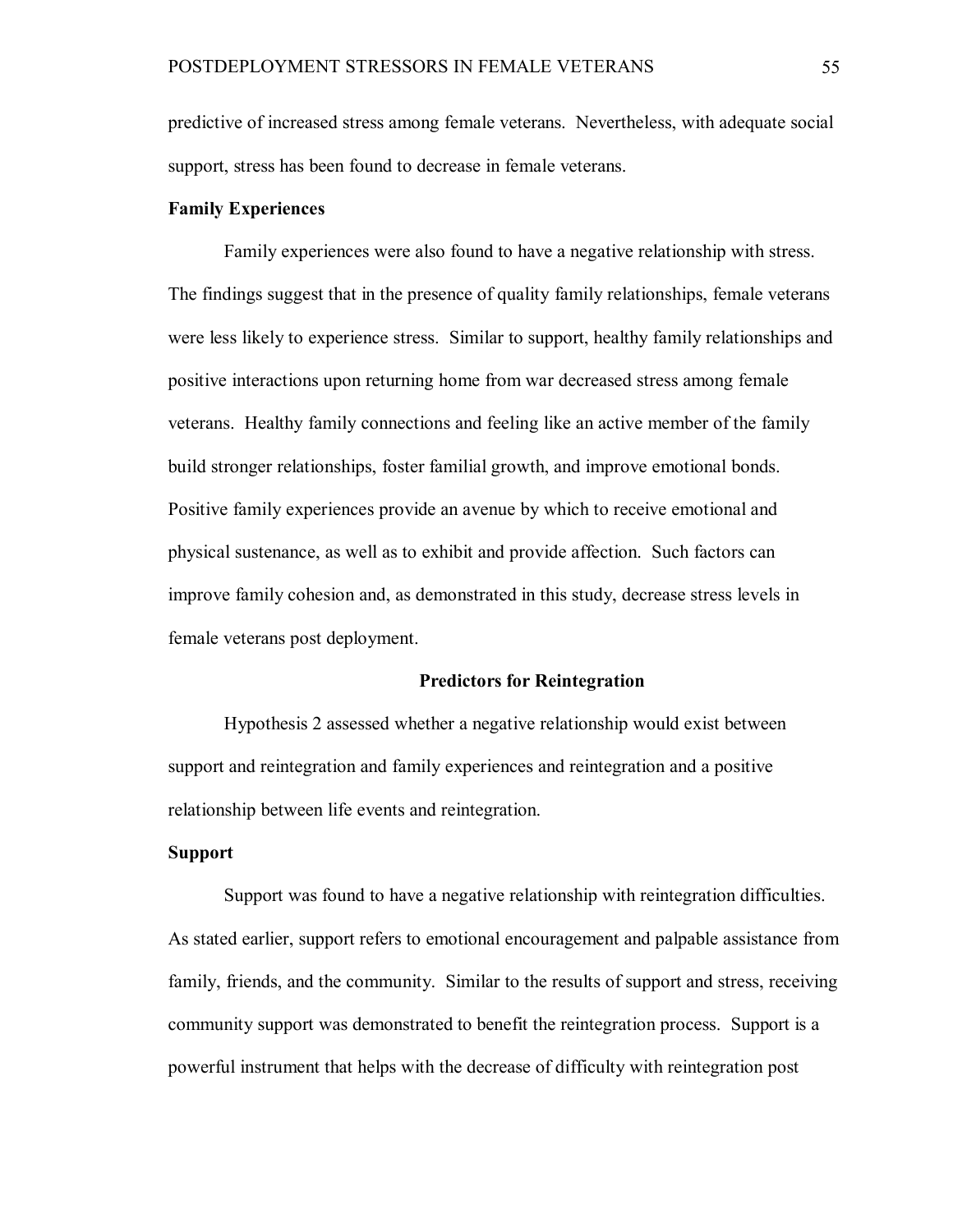predictive of increased stress among female veterans. Nevertheless, with adequate social support, stress has been found to decrease in female veterans.

## **Family Experiences**

Family experiences were also found to have a negative relationship with stress. The findings suggest that in the presence of quality family relationships, female veterans were less likely to experience stress. Similar to support, healthy family relationships and positive interactions upon returning home from war decreased stress among female veterans. Healthy family connections and feeling like an active member of the family build stronger relationships, foster familial growth, and improve emotional bonds. Positive family experiences provide an avenue by which to receive emotional and physical sustenance, as well as to exhibit and provide affection. Such factors can improve family cohesion and, as demonstrated in this study, decrease stress levels in female veterans post deployment.

#### **Predictors for Reintegration**

Hypothesis 2 assessed whether a negative relationship would exist between support and reintegration and family experiences and reintegration and a positive relationship between life events and reintegration.

### **Support**

Support was found to have a negative relationship with reintegration difficulties. As stated earlier, support refers to emotional encouragement and palpable assistance from family, friends, and the community. Similar to the results of support and stress, receiving community support was demonstrated to benefit the reintegration process. Support is a powerful instrument that helps with the decrease of difficulty with reintegration post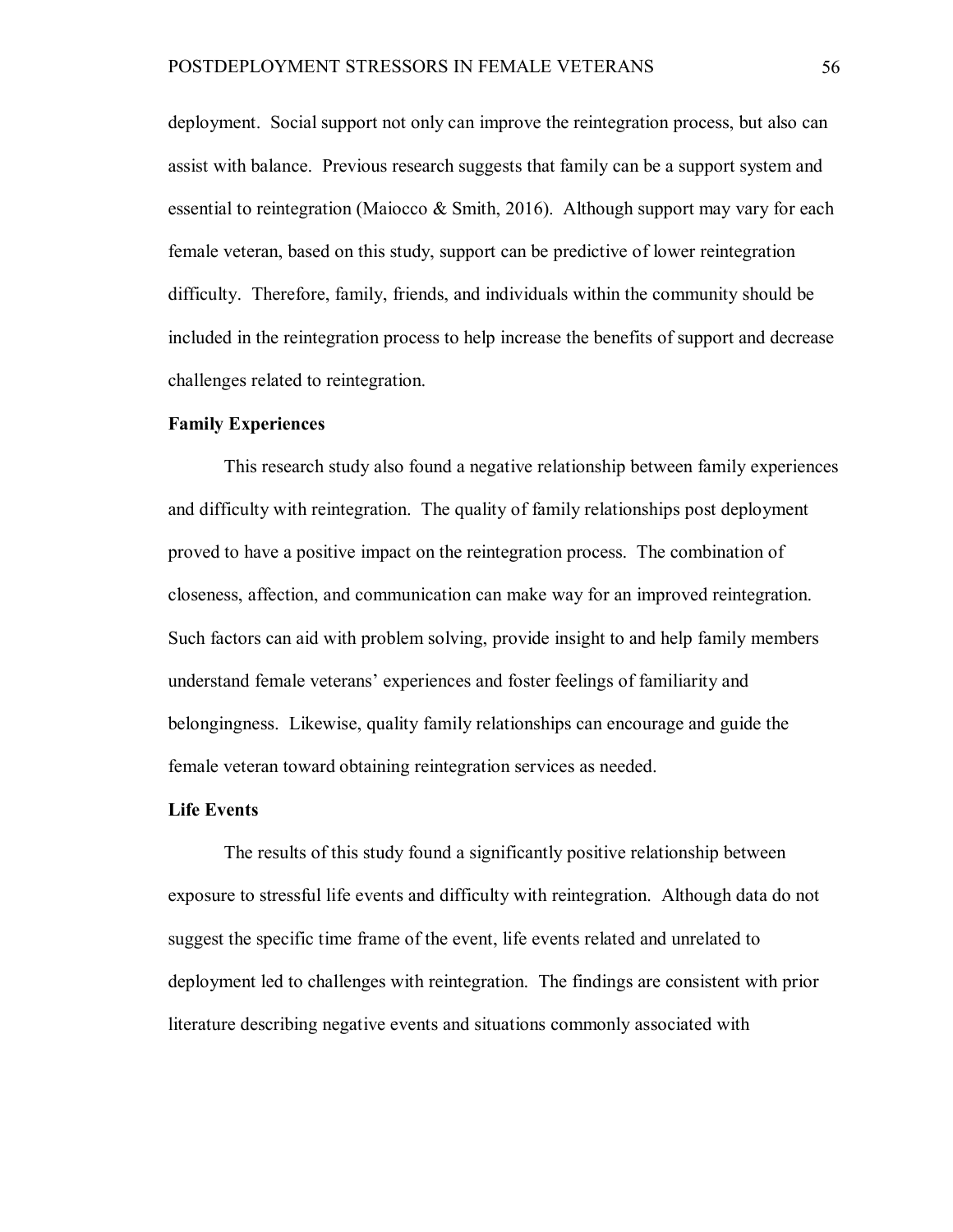deployment. Social support not only can improve the reintegration process, but also can assist with balance. Previous research suggests that family can be a support system and essential to reintegration (Maiocco & Smith, 2016). Although support may vary for each female veteran, based on this study, support can be predictive of lower reintegration difficulty. Therefore, family, friends, and individuals within the community should be included in the reintegration process to help increase the benefits of support and decrease challenges related to reintegration.

#### **Family Experiences**

This research study also found a negative relationship between family experiences and difficulty with reintegration. The quality of family relationships post deployment proved to have a positive impact on the reintegration process. The combination of closeness, affection, and communication can make way for an improved reintegration. Such factors can aid with problem solving, provide insight to and help family members understand female veterans' experiences and foster feelings of familiarity and belongingness. Likewise, quality family relationships can encourage and guide the female veteran toward obtaining reintegration services as needed.

### **Life Events**

The results of this study found a significantly positive relationship between exposure to stressful life events and difficulty with reintegration. Although data do not suggest the specific time frame of the event, life events related and unrelated to deployment led to challenges with reintegration. The findings are consistent with prior literature describing negative events and situations commonly associated with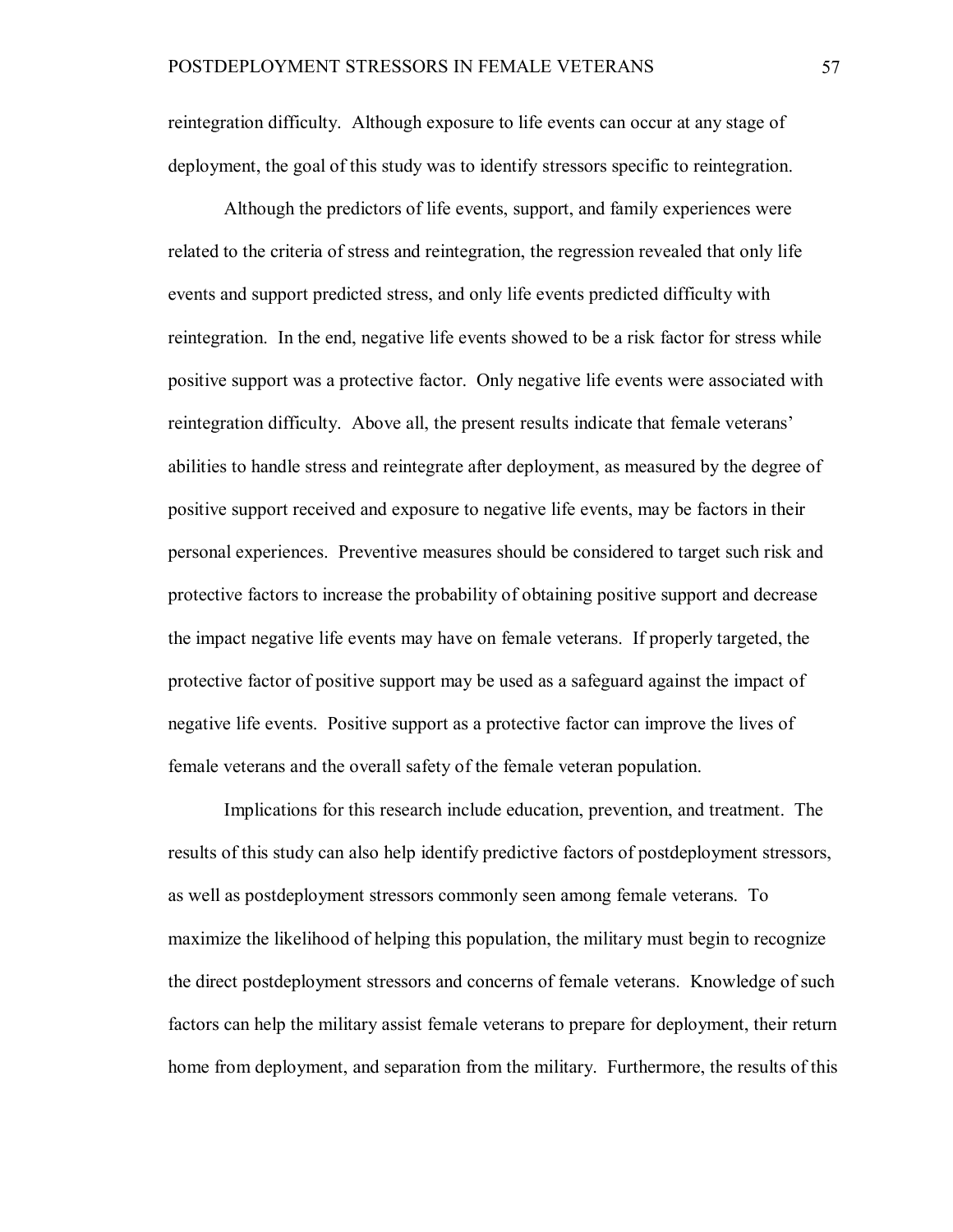reintegration difficulty. Although exposure to life events can occur at any stage of deployment, the goal of this study was to identify stressors specific to reintegration.

Although the predictors of life events, support, and family experiences were related to the criteria of stress and reintegration, the regression revealed that only life events and support predicted stress, and only life events predicted difficulty with reintegration. In the end, negative life events showed to be a risk factor for stress while positive support was a protective factor. Only negative life events were associated with reintegration difficulty. Above all, the present results indicate that female veterans' abilities to handle stress and reintegrate after deployment, as measured by the degree of positive support received and exposure to negative life events, may be factors in their personal experiences. Preventive measures should be considered to target such risk and protective factors to increase the probability of obtaining positive support and decrease the impact negative life events may have on female veterans. If properly targeted, the protective factor of positive support may be used as a safeguard against the impact of negative life events. Positive support as a protective factor can improve the lives of female veterans and the overall safety of the female veteran population.

Implications for this research include education, prevention, and treatment. The results of this study can also help identify predictive factors of postdeployment stressors, as well as postdeployment stressors commonly seen among female veterans. To maximize the likelihood of helping this population, the military must begin to recognize the direct postdeployment stressors and concerns of female veterans. Knowledge of such factors can help the military assist female veterans to prepare for deployment, their return home from deployment, and separation from the military. Furthermore, the results of this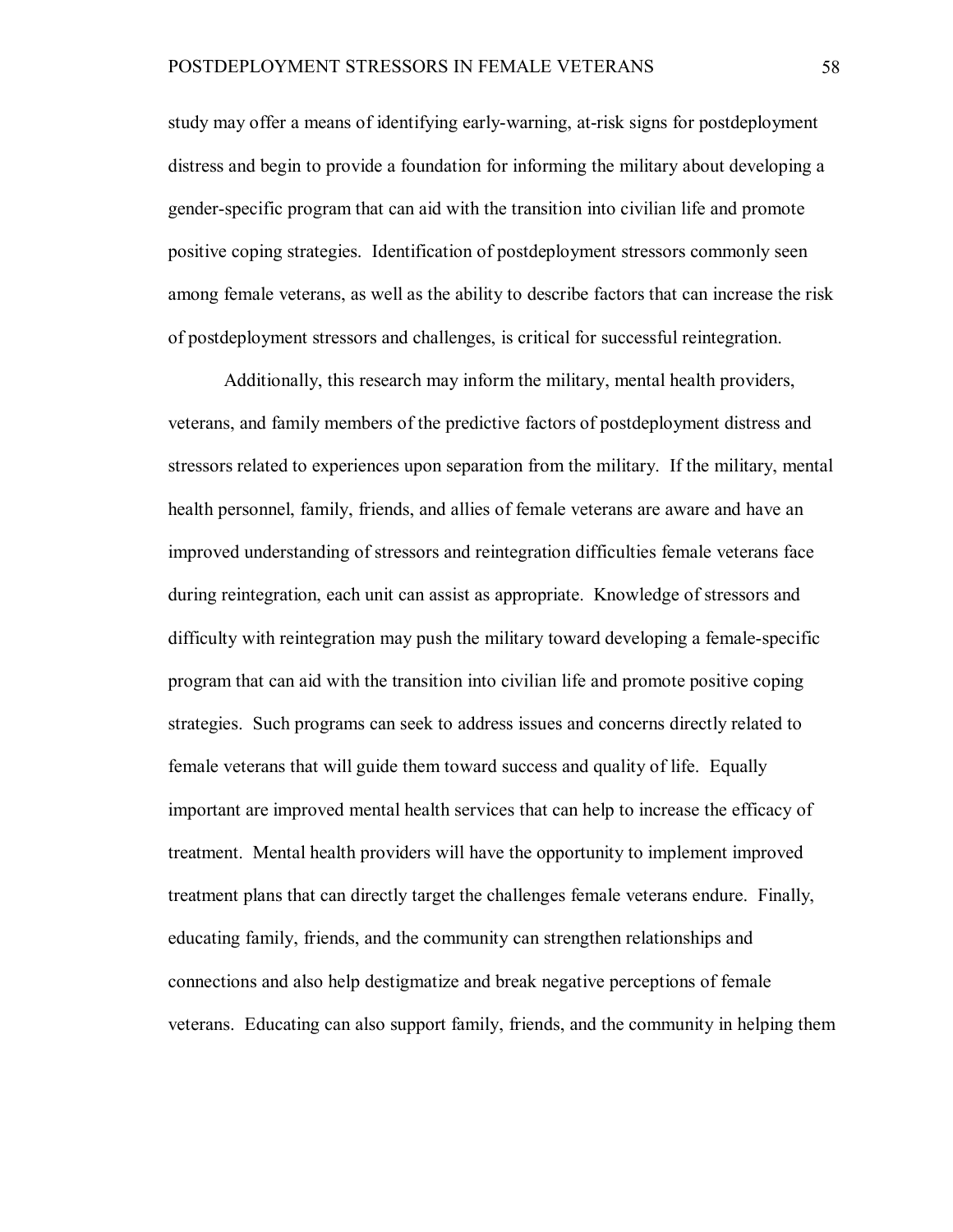study may offer a means of identifying early-warning, at-risk signs for postdeployment distress and begin to provide a foundation for informing the military about developing a gender-specific program that can aid with the transition into civilian life and promote positive coping strategies. Identification of postdeployment stressors commonly seen among female veterans, as well as the ability to describe factors that can increase the risk of postdeployment stressors and challenges, is critical for successful reintegration.

Additionally, this research may inform the military, mental health providers, veterans, and family members of the predictive factors of postdeployment distress and stressors related to experiences upon separation from the military. If the military, mental health personnel, family, friends, and allies of female veterans are aware and have an improved understanding of stressors and reintegration difficulties female veterans face during reintegration, each unit can assist as appropriate. Knowledge of stressors and difficulty with reintegration may push the military toward developing a female-specific program that can aid with the transition into civilian life and promote positive coping strategies. Such programs can seek to address issues and concerns directly related to female veterans that will guide them toward success and quality of life. Equally important are improved mental health services that can help to increase the efficacy of treatment. Mental health providers will have the opportunity to implement improved treatment plans that can directly target the challenges female veterans endure. Finally, educating family, friends, and the community can strengthen relationships and connections and also help destigmatize and break negative perceptions of female veterans. Educating can also support family, friends, and the community in helping them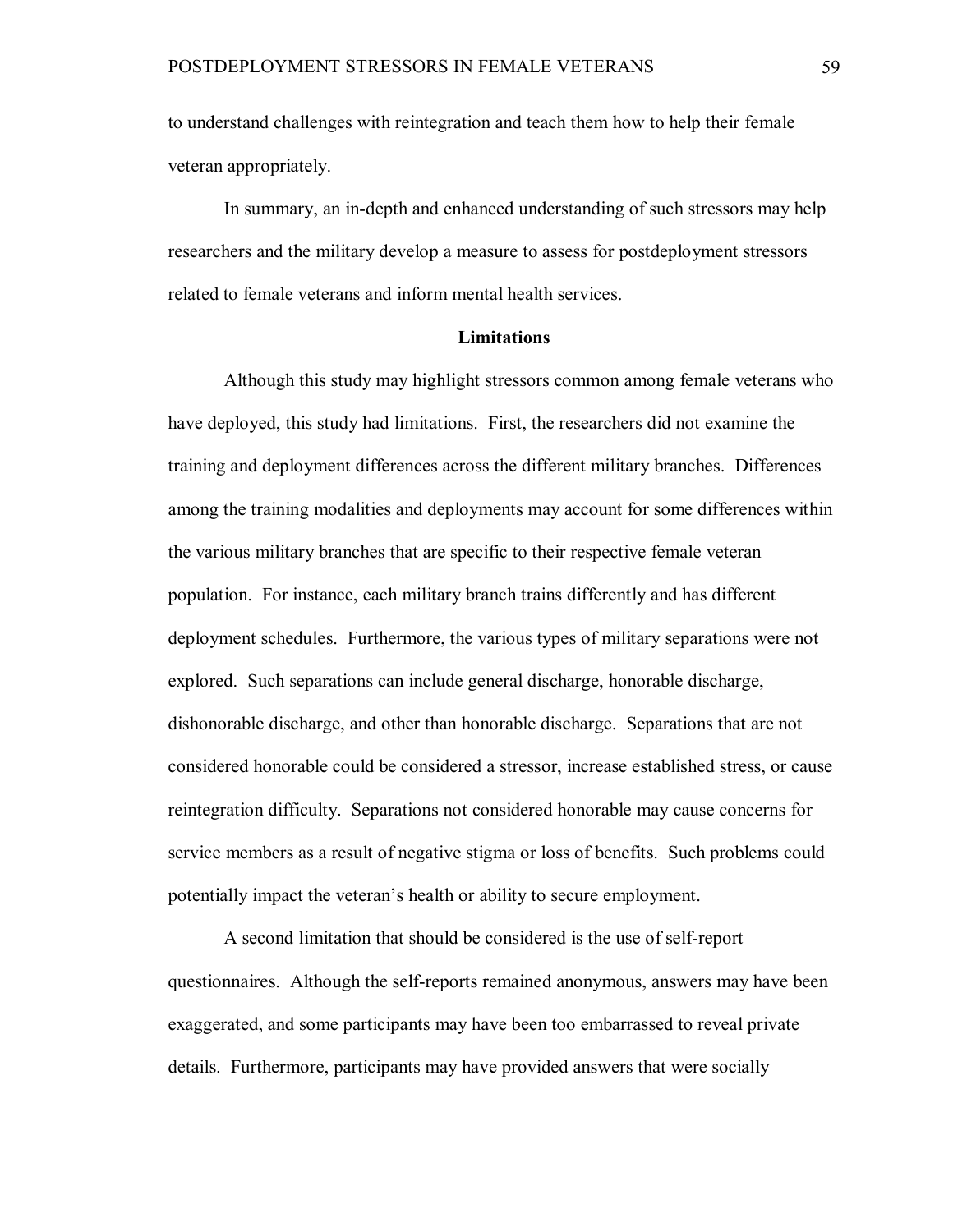to understand challenges with reintegration and teach them how to help their female veteran appropriately.

In summary, an in-depth and enhanced understanding of such stressors may help researchers and the military develop a measure to assess for postdeployment stressors related to female veterans and inform mental health services.

### **Limitations**

Although this study may highlight stressors common among female veterans who have deployed, this study had limitations. First, the researchers did not examine the training and deployment differences across the different military branches. Differences among the training modalities and deployments may account for some differences within the various military branches that are specific to their respective female veteran population. For instance, each military branch trains differently and has different deployment schedules. Furthermore, the various types of military separations were not explored. Such separations can include general discharge, honorable discharge, dishonorable discharge, and other than honorable discharge. Separations that are not considered honorable could be considered a stressor, increase established stress, or cause reintegration difficulty. Separations not considered honorable may cause concerns for service members as a result of negative stigma or loss of benefits. Such problems could potentially impact the veteran's health or ability to secure employment.

A second limitation that should be considered is the use of self-report questionnaires. Although the self-reports remained anonymous, answers may have been exaggerated, and some participants may have been too embarrassed to reveal private details. Furthermore, participants may have provided answers that were socially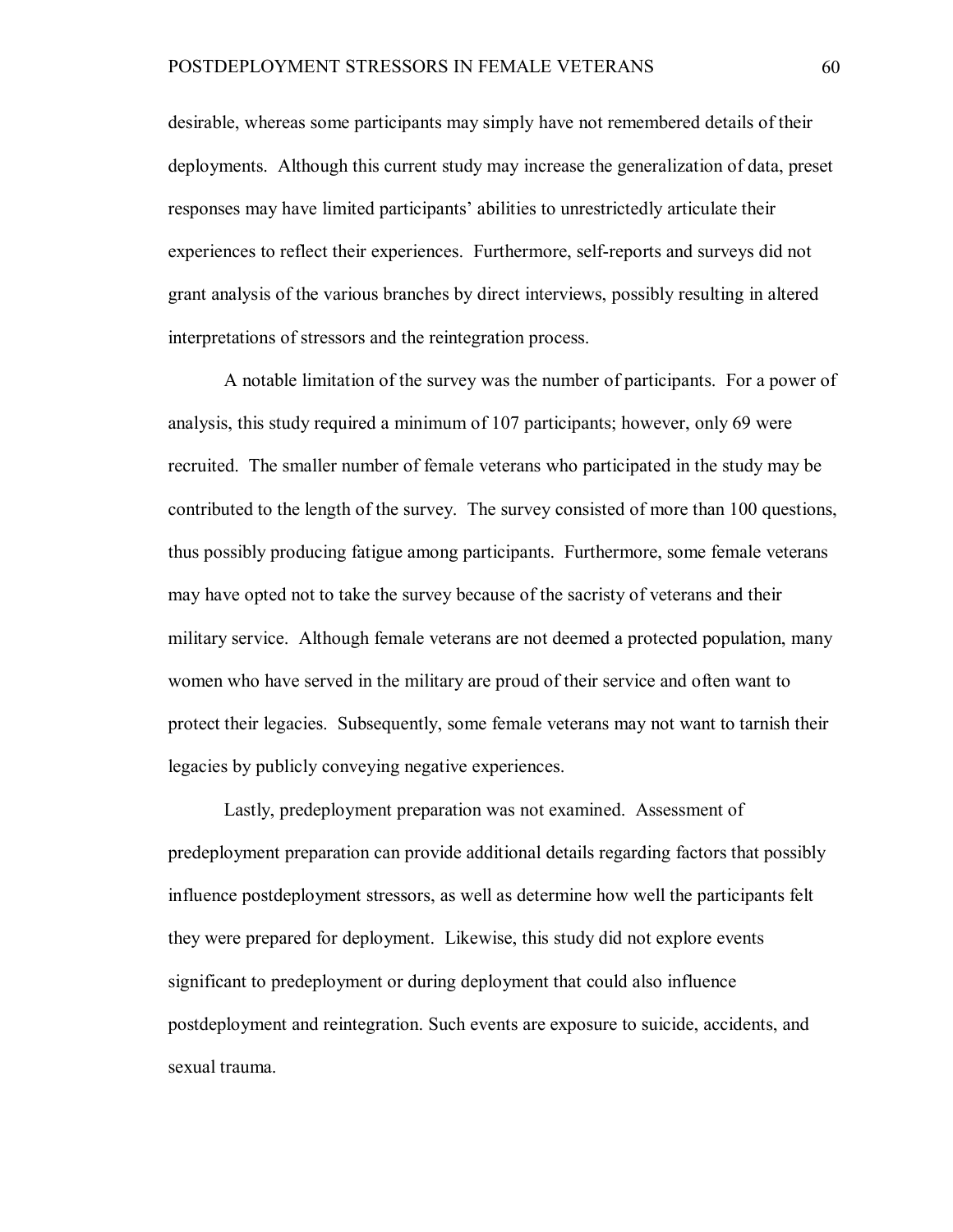desirable, whereas some participants may simply have not remembered details of their deployments. Although this current study may increase the generalization of data, preset responses may have limited participants' abilities to unrestrictedly articulate their experiences to reflect their experiences. Furthermore, self-reports and surveys did not grant analysis of the various branches by direct interviews, possibly resulting in altered interpretations of stressors and the reintegration process.

A notable limitation of the survey was the number of participants. For a power of analysis, this study required a minimum of 107 participants; however, only 69 were recruited. The smaller number of female veterans who participated in the study may be contributed to the length of the survey. The survey consisted of more than 100 questions, thus possibly producing fatigue among participants. Furthermore, some female veterans may have opted not to take the survey because of the sacristy of veterans and their military service. Although female veterans are not deemed a protected population, many women who have served in the military are proud of their service and often want to protect their legacies. Subsequently, some female veterans may not want to tarnish their legacies by publicly conveying negative experiences.

Lastly, predeployment preparation was not examined. Assessment of predeployment preparation can provide additional details regarding factors that possibly influence postdeployment stressors, as well as determine how well the participants felt they were prepared for deployment. Likewise, this study did not explore events significant to predeployment or during deployment that could also influence postdeployment and reintegration. Such events are exposure to suicide, accidents, and sexual trauma.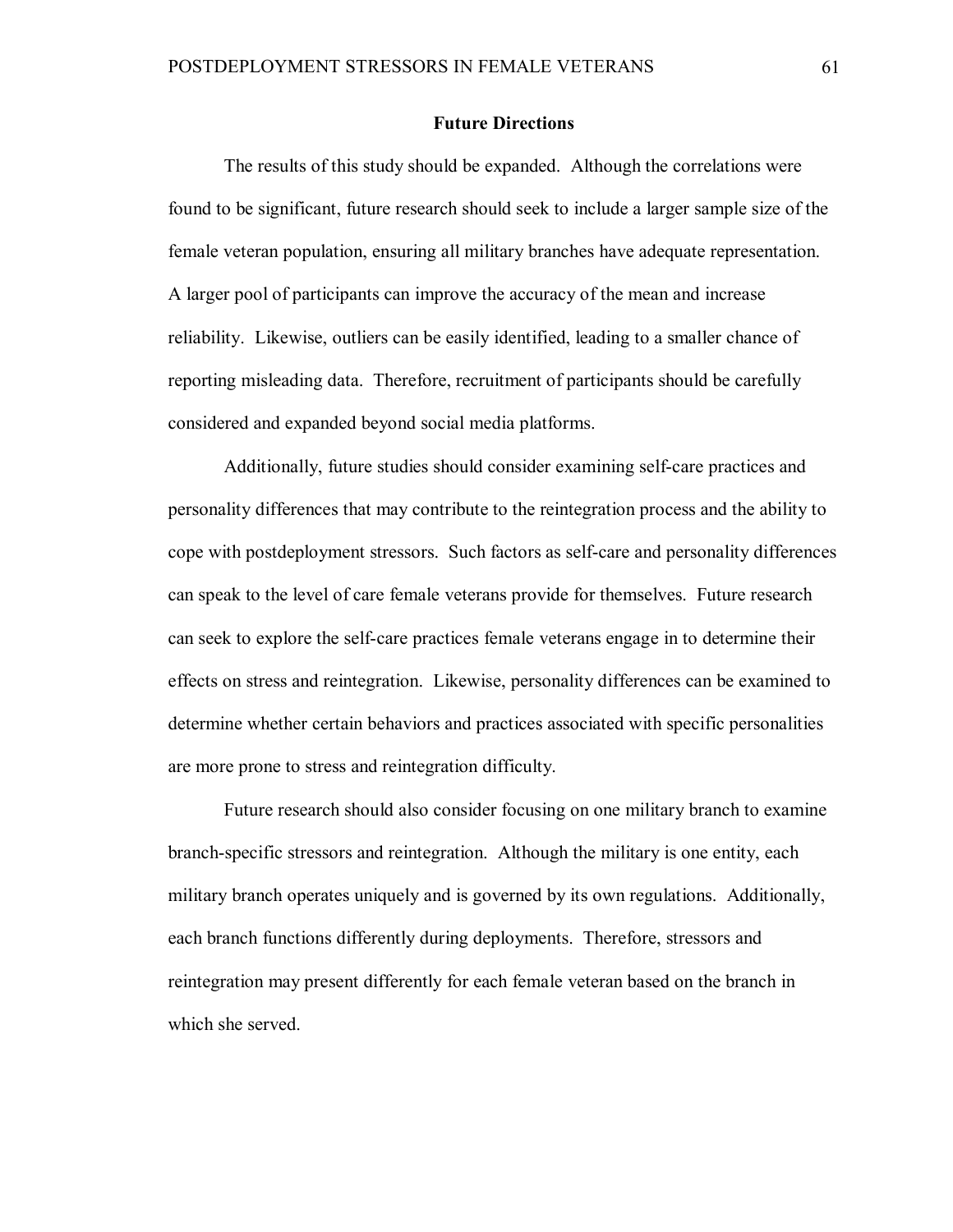### **Future Directions**

The results of this study should be expanded. Although the correlations were found to be significant, future research should seek to include a larger sample size of the female veteran population, ensuring all military branches have adequate representation. A larger pool of participants can improve the accuracy of the mean and increase reliability. Likewise, outliers can be easily identified, leading to a smaller chance of reporting misleading data. Therefore, recruitment of participants should be carefully considered and expanded beyond social media platforms.

Additionally, future studies should consider examining self-care practices and personality differences that may contribute to the reintegration process and the ability to cope with postdeployment stressors. Such factors as self-care and personality differences can speak to the level of care female veterans provide for themselves. Future research can seek to explore the self-care practices female veterans engage in to determine their effects on stress and reintegration. Likewise, personality differences can be examined to determine whether certain behaviors and practices associated with specific personalities are more prone to stress and reintegration difficulty.

Future research should also consider focusing on one military branch to examine branch-specific stressors and reintegration. Although the military is one entity, each military branch operates uniquely and is governed by its own regulations. Additionally, each branch functions differently during deployments. Therefore, stressors and reintegration may present differently for each female veteran based on the branch in which she served.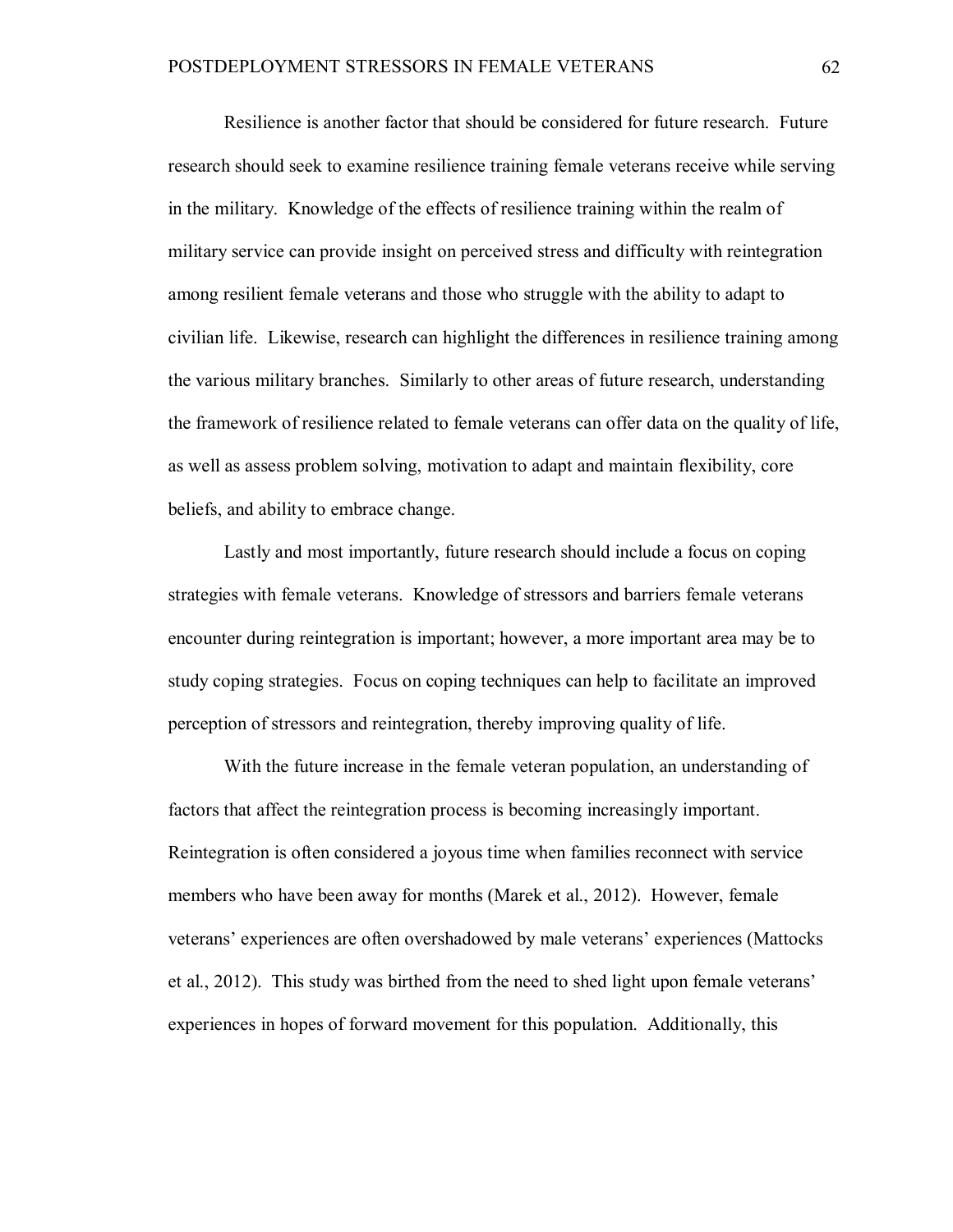Resilience is another factor that should be considered for future research. Future research should seek to examine resilience training female veterans receive while serving in the military. Knowledge of the effects of resilience training within the realm of military service can provide insight on perceived stress and difficulty with reintegration among resilient female veterans and those who struggle with the ability to adapt to civilian life. Likewise, research can highlight the differences in resilience training among the various military branches. Similarly to other areas of future research, understanding the framework of resilience related to female veterans can offer data on the quality of life, as well as assess problem solving, motivation to adapt and maintain flexibility, core beliefs, and ability to embrace change.

Lastly and most importantly, future research should include a focus on coping strategies with female veterans. Knowledge of stressors and barriers female veterans encounter during reintegration is important; however, a more important area may be to study coping strategies. Focus on coping techniques can help to facilitate an improved perception of stressors and reintegration, thereby improving quality of life.

With the future increase in the female veteran population, an understanding of factors that affect the reintegration process is becoming increasingly important. Reintegration is often considered a joyous time when families reconnect with service members who have been away for months (Marek et al., 2012). However, female veterans' experiences are often overshadowed by male veterans' experiences (Mattocks et al., 2012). This study was birthed from the need to shed light upon female veterans' experiences in hopes of forward movement for this population. Additionally, this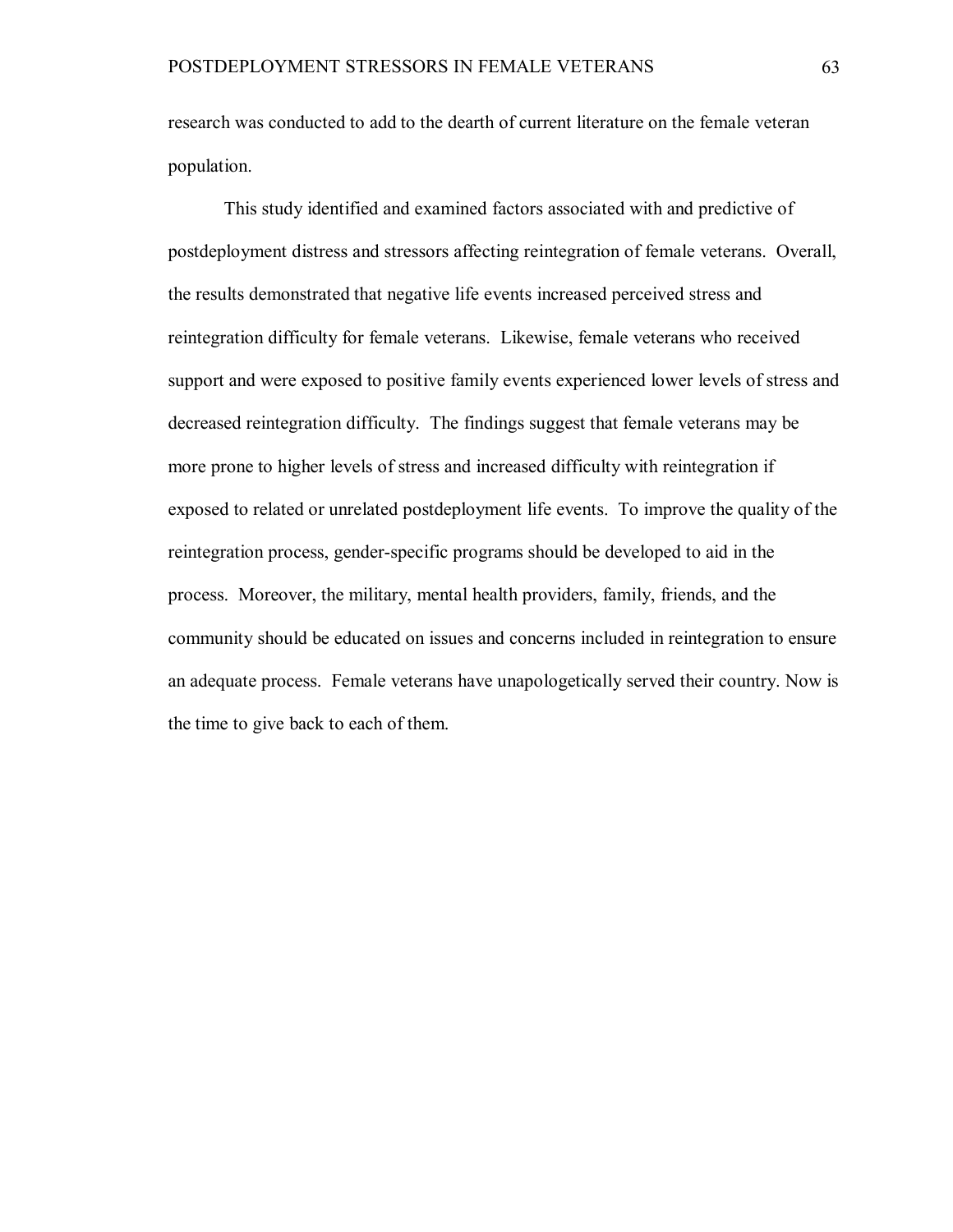research was conducted to add to the dearth of current literature on the female veteran population.

This study identified and examined factors associated with and predictive of postdeployment distress and stressors affecting reintegration of female veterans. Overall, the results demonstrated that negative life events increased perceived stress and reintegration difficulty for female veterans. Likewise, female veterans who received support and were exposed to positive family events experienced lower levels of stress and decreased reintegration difficulty. The findings suggest that female veterans may be more prone to higher levels of stress and increased difficulty with reintegration if exposed to related or unrelated postdeployment life events. To improve the quality of the reintegration process, gender-specific programs should be developed to aid in the process. Moreover, the military, mental health providers, family, friends, and the community should be educated on issues and concerns included in reintegration to ensure an adequate process. Female veterans have unapologetically served their country. Now is the time to give back to each of them.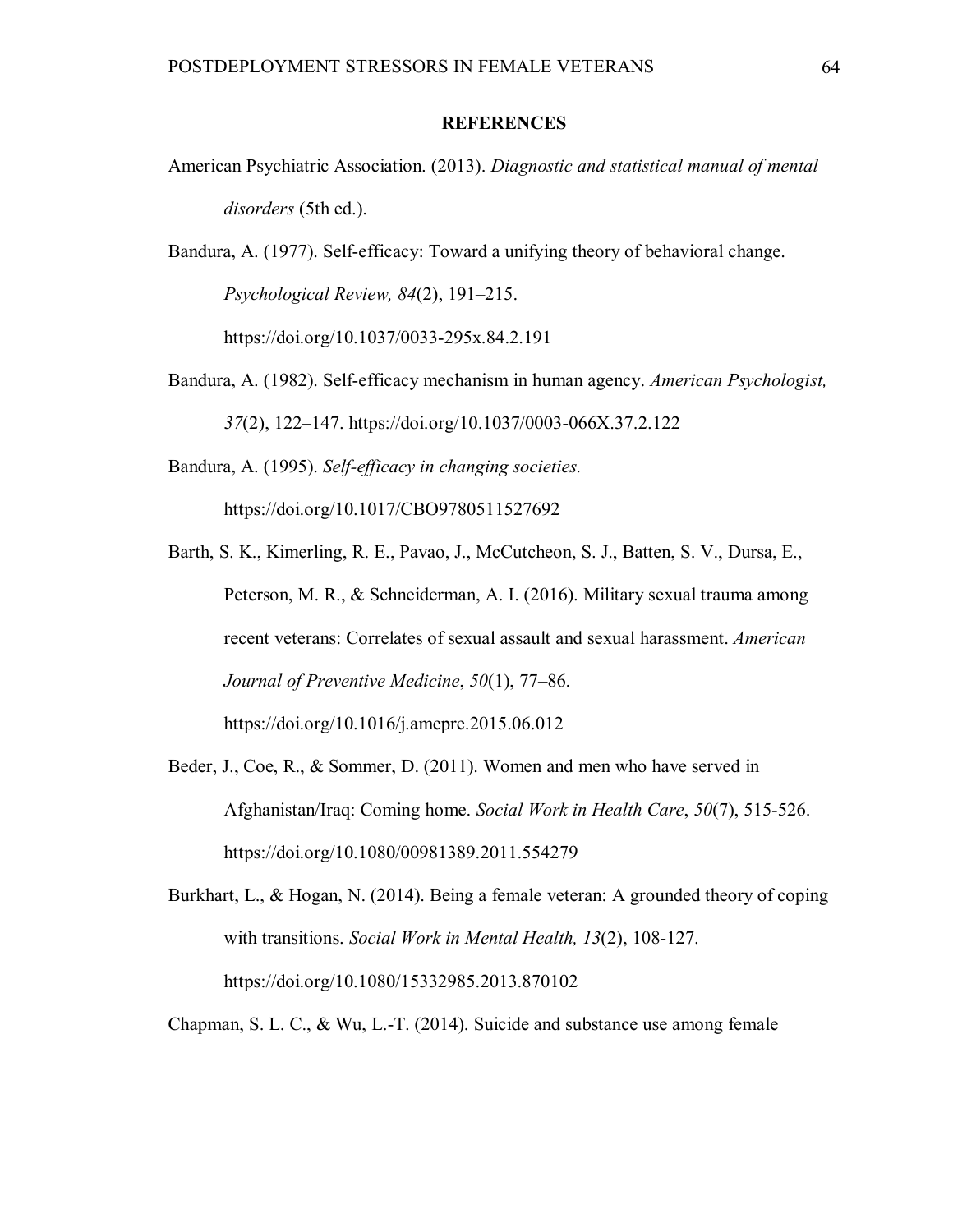## **REFERENCES**

American Psychiatric Association. (2013). *Diagnostic and statistical manual of mental disorders* (5th ed.).

Bandura, A. (1977). Self-efficacy: Toward a unifying theory of behavioral change. *Psychological Review, 84*(2), 191–215.

https://doi.org/10.1037/0033-295x.84.2.191

Bandura, A. (1982). Self-efficacy mechanism in human agency. *American Psychologist, 37*(2), 122–147. https://doi.org/10.1037/0003-066X.37.2.122

Bandura, A. (1995). *Self-efficacy in changing societies.*

https://doi.org/10.1017/CBO9780511527692

- Barth, S. K., Kimerling, R. E., Pavao, J., McCutcheon, S. J., Batten, S. V., Dursa, E., Peterson, M. R., & Schneiderman, A. I. (2016). Military sexual trauma among recent veterans: Correlates of sexual assault and sexual harassment. *American Journal of Preventive Medicine*, *50*(1), 77–86. https://doi.org/10.1016/j.amepre.2015.06.012
- Beder, J., Coe, R., & Sommer, D. (2011). Women and men who have served in Afghanistan/Iraq: Coming home. *Social Work in Health Care*, *50*(7), 515-526. https://doi.org/10.1080/00981389.2011.554279
- Burkhart, L., & Hogan, N. (2014). Being a female veteran: A grounded theory of coping with transitions. *Social Work in Mental Health, 13*(2), 108-127. https://doi.org/10.1080/15332985.2013.870102

Chapman, S. L. C., & Wu, L.-T. (2014). Suicide and substance use among female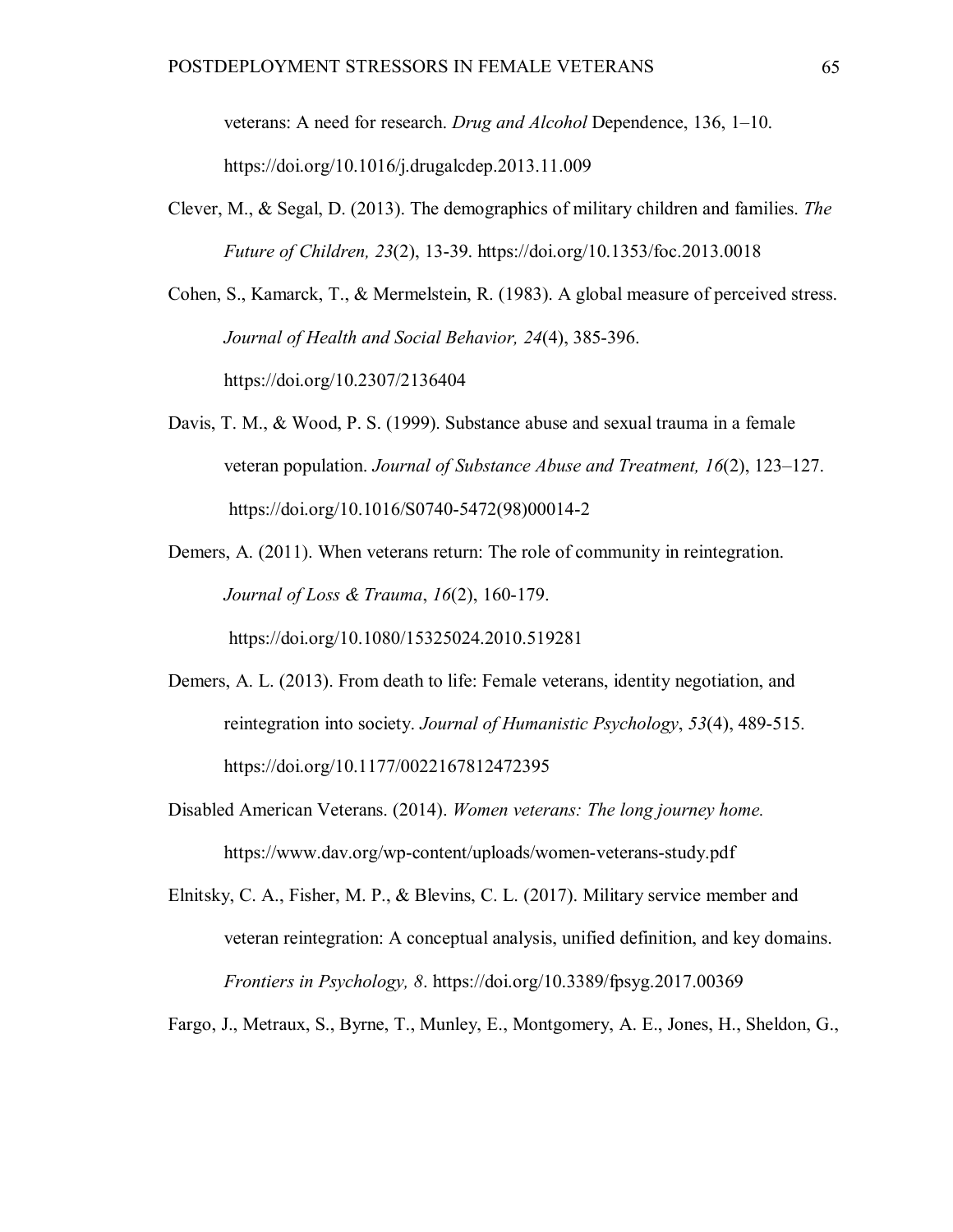veterans: A need for research. *Drug and Alcohol* Dependence, 136, 1–10. https://doi.org/10.1016/j.drugalcdep.2013.11.009

Clever, M., & Segal, D. (2013). The demographics of military children and families. *The Future of Children, 23*(2), 13-39. https://doi.org/10.1353/foc.2013.0018

Cohen, S., Kamarck, T., & Mermelstein, R. (1983). A global measure of perceived stress. *Journal of Health and Social Behavior, 24*(4), 385-396. https://doi.org/10.2307/2136404

- Davis, T. M., & Wood, P. S. (1999). Substance abuse and sexual trauma in a female veteran population. *Journal of Substance Abuse and Treatment, 16*(2), 123–127. https://doi.org/10.1016/S0740-5472(98)00014-2
- Demers, A. (2011). When veterans return: The role of community in reintegration. *Journal of Loss & Trauma*, *16*(2), 160-179.

https://doi.org/10.1080/15325024.2010.519281

- Demers, A. L. (2013). From death to life: Female veterans, identity negotiation, and reintegration into society. *Journal of Humanistic Psychology*, *53*(4), 489-515. https://doi.org/10.1177/0022167812472395
- Disabled American Veterans. (2014). *Women veterans: The long journey home.* https://www.dav.org/wp-content/uploads/women-veterans-study.pdf
- Elnitsky, C. A., Fisher, M. P., & Blevins, C. L. (2017). Military service member and veteran reintegration: A conceptual analysis, unified definition, and key domains. *Frontiers in Psychology, 8*. https://doi.org/10.3389/fpsyg.2017.00369

Fargo, J., Metraux, S., Byrne, T., Munley, E., Montgomery, A. E., Jones, H., Sheldon, G.,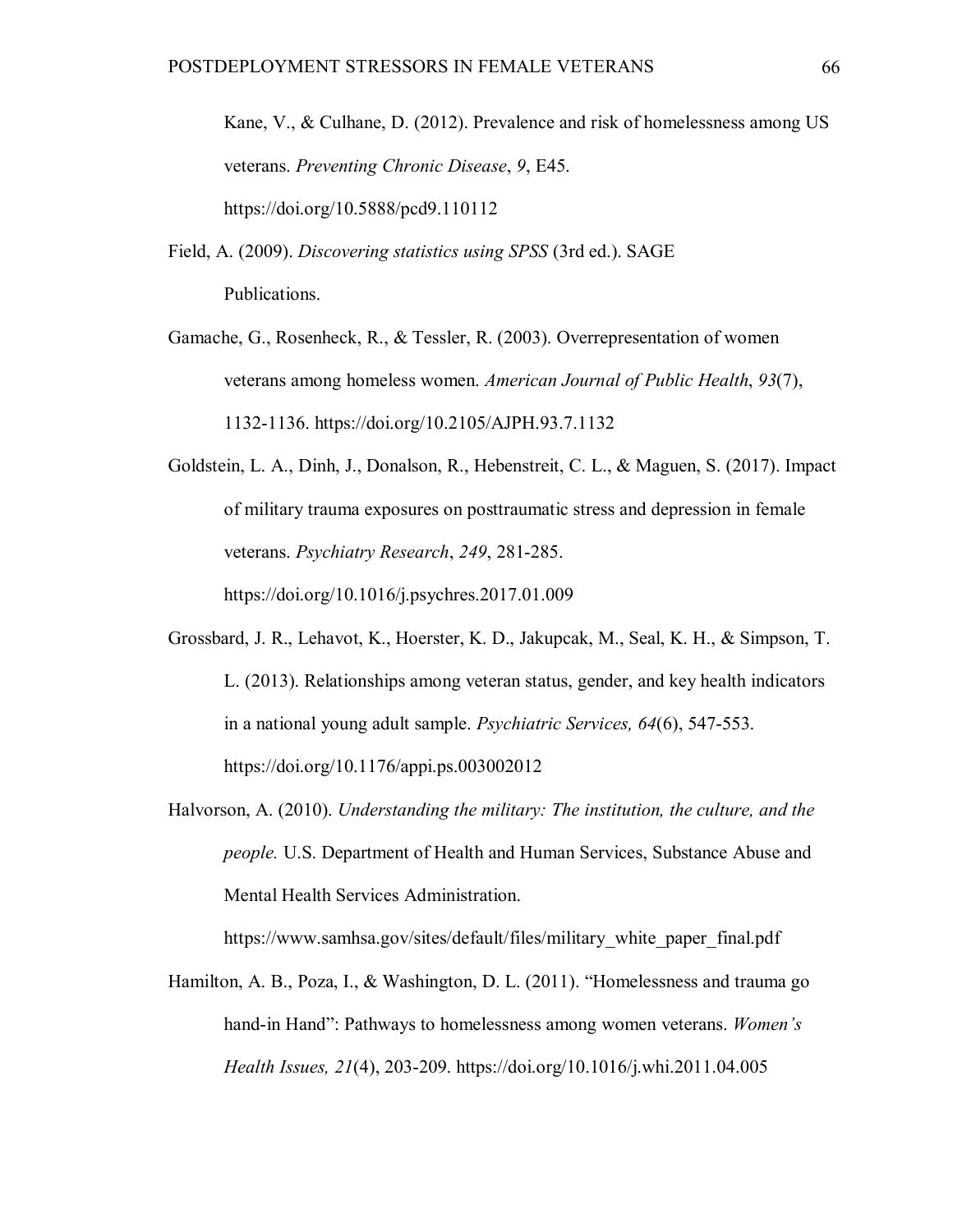Kane, V., & Culhane, D. (2012). Prevalence and risk of homelessness among US veterans. *Preventing Chronic Disease*, *9*, E45. https://doi.org/10.5888/pcd9.110112

- Field, A. (2009). *Discovering statistics using SPSS* (3rd ed.). SAGE Publications.
- Gamache, G., Rosenheck, R., & Tessler, R. (2003). Overrepresentation of women veterans among homeless women. *American Journal of Public Health*, *93*(7), 1132-1136. https://doi.org/10.2105/AJPH.93.7.1132
- Goldstein, L. A., Dinh, J., Donalson, R., Hebenstreit, C. L., & Maguen, S. (2017). Impact of military trauma exposures on posttraumatic stress and depression in female veterans. *Psychiatry Research*, *249*, 281-285. https://doi.org/10.1016/j.psychres.2017.01.009
- Grossbard, J. R., Lehavot, K., Hoerster, K. D., Jakupcak, M., Seal, K. H., & Simpson, T. L. (2013). Relationships among veteran status, gender, and key health indicators in a national young adult sample. *Psychiatric Services, 64*(6), 547-553. https://doi.org/10.1176/appi.ps.003002012
- Halvorson, A. (2010). *Understanding the military: The institution, the culture, and the people.* U.S. Department of Health and Human Services, Substance Abuse and Mental Health Services Administration.

https://www.samhsa.gov/sites/default/files/military\_white\_paper\_final.pdf

Hamilton, A. B., Poza, I., & Washington, D. L. (2011). "Homelessness and trauma go hand-in Hand": Pathways to homelessness among women veterans. *Women's Health Issues, 21*(4), 203-209. https://doi.org/10.1016/j.whi.2011.04.005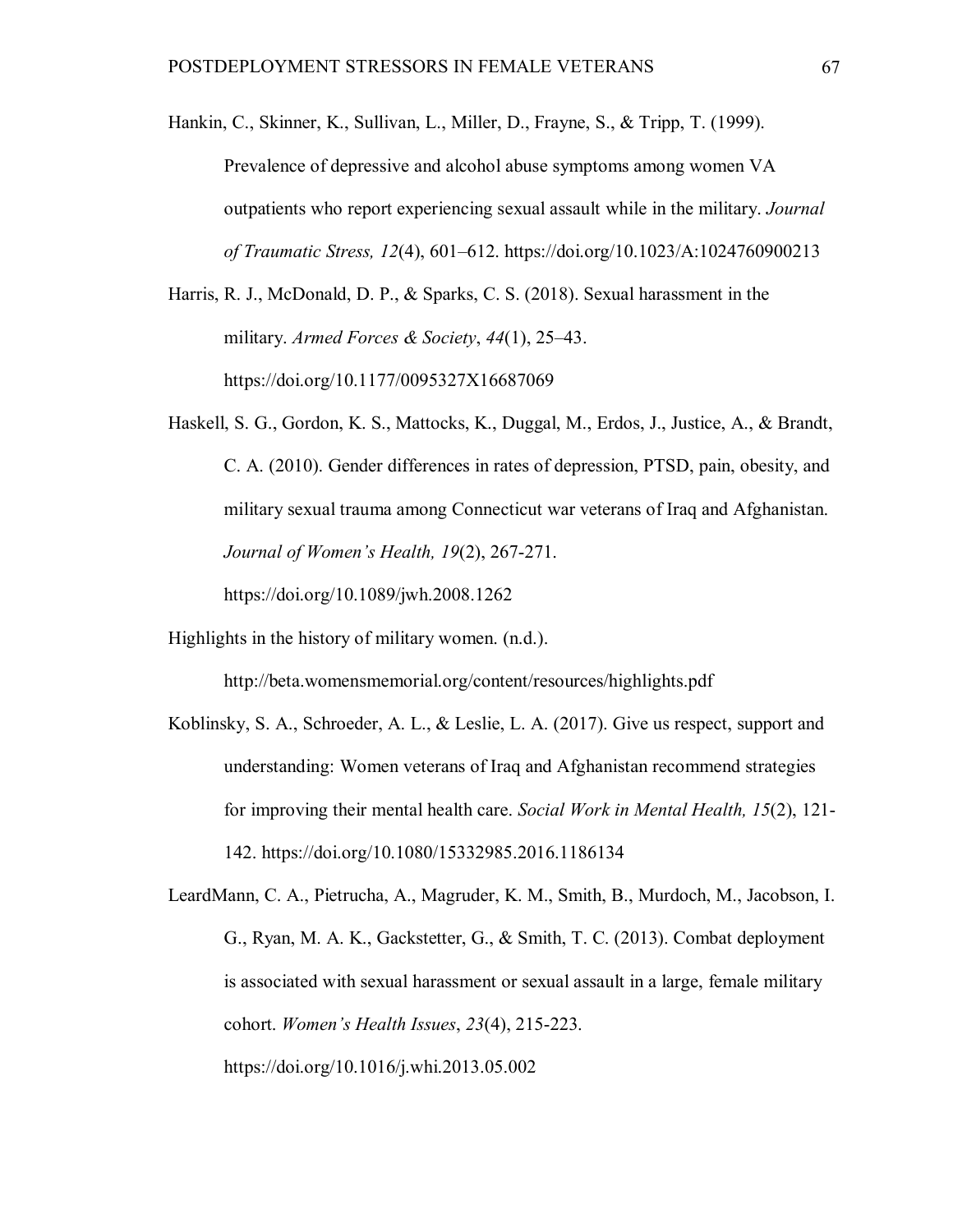Hankin, C., Skinner, K., Sullivan, L., Miller, D., Frayne, S., & Tripp, T. (1999).

Prevalence of depressive and alcohol abuse symptoms among women VA outpatients who report experiencing sexual assault while in the military. *Journal of Traumatic Stress, 12*(4), 601–612. https://doi.org/10.1023/A:1024760900213

Harris, R. J., McDonald, D. P., & Sparks, C. S. (2018). Sexual harassment in the military. *Armed Forces & Society*, *44*(1), 25–43. https://doi.org/10.1177/0095327X16687069

Haskell, S. G., Gordon, K. S., Mattocks, K., Duggal, M., Erdos, J., Justice, A., & Brandt, C. A. (2010). Gender differences in rates of depression, PTSD, pain, obesity, and military sexual trauma among Connecticut war veterans of Iraq and Afghanistan. *Journal of Women's Health, 19*(2), 267-271.

https://doi.org/10.1089/jwh.2008.1262

Highlights in the history of military women. (n.d.).

http://beta.womensmemorial.org/content/resources/highlights.pdf

Koblinsky, S. A., Schroeder, A. L., & Leslie, L. A. (2017). Give us respect, support and understanding: Women veterans of Iraq and Afghanistan recommend strategies for improving their mental health care. *Social Work in Mental Health, 15*(2), 121- 142. https://doi.org/10.1080/15332985.2016.1186134

LeardMann, C. A., Pietrucha, A., Magruder, K. M., Smith, B., Murdoch, M., Jacobson, I. G., Ryan, M. A. K., Gackstetter, G., & Smith, T. C. (2013). Combat deployment is associated with sexual harassment or sexual assault in a large, female military cohort. *Women's Health Issues*, *23*(4), 215-223. https://doi.org/10.1016/j.whi.2013.05.002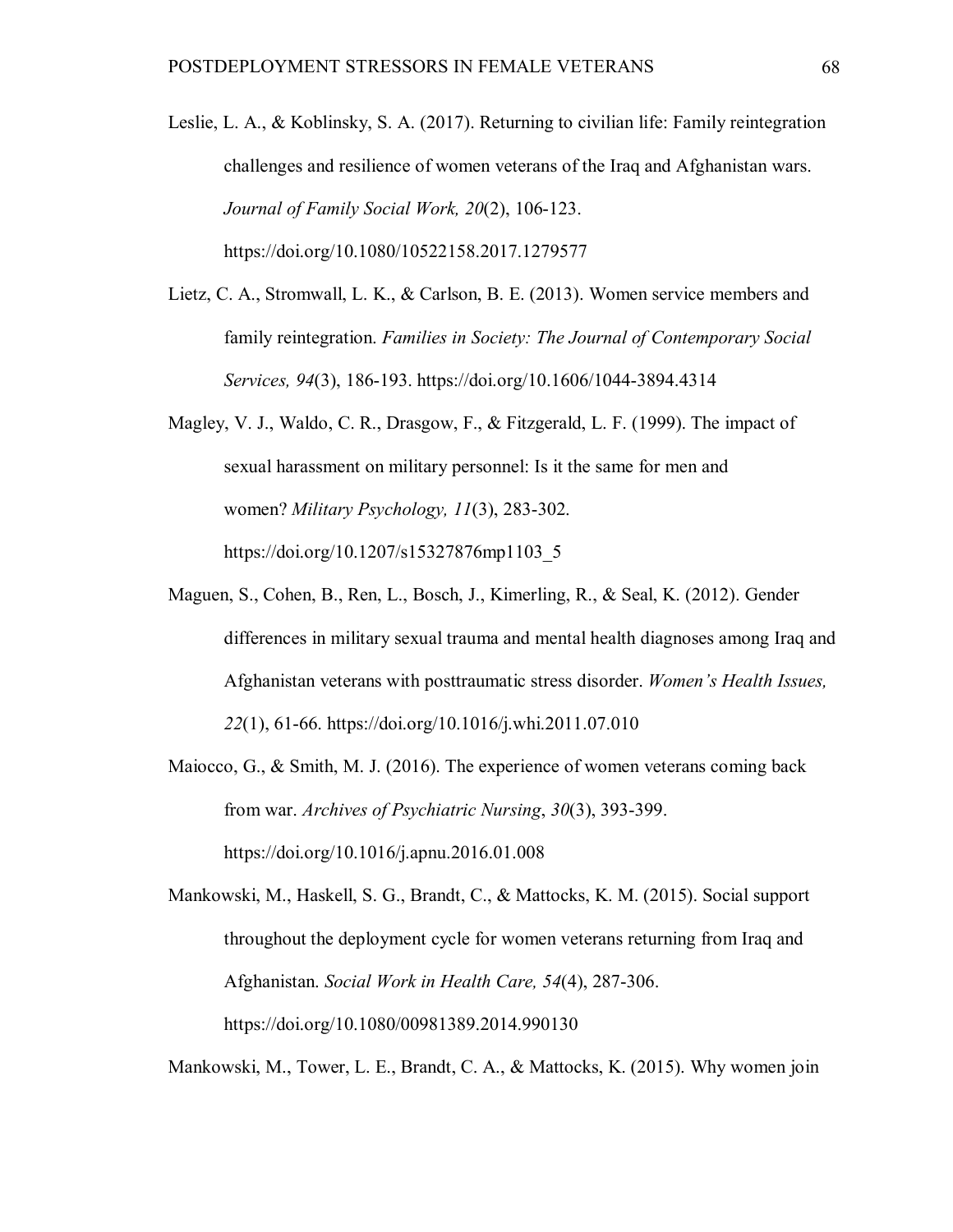- Leslie, L. A., & Koblinsky, S. A. (2017). Returning to civilian life: Family reintegration challenges and resilience of women veterans of the Iraq and Afghanistan wars. *Journal of Family Social Work, 20*(2), 106-123. https://doi.org/10.1080/10522158.2017.1279577
- Lietz, C. A., Stromwall, L. K., & Carlson, B. E. (2013). Women service members and family reintegration. *Families in Society: The Journal of Contemporary Social Services, 94*(3), 186-193. https://doi.org/10.1606/1044-3894.4314
- Magley, V. J., Waldo, C. R., Drasgow, F., & Fitzgerald, L. F. (1999). The impact of sexual harassment on military personnel: Is it the same for men and women? *Military Psychology, 11*(3), 283-302. https://doi.org/10.1207/s15327876mp1103\_5
- Maguen, S., Cohen, B., Ren, L., Bosch, J., Kimerling, R., & Seal, K. (2012). Gender differences in military sexual trauma and mental health diagnoses among Iraq and Afghanistan veterans with posttraumatic stress disorder. *Women's Health Issues, 22*(1), 61-66. https://doi.org/10.1016/j.whi.2011.07.010
- Maiocco, G., & Smith, M. J. (2016). The experience of women veterans coming back from war. *Archives of Psychiatric Nursing*, *30*(3), 393-399. https://doi.org/10.1016/j.apnu.2016.01.008

Mankowski, M., Haskell, S. G., Brandt, C., & Mattocks, K. M. (2015). Social support throughout the deployment cycle for women veterans returning from Iraq and Afghanistan. *Social Work in Health Care, 54*(4), 287-306. https://doi.org/10.1080/00981389.2014.990130

Mankowski, M., Tower, L. E., Brandt, C. A., & Mattocks, K. (2015). Why women join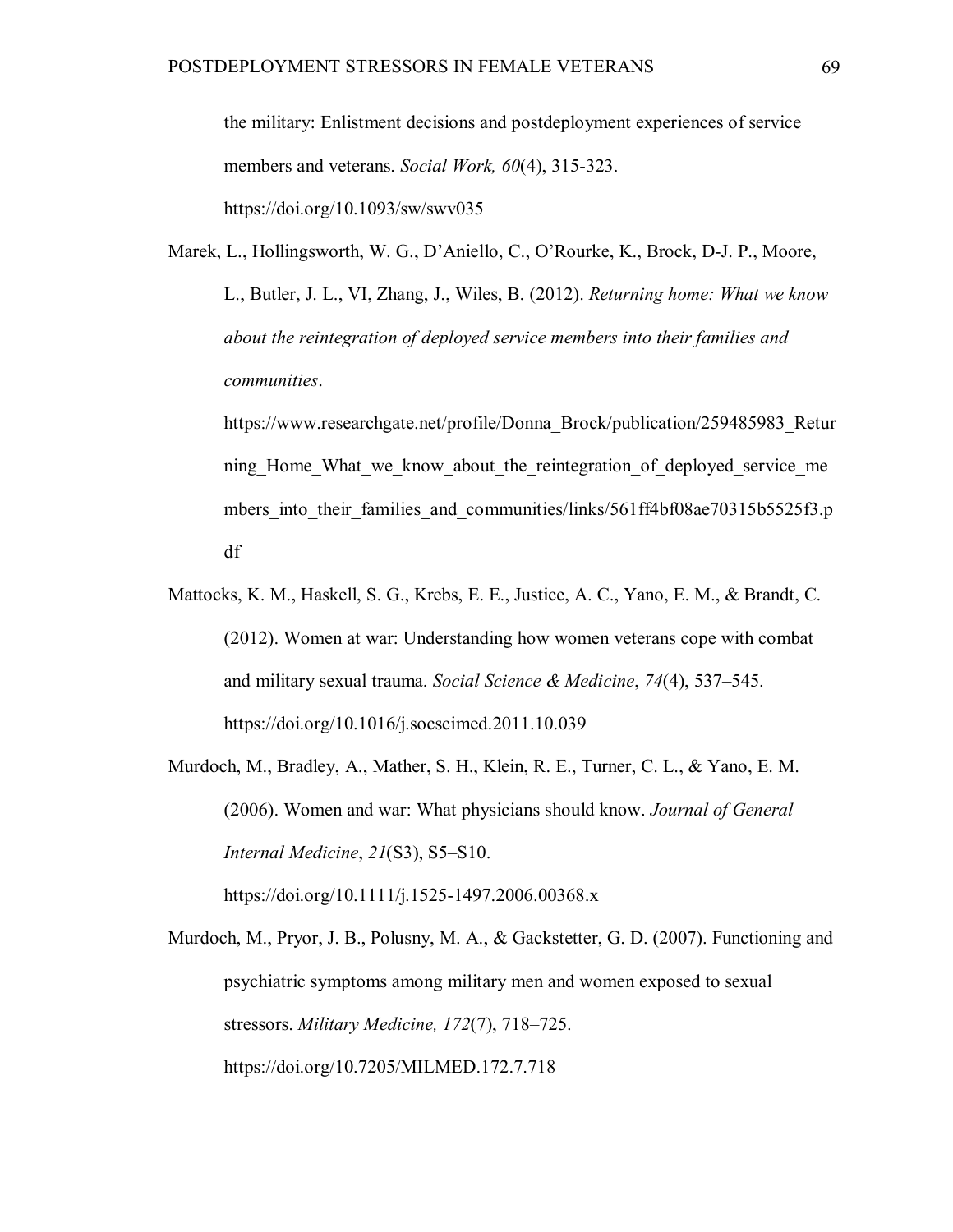the military: Enlistment decisions and postdeployment experiences of service members and veterans. *Social Work, 60*(4), 315-323. https://doi.org/10.1093/sw/swv035

Marek, L., Hollingsworth, W. G., D'Aniello, C., O'Rourke, K., Brock, D-J. P., Moore, L., Butler, J. L., VI, Zhang, J., Wiles, B. (2012). *Returning home: What we know about the reintegration of deployed service members into their families and communities*.

https://www.researchgate.net/profile/Donna\_Brock/publication/259485983\_Retur ning Home What we know about the reintegration of deployed service me mbers into their families and communities/links/561ff4bf08ae70315b5525f3.p df

- Mattocks, K. M., Haskell, S. G., Krebs, E. E., Justice, A. C., Yano, E. M., & Brandt, C. (2012). Women at war: Understanding how women veterans cope with combat and military sexual trauma. *Social Science & Medicine*, *74*(4), 537–545. https://doi.org/10.1016/j.socscimed.2011.10.039
- Murdoch, M., Bradley, A., Mather, S. H., Klein, R. E., Turner, C. L., & Yano, E. M. (2006). Women and war: What physicians should know. *Journal of General Internal Medicine*, *21*(S3), S5–S10.

https://doi.org/10.1111/j.1525-1497.2006.00368.x

Murdoch, M., Pryor, J. B., Polusny, M. A., & Gackstetter, G. D. (2007). Functioning and psychiatric symptoms among military men and women exposed to sexual stressors. *Military Medicine, 172*(7), 718–725. https://doi.org/10.7205/MILMED.172.7.718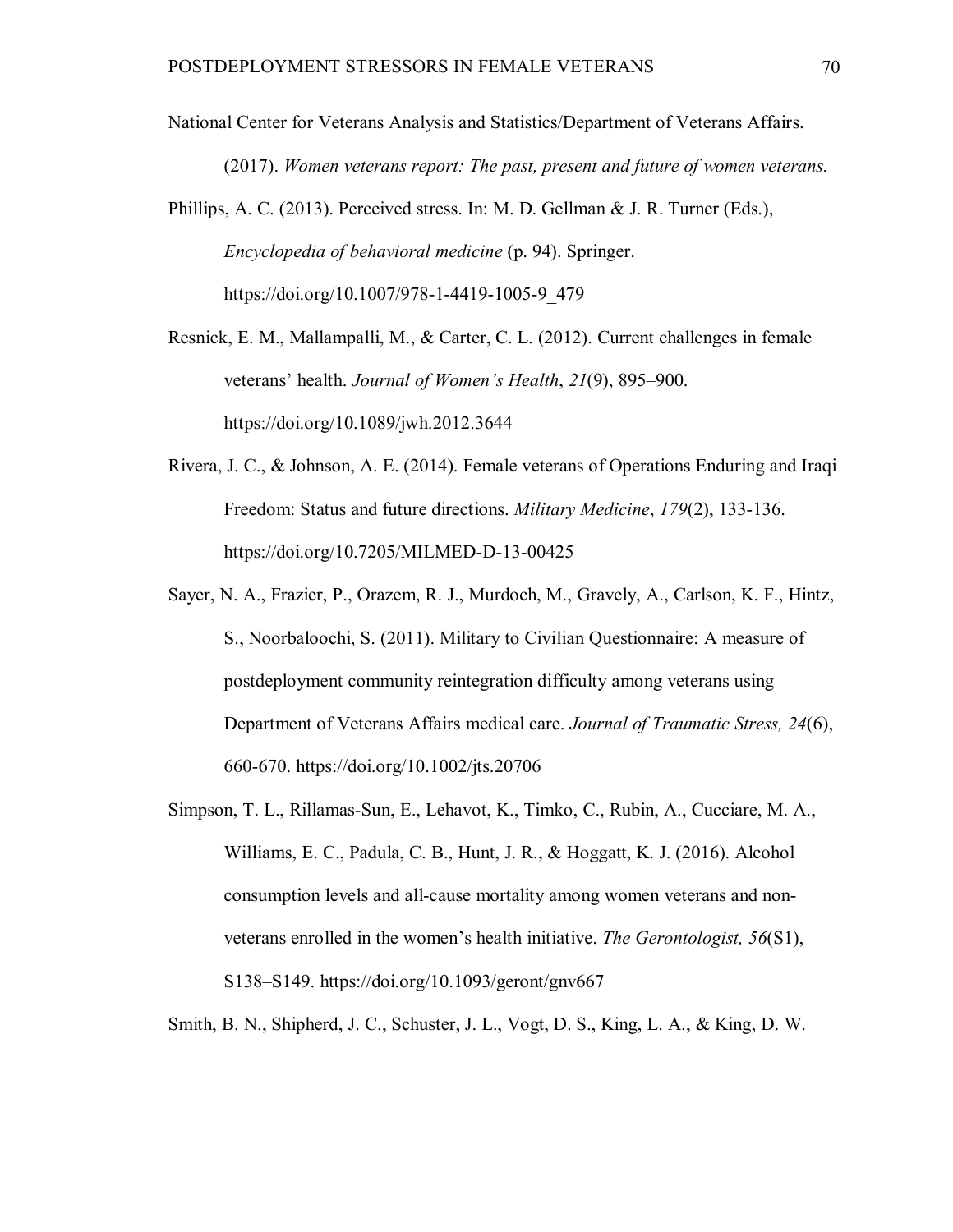National Center for Veterans Analysis and Statistics/Department of Veterans Affairs.

(2017). *Women veterans report: The past, present and future of women veterans.*

Phillips, A. C. (2013). Perceived stress. In: M. D. Gellman & J. R. Turner (Eds.), *Encyclopedia of behavioral medicine* (p. 94). Springer. https://doi.org/10.1007/978-1-4419-1005-9\_479

Resnick, E. M., Mallampalli, M., & Carter, C. L. (2012). Current challenges in female veterans' health. *Journal of Women's Health*, *21*(9), 895–900. https://doi.org/10.1089/jwh.2012.3644

- Rivera, J. C., & Johnson, A. E. (2014). Female veterans of Operations Enduring and Iraqi Freedom: Status and future directions. *Military Medicine*, *179*(2), 133-136. https://doi.org/10.7205/MILMED-D-13-00425
- Sayer, N. A., Frazier, P., Orazem, R. J., Murdoch, M., Gravely, A., Carlson, K. F., Hintz, S., Noorbaloochi, S. (2011). Military to Civilian Questionnaire: A measure of postdeployment community reintegration difficulty among veterans using Department of Veterans Affairs medical care. *Journal of Traumatic Stress, 24*(6), 660-670. https://doi.org/10.1002/jts.20706
- Simpson, T. L., Rillamas-Sun, E., Lehavot, K., Timko, C., Rubin, A., Cucciare, M. A., Williams, E. C., Padula, C. B., Hunt, J. R., & Hoggatt, K. J. (2016). Alcohol consumption levels and all-cause mortality among women veterans and nonveterans enrolled in the women's health initiative. *The Gerontologist, 56*(S1), S138–S149. https://doi.org/10.1093/geront/gnv667

Smith, B. N., Shipherd, J. C., Schuster, J. L., Vogt, D. S., King, L. A., & King, D. W.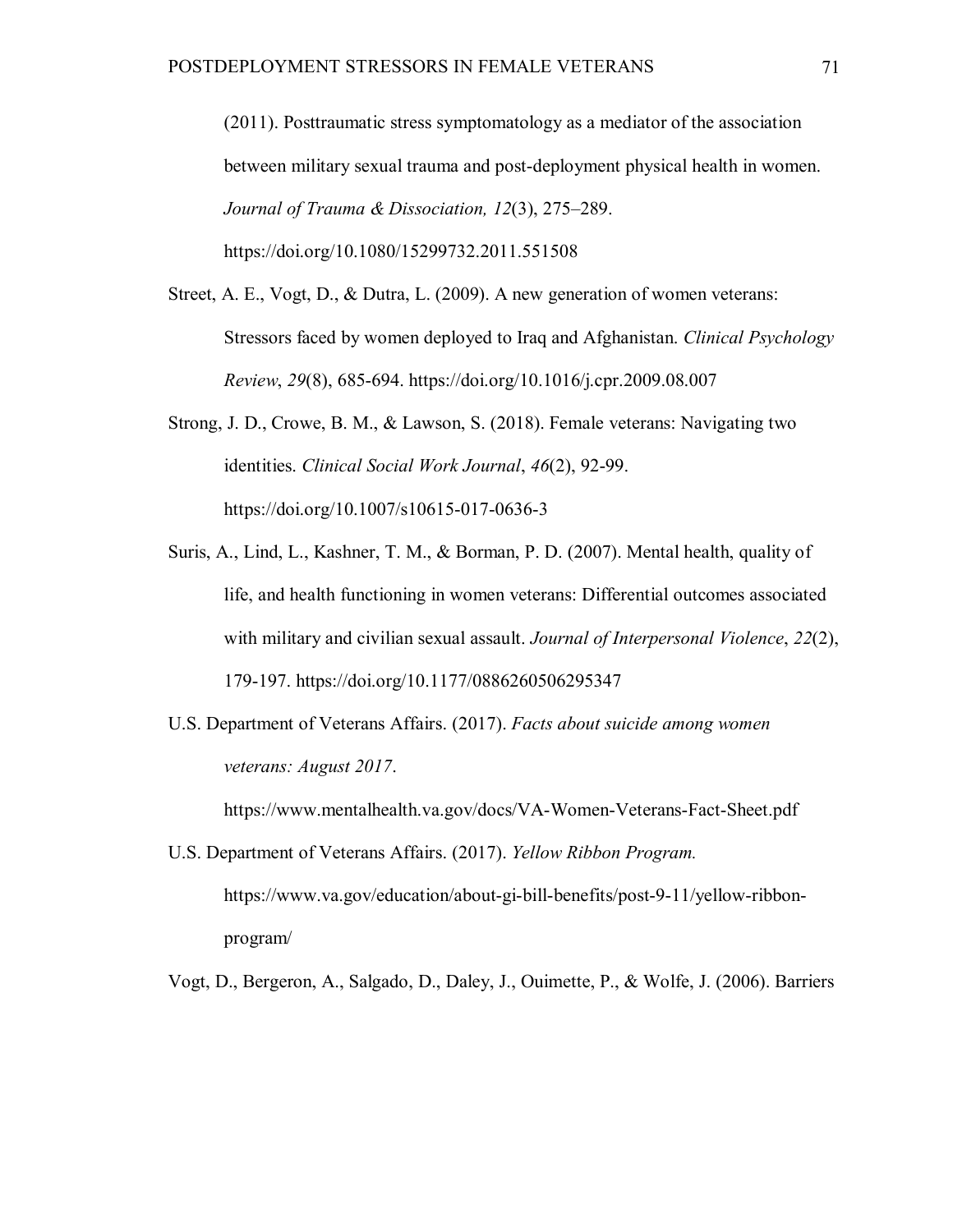(2011). Posttraumatic stress symptomatology as a mediator of the association between military sexual trauma and post-deployment physical health in women. *Journal of Trauma & Dissociation, 12*(3), 275–289.

https://doi.org/10.1080/15299732.2011.551508

- Street, A. E., Vogt, D., & Dutra, L. (2009). A new generation of women veterans: Stressors faced by women deployed to Iraq and Afghanistan. *Clinical Psychology Review*, *29*(8), 685-694. https://doi.org/10.1016/j.cpr.2009.08.007
- Strong, J. D., Crowe, B. M., & Lawson, S. (2018). Female veterans: Navigating two identities. *Clinical Social Work Journal*, *46*(2), 92-99. https://doi.org/10.1007/s10615-017-0636-3
- Suris, A., Lind, L., Kashner, T. M., & Borman, P. D. (2007). Mental health, quality of life, and health functioning in women veterans: Differential outcomes associated with military and civilian sexual assault. *Journal of Interpersonal Violence*, *22*(2), 179-197. https://doi.org/10.1177/0886260506295347
- U.S. Department of Veterans Affairs. (2017). *Facts about suicide among women veterans: August 2017*.

https://www.mentalhealth.va.gov/docs/VA-Women-Veterans-Fact-Sheet.pdf

U.S. Department of Veterans Affairs. (2017). *Yellow Ribbon Program.* https://www.va.gov/education/about-gi-bill-benefits/post-9-11/yellow-ribbonprogram/

Vogt, D., Bergeron, A., Salgado, D., Daley, J., Ouimette, P., & Wolfe, J. (2006). Barriers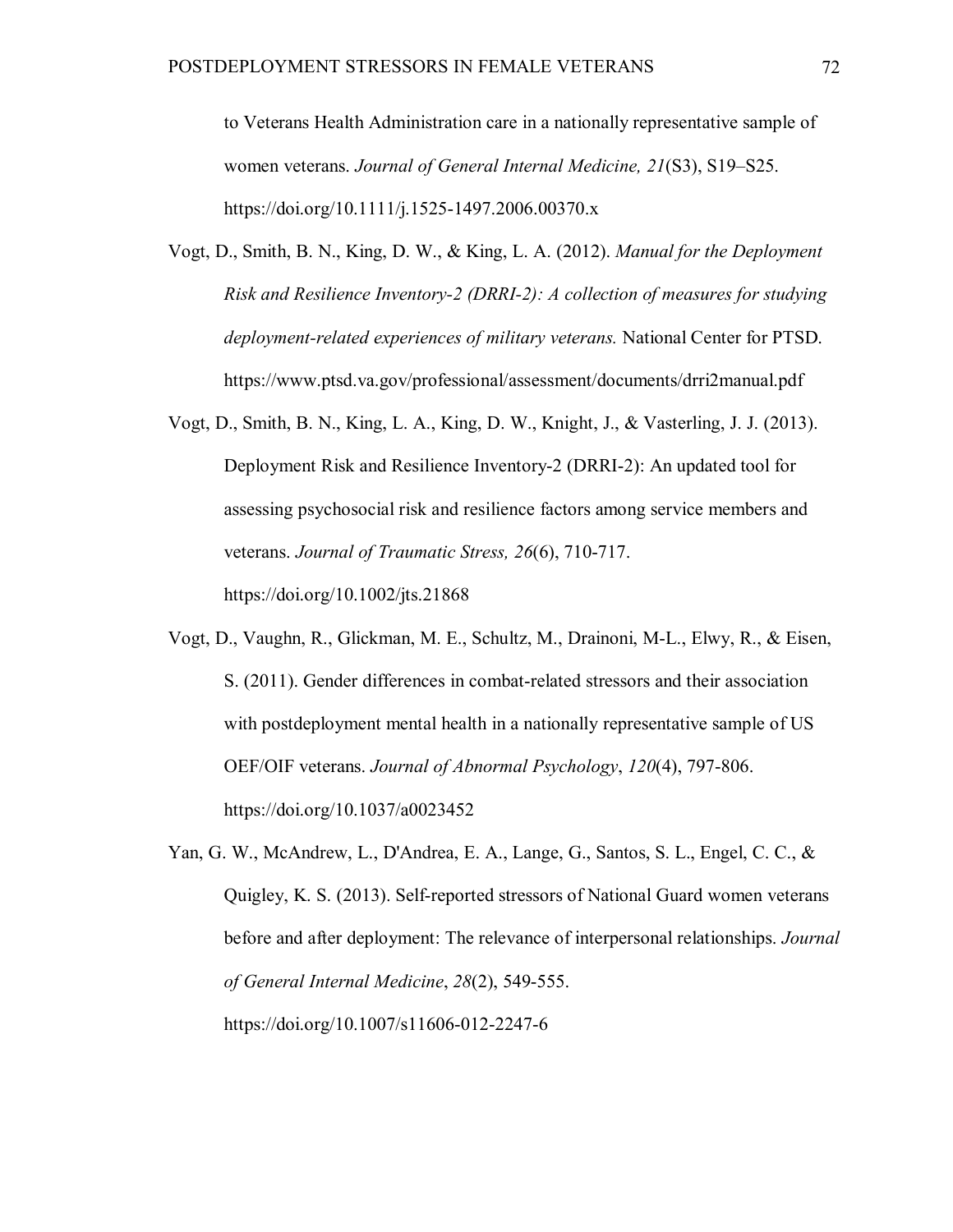to Veterans Health Administration care in a nationally representative sample of women veterans. *Journal of General Internal Medicine, 21*(S3), S19–S25. https://doi.org/10.1111/j.1525-1497.2006.00370.x

- Vogt, D., Smith, B. N., King, D. W., & King, L. A. (2012). *Manual for the Deployment Risk and Resilience Inventory-2 (DRRI-2): A collection of measures for studying deployment-related experiences of military veterans.* National Center for PTSD. https://www.ptsd.va.gov/professional/assessment/documents/drri2manual.pdf
- Vogt, D., Smith, B. N., King, L. A., King, D. W., Knight, J., & Vasterling, J. J. (2013). Deployment Risk and Resilience Inventory-2 (DRRI-2): An updated tool for assessing psychosocial risk and resilience factors among service members and veterans. *Journal of Traumatic Stress, 26*(6), 710-717.

https://doi.org/10.1002/jts.21868

- Vogt, D., Vaughn, R., Glickman, M. E., Schultz, M., Drainoni, M-L., Elwy, R., & Eisen, S. (2011). Gender differences in combat-related stressors and their association with postdeployment mental health in a nationally representative sample of US OEF/OIF veterans. *Journal of Abnormal Psychology*, *120*(4), 797-806. https://doi.org/10.1037/a0023452
- Yan, G. W., McAndrew, L., D'Andrea, E. A., Lange, G., Santos, S. L., Engel, C. C., & Quigley, K. S. (2013). Self-reported stressors of National Guard women veterans before and after deployment: The relevance of interpersonal relationships. *Journal of General Internal Medicine*, *28*(2), 549-555. https://doi.org/10.1007/s11606-012-2247-6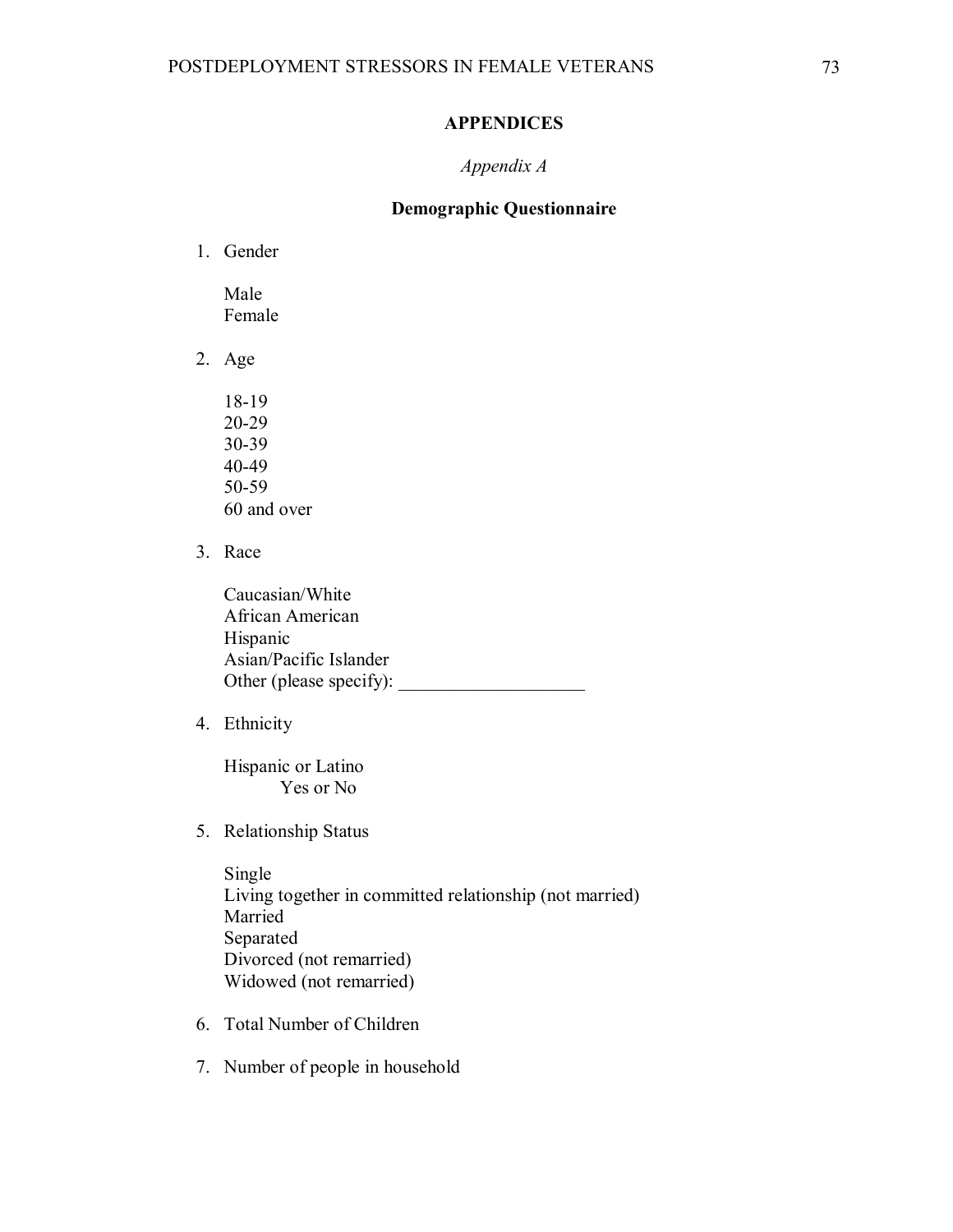## **APPENDICES**

## *Appendix A*

# **Demographic Questionnaire**

1. Gender

Male Female

- 2. Age
	- 18-19 20-29 30-39 40-49 50-59 60 and over
- 3. Race

Caucasian/White African American Hispanic Asian/Pacific Islander Other (please specify):

4. Ethnicity

Hispanic or Latino Yes or No

5. Relationship Status

Single Living together in committed relationship (not married) Married Separated Divorced (not remarried) Widowed (not remarried)

- 6. Total Number of Children
- 7. Number of people in household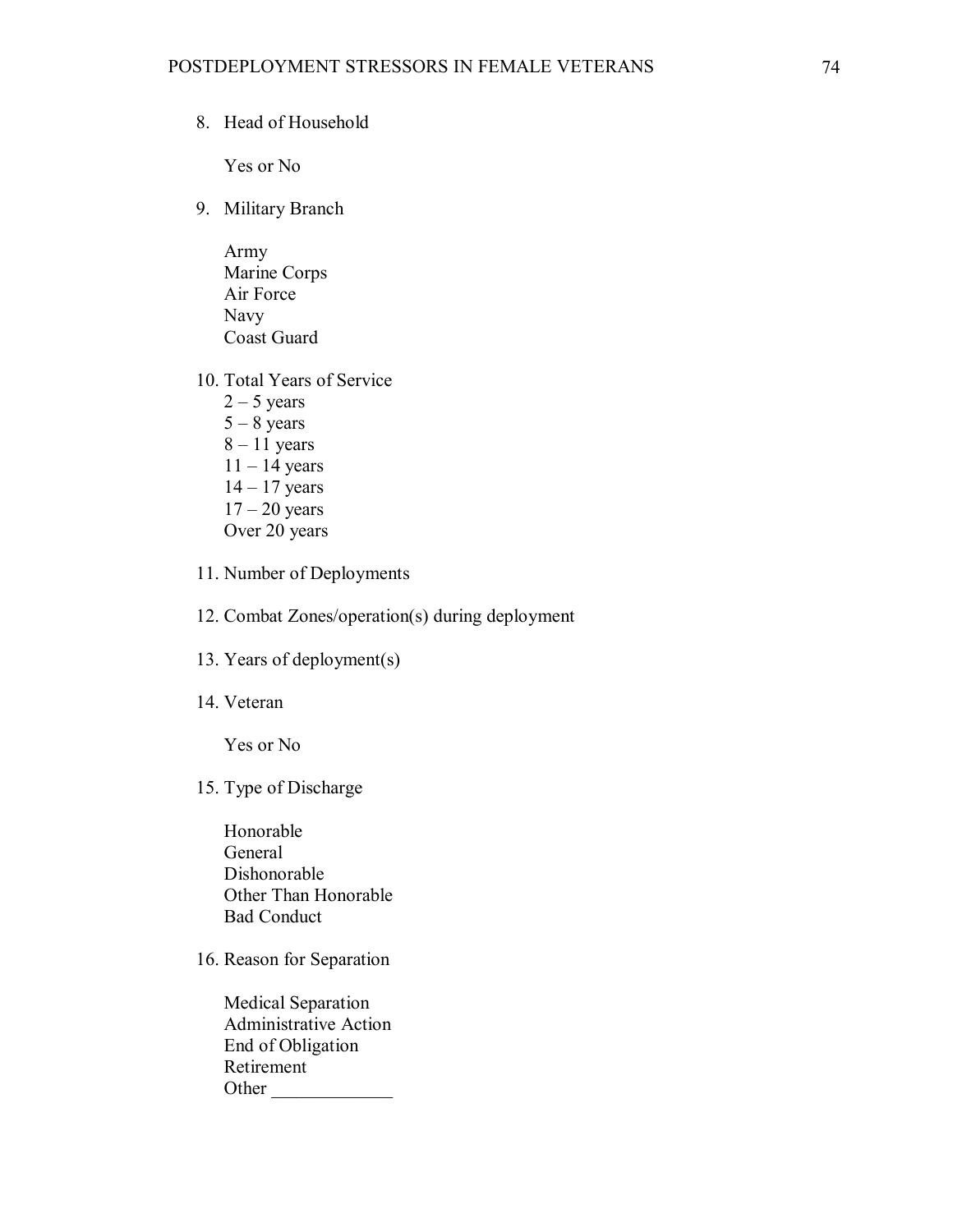8. Head of Household

Yes or No

- 9. Military Branch
	- Army Marine Corps Air Force Navy Coast Guard
- 10. Total Years of Service  $2 - 5$  years  $5 - 8$  years  $8 - 11$  years  $11 - 14$  years
	- 14 17 years  $17 - 20$  years Over 20 years
- 11. Number of Deployments
- 12. Combat Zones/operation(s) during deployment
- 13. Years of deployment(s)
- 14. Veteran

Yes or No

15. Type of Discharge

Honorable General Dishonorable Other Than Honorable Bad Conduct

16. Reason for Separation

Medical Separation Administrative Action End of Obligation Retirement Other \_\_\_\_\_\_\_\_\_\_\_\_\_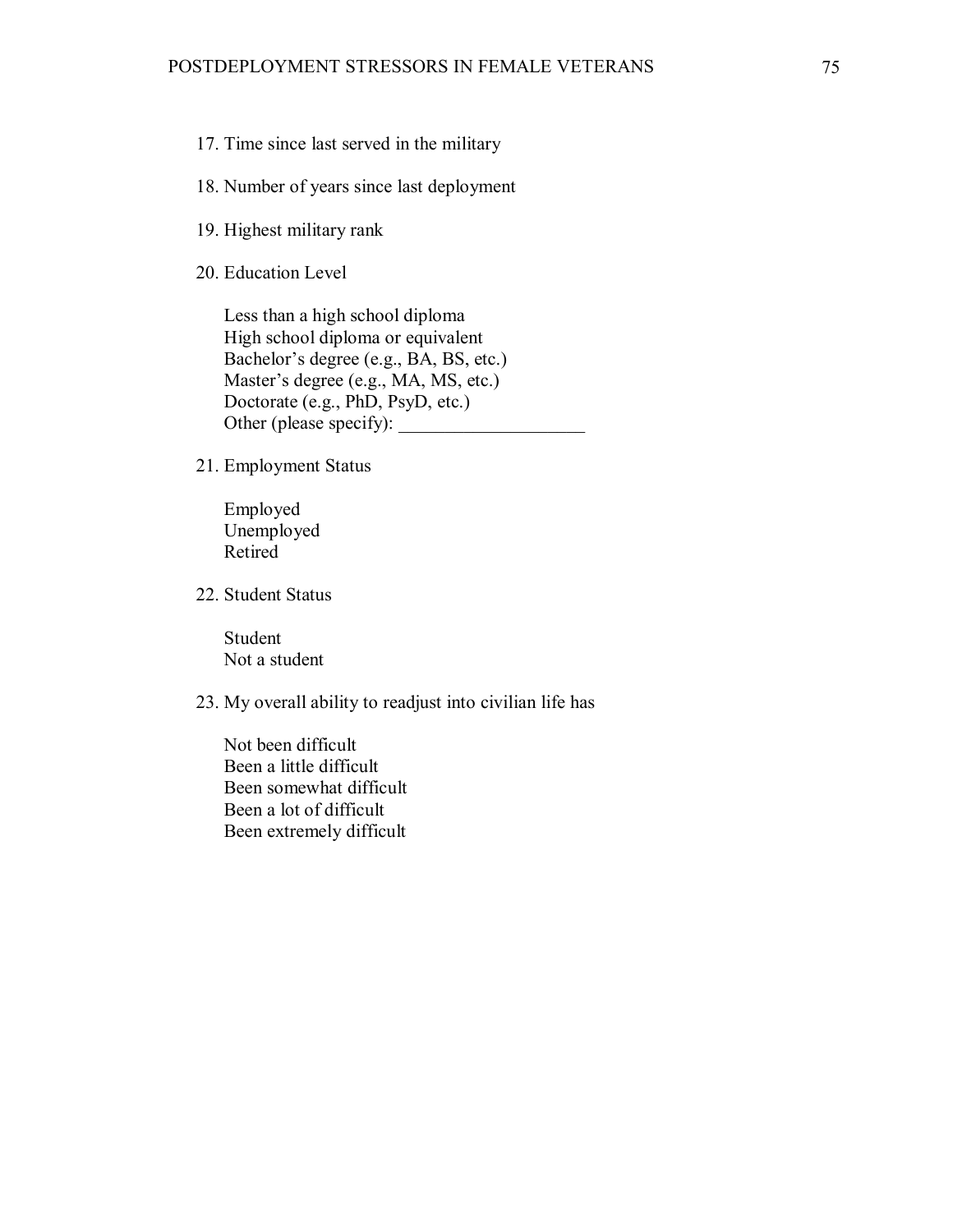- 17. Time since last served in the military
- 18. Number of years since last deployment
- 19. Highest military rank
- 20. Education Level

Less than a high school diploma High school diploma or equivalent Bachelor's degree (e.g., BA, BS, etc.) Master's degree (e.g., MA, MS, etc.) Doctorate (e.g., PhD, PsyD, etc.) Other (please specify):

21. Employment Status

Employed Unemployed Retired

22. Student Status

Student Not a student

23. My overall ability to readjust into civilian life has

Not been difficult Been a little difficult Been somewhat difficult Been a lot of difficult Been extremely difficult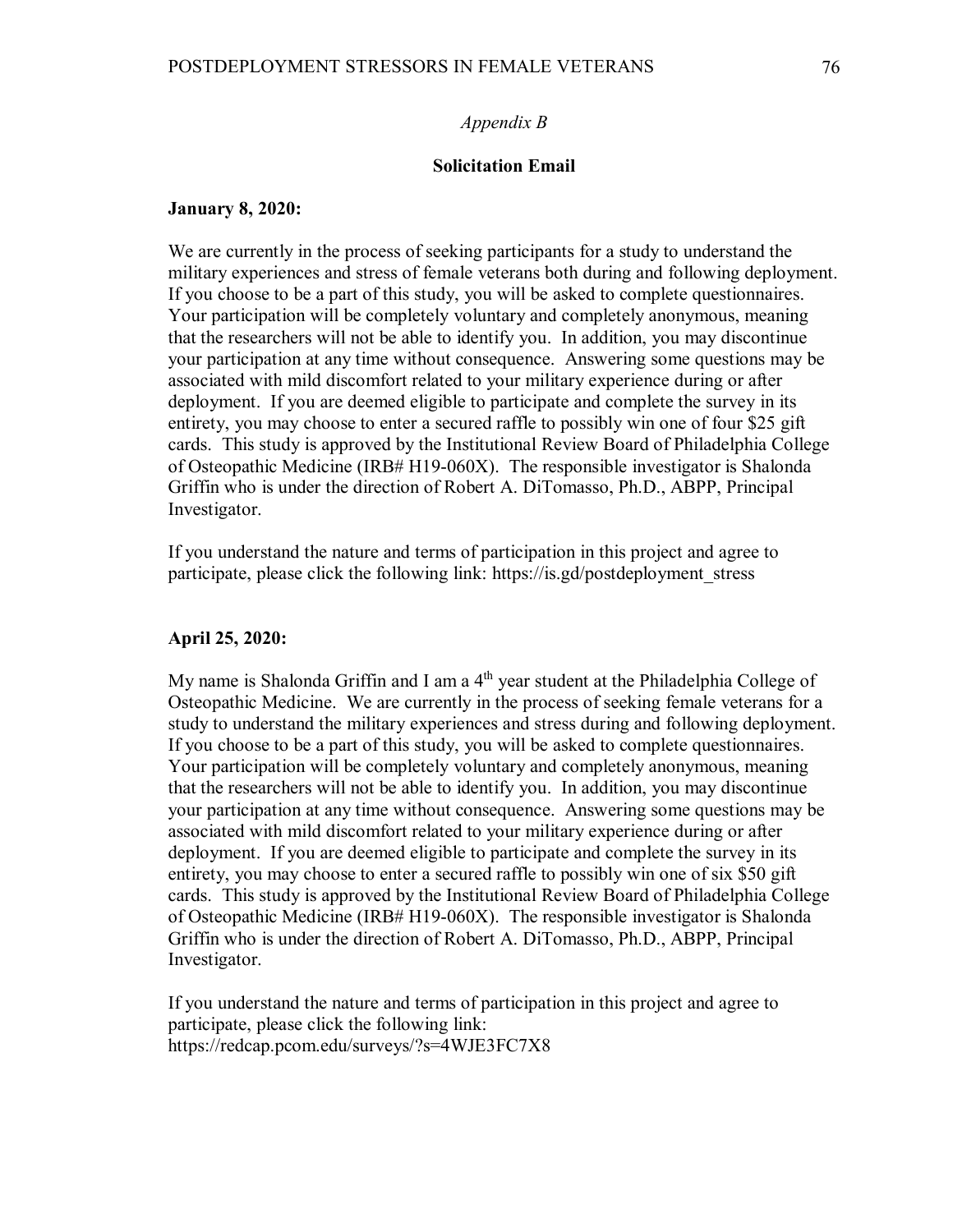### *Appendix B*

### **Solicitation Email**

### **January 8, 2020:**

We are currently in the process of seeking participants for a study to understand the military experiences and stress of female veterans both during and following deployment. If you choose to be a part of this study, you will be asked to complete questionnaires. Your participation will be completely voluntary and completely anonymous, meaning that the researchers will not be able to identify you. In addition, you may discontinue your participation at any time without consequence. Answering some questions may be associated with mild discomfort related to your military experience during or after deployment. If you are deemed eligible to participate and complete the survey in its entirety, you may choose to enter a secured raffle to possibly win one of four \$25 gift cards. This study is approved by the Institutional Review Board of Philadelphia College of Osteopathic Medicine (IRB# H19-060X). The responsible investigator is Shalonda Griffin who is under the direction of Robert A. DiTomasso, Ph.D., ABPP, Principal Investigator.

If you understand the nature and terms of participation in this project and agree to participate, please click the following link: https://is.gd/postdeployment\_stress

### **April 25, 2020:**

My name is Shalonda Griffin and I am a 4<sup>th</sup> year student at the Philadelphia College of Osteopathic Medicine. We are currently in the process of seeking female veterans for a study to understand the military experiences and stress during and following deployment. If you choose to be a part of this study, you will be asked to complete questionnaires. Your participation will be completely voluntary and completely anonymous, meaning that the researchers will not be able to identify you. In addition, you may discontinue your participation at any time without consequence. Answering some questions may be associated with mild discomfort related to your military experience during or after deployment. If you are deemed eligible to participate and complete the survey in its entirety, you may choose to enter a secured raffle to possibly win one of six \$50 gift cards. This study is approved by the Institutional Review Board of Philadelphia College of Osteopathic Medicine (IRB# H19-060X). The responsible investigator is Shalonda Griffin who is under the direction of Robert A. DiTomasso, Ph.D., ABPP, Principal Investigator.

If you understand the nature and terms of participation in this project and agree to participate, please click the following link: https://redcap.pcom.edu/surveys/?s=4WJE3FC7X8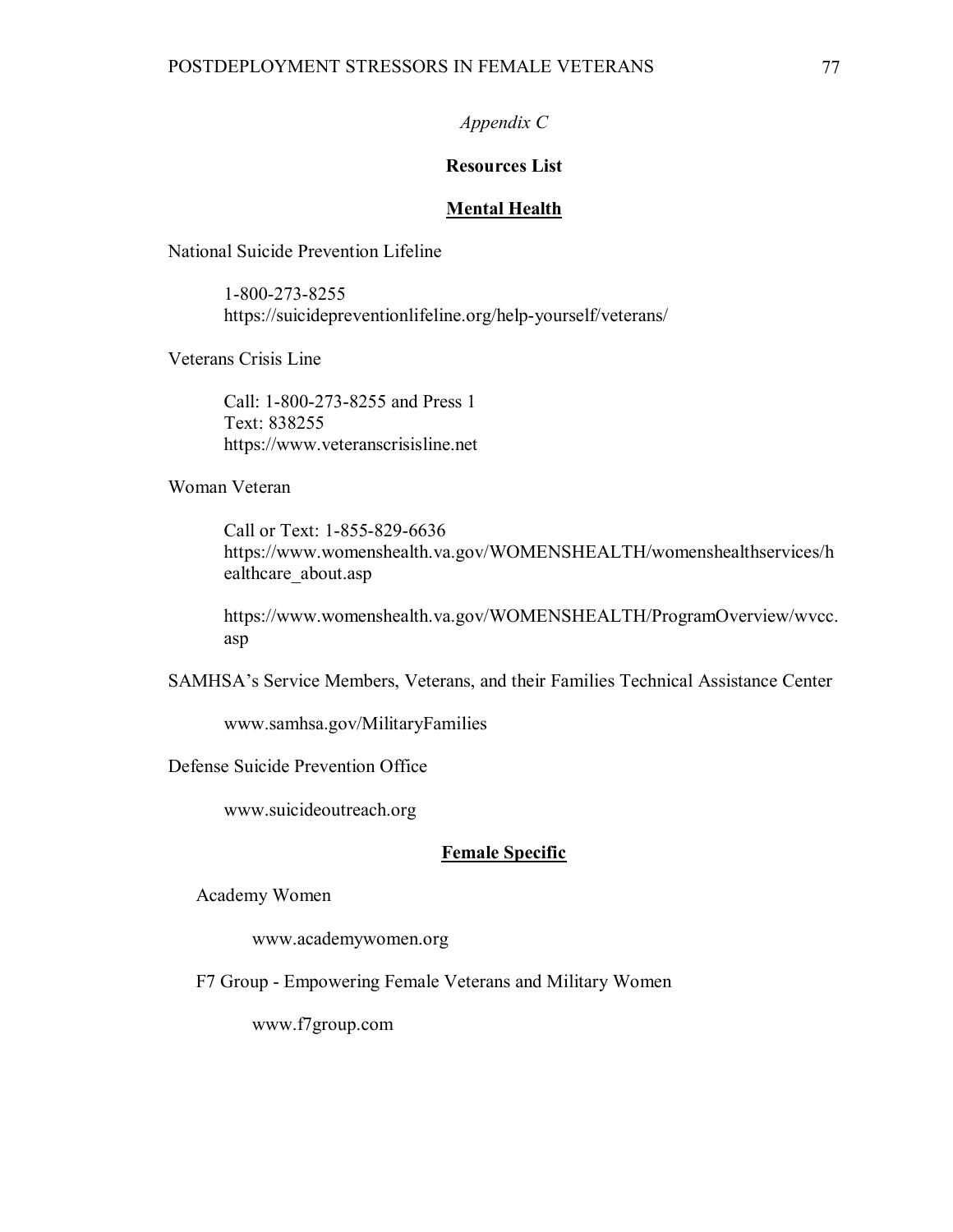## *Appendix C*

## **Resources List**

### **Mental Health**

National Suicide Prevention Lifeline

1-800-273-8255 https://suicidepreventionlifeline.org/help-yourself/veterans/

Veterans Crisis Line

Call: 1-800-273-8255 and Press 1 Text: 838255 https://www.veteranscrisisline.net

Woman Veteran

Call or Text: 1-855-829-6636 https://www.womenshealth.va.gov/WOMENSHEALTH/womenshealthservices/h ealthcare\_about.asp

https://www.womenshealth.va.gov/WOMENSHEALTH/ProgramOverview/wvcc. asp

SAMHSA's Service Members, Veterans, and their Families Technical Assistance Center

www.samhsa.gov/MilitaryFamilies

Defense Suicide Prevention Office

www.suicideoutreach.org

### **Female Specific**

Academy Women

www.academywomen.org

F7 Group - Empowering Female Veterans and Military Women

www.f7group.com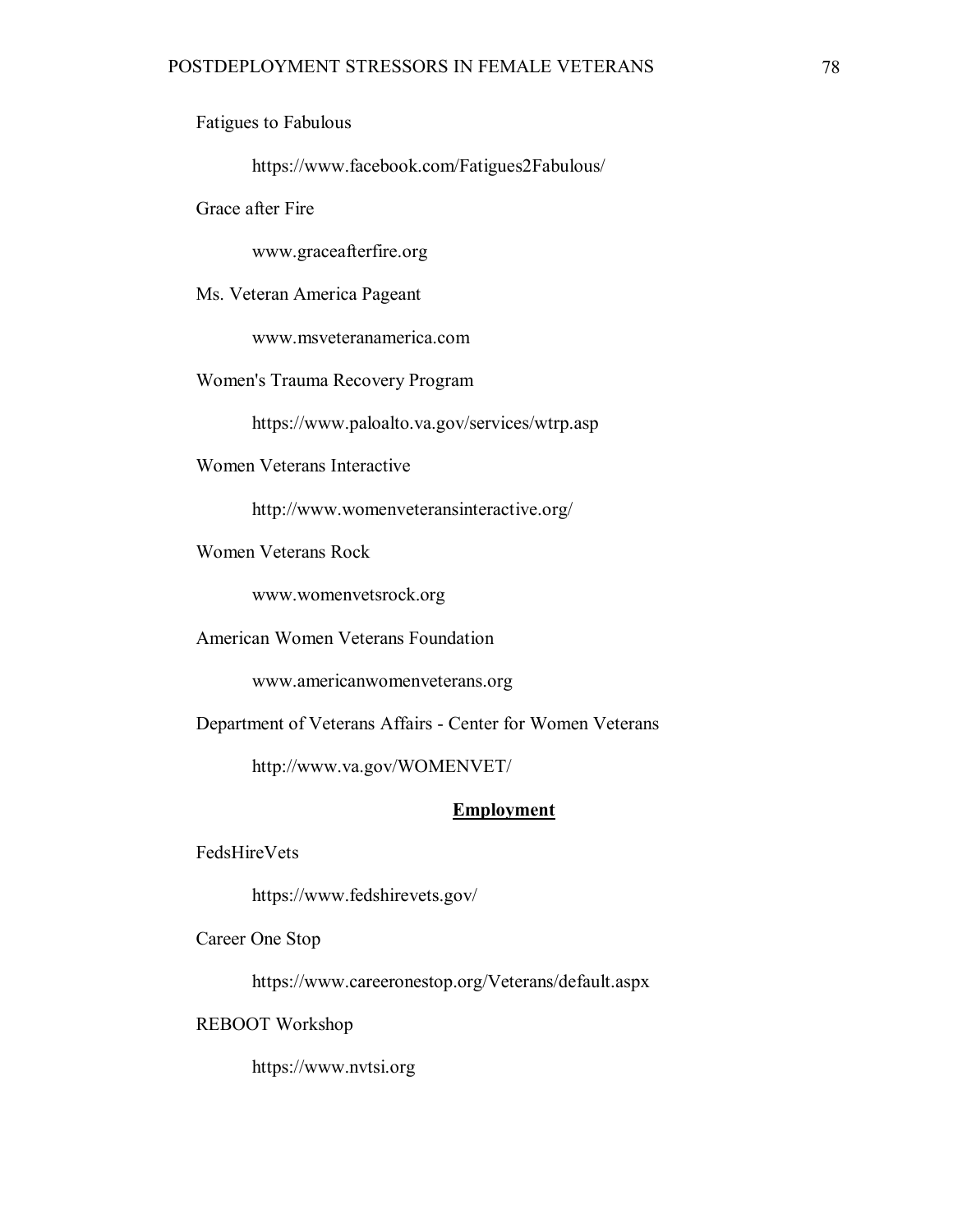Fatigues to Fabulous

https://www.facebook.com/Fatigues2Fabulous/

Grace after Fire

www.graceafterfire.org

Ms. Veteran America Pageant

www.msveteranamerica.com

Women's Trauma Recovery Program

https://www.paloalto.va.gov/services/wtrp.asp

Women Veterans Interactive

http://www.womenveteransinteractive.org/

Women Veterans Rock

www.womenvetsrock.org

American Women Veterans Foundation

www.americanwomenveterans.org

Department of Veterans Affairs - Center for Women Veterans

http://www.va.gov/WOMENVET/

#### **Employment**

FedsHireVets

https://www.fedshirevets.gov/

Career One Stop

https://www.careeronestop.org/Veterans/default.aspx

REBOOT Workshop

https://www.nvtsi.org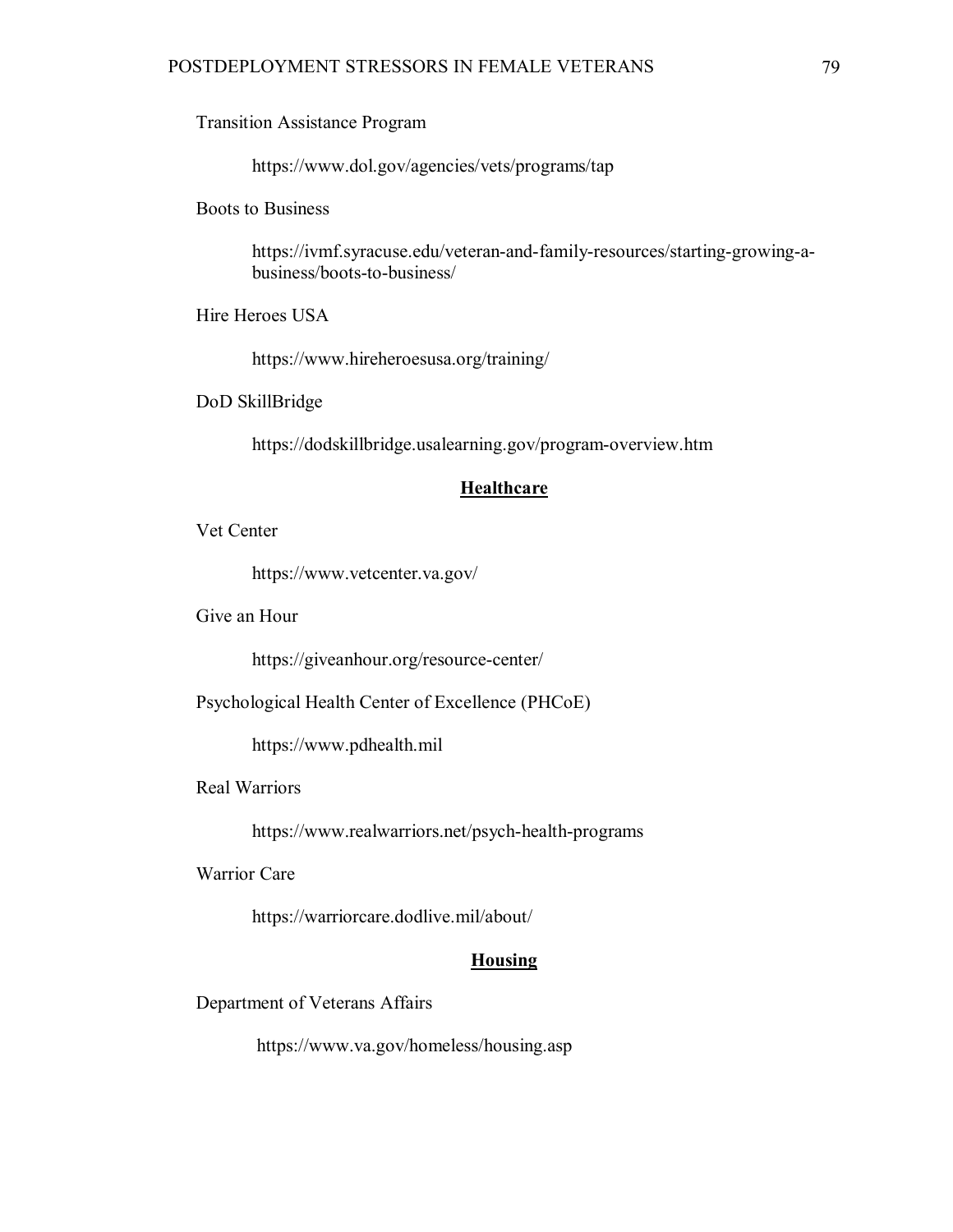Transition Assistance Program

https://www.dol.gov/agencies/vets/programs/tap

Boots to Business

https://ivmf.syracuse.edu/veteran-and-family-resources/starting-growing-abusiness/boots-to-business/

Hire Heroes USA

https://www.hireheroesusa.org/training/

DoD SkillBridge

https://dodskillbridge.usalearning.gov/program-overview.htm

## **Healthcare**

Vet Center

https://www.vetcenter.va.gov/

Give an Hour

https://giveanhour.org/resource-center/

Psychological Health Center of Excellence (PHCoE)

https://www.pdhealth.mil

Real Warriors

https://www.realwarriors.net/psych-health-programs

Warrior Care

https://warriorcare.dodlive.mil/about/

## **Housing**

Department of Veterans Affairs

https://www.va.gov/homeless/housing.asp